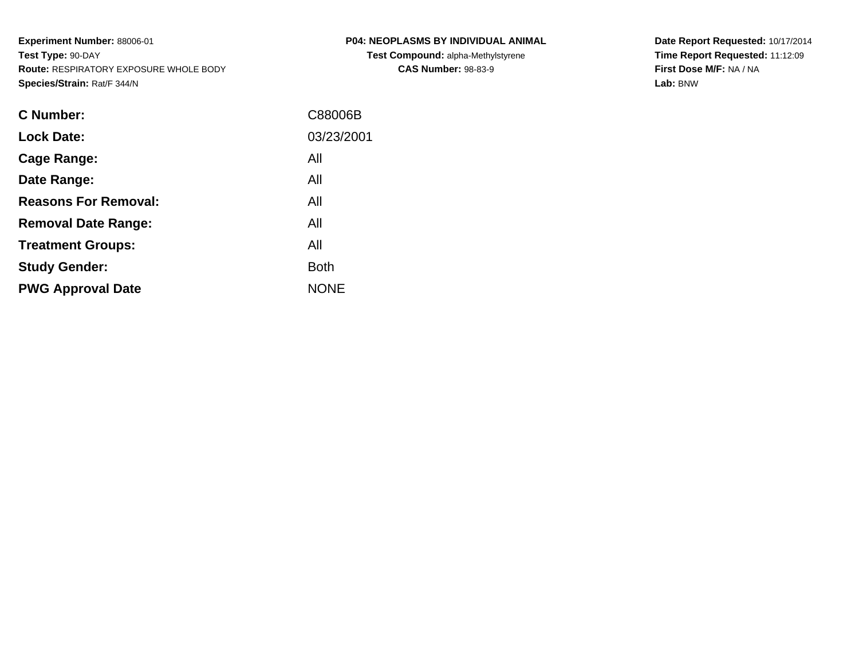**PWG Approval Date**

| C Number:                   | C88006B     |
|-----------------------------|-------------|
| <b>Lock Date:</b>           | 03/23/2001  |
| Cage Range:                 | All         |
| Date Range:                 | All         |
| <b>Reasons For Removal:</b> | All         |
| <b>Removal Date Range:</b>  | All         |
| <b>Treatment Groups:</b>    | All         |
| <b>Study Gender:</b>        | <b>Both</b> |

NONE

**P04: NEOPLASMS BY INDIVIDUAL ANIMALTest Compound:** alpha-Methylstyrene**CAS Number:** 98-83-9

**Date Report Requested:** 10/17/2014**Time Report Requested:** 11:12:09**First Dose M/F:** NA / NA**Lab:** BNW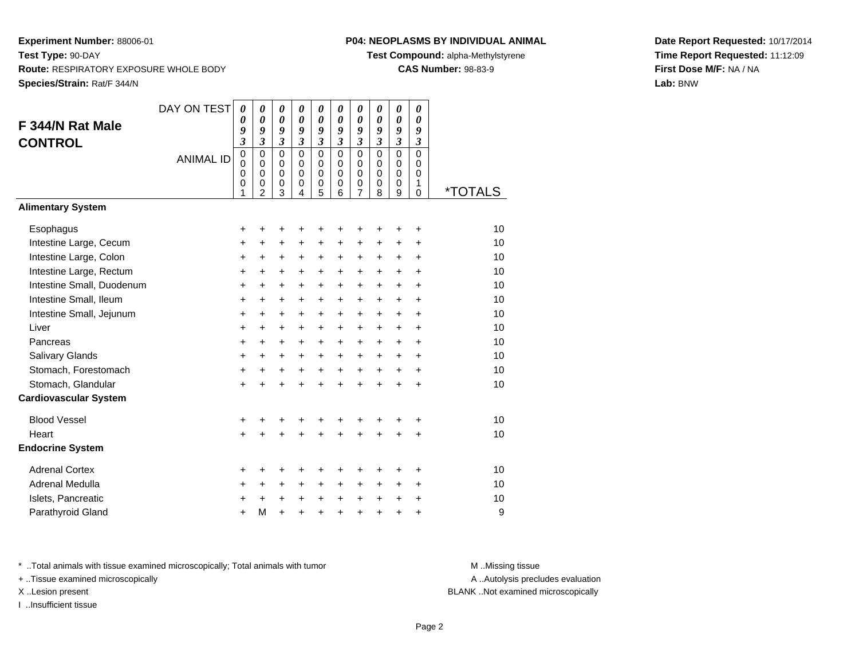# **P04: NEOPLASMS BY INDIVIDUAL ANIMAL**

**Test Compound:** alpha-Methylstyrene

**CAS Number:** 98-83-9

**Date Report Requested:** 10/17/2014**Time Report Requested:** 11:12:09**First Dose M/F:** NA / NA**Lab:** BNW

| F 344/N Rat Male<br><b>CONTROL</b> | DAY ON TEST<br><b>ANIMAL ID</b> | $\boldsymbol{\theta}$<br>0<br>9<br>$\overline{\mathbf{3}}$<br>$\mathbf 0$<br>0<br>0<br>0<br>1 | 0<br>$\boldsymbol{\theta}$<br>9<br>$\overline{\mathbf{3}}$<br>$\mathbf 0$<br>$\mathbf 0$<br>$\mathbf 0$<br>$\mathbf 0$<br>$\overline{2}$ | $\boldsymbol{\theta}$<br>$\boldsymbol{\theta}$<br>9<br>$\mathfrak{z}$<br>$\mathbf 0$<br>$\mathbf 0$<br>0<br>$\pmb{0}$<br>3 | 0<br>$\boldsymbol{\theta}$<br>9<br>$\mathfrak{z}$<br>$\mathbf 0$<br>$\mathbf 0$<br>$\Omega$<br>0<br>4 | $\pmb{\theta}$<br>$\boldsymbol{\theta}$<br>9<br>$\overline{\mathbf{3}}$<br>$\mathbf 0$<br>$\mathbf 0$<br>0<br>$\mathbf 0$<br>5 | 0<br>$\boldsymbol{\theta}$<br>9<br>$\overline{\mathbf{3}}$<br>$\mathbf 0$<br>$\mathbf 0$<br>0<br>$\mathbf 0$<br>6 | 0<br>$\boldsymbol{\theta}$<br>9<br>3<br>$\mathbf 0$<br>$\mathbf 0$<br>0<br>0<br>$\overline{7}$ | 0<br>$\boldsymbol{\theta}$<br>9<br>$\mathfrak{z}$<br>$\Omega$<br>$\mathbf 0$<br>$\Omega$<br>$\mathbf 0$<br>8 | 0<br>$\boldsymbol{\theta}$<br>9<br>$\overline{\mathbf{3}}$<br>$\mathbf 0$<br>$\mathbf 0$<br>$\mathbf 0$<br>$\mathbf 0$<br>9 | 0<br>0<br>9<br>$\boldsymbol{\beta}$<br>$\mathbf 0$<br>0<br>0<br>1<br>$\mathbf 0$ | *TOTALS |
|------------------------------------|---------------------------------|-----------------------------------------------------------------------------------------------|------------------------------------------------------------------------------------------------------------------------------------------|----------------------------------------------------------------------------------------------------------------------------|-------------------------------------------------------------------------------------------------------|--------------------------------------------------------------------------------------------------------------------------------|-------------------------------------------------------------------------------------------------------------------|------------------------------------------------------------------------------------------------|--------------------------------------------------------------------------------------------------------------|-----------------------------------------------------------------------------------------------------------------------------|----------------------------------------------------------------------------------|---------|
| <b>Alimentary System</b>           |                                 |                                                                                               |                                                                                                                                          |                                                                                                                            |                                                                                                       |                                                                                                                                |                                                                                                                   |                                                                                                |                                                                                                              |                                                                                                                             |                                                                                  |         |
| Esophagus                          |                                 | +                                                                                             | +                                                                                                                                        | +                                                                                                                          | +                                                                                                     | +                                                                                                                              | +                                                                                                                 | +                                                                                              | +                                                                                                            | +                                                                                                                           | +                                                                                | 10      |
| Intestine Large, Cecum             |                                 | $\ddot{}$                                                                                     | $\ddot{}$                                                                                                                                | $\ddot{}$                                                                                                                  | $\ddot{}$                                                                                             | $\ddot{}$                                                                                                                      | $\ddot{}$                                                                                                         | $\ddot{}$                                                                                      | $\ddot{}$                                                                                                    | $\ddot{}$                                                                                                                   | $\ddot{}$                                                                        | 10      |
| Intestine Large, Colon             |                                 | $\ddot{}$                                                                                     | $\ddot{}$                                                                                                                                | $\ddot{}$                                                                                                                  | $\ddot{}$                                                                                             | $\ddot{}$                                                                                                                      | $\ddot{}$                                                                                                         | $\ddot{}$                                                                                      | $\ddot{}$                                                                                                    | $\ddot{}$                                                                                                                   | $\ddot{}$                                                                        | 10      |
| Intestine Large, Rectum            |                                 | $\ddot{}$                                                                                     | $\ddot{}$                                                                                                                                | $\ddot{}$                                                                                                                  | $+$                                                                                                   | $\ddot{}$                                                                                                                      | $+$                                                                                                               | $\ddot{}$                                                                                      | $+$                                                                                                          | $\ddot{}$                                                                                                                   | $\ddot{}$                                                                        | 10      |
| Intestine Small, Duodenum          |                                 | $\ddot{}$                                                                                     | $\ddot{}$                                                                                                                                | $\ddot{}$                                                                                                                  | $\ddot{}$                                                                                             | $\ddot{}$                                                                                                                      | $+$                                                                                                               | $\ddot{}$                                                                                      | $\ddot{}$                                                                                                    | $\ddot{}$                                                                                                                   | $\ddot{}$                                                                        | 10      |
| Intestine Small, Ileum             |                                 | $\ddot{}$                                                                                     | +                                                                                                                                        | $\ddot{}$                                                                                                                  | $\ddot{}$                                                                                             | $\ddot{}$                                                                                                                      | $+$                                                                                                               | $\ddot{}$                                                                                      | $\ddot{}$                                                                                                    | $\ddot{}$                                                                                                                   | $\ddot{}$                                                                        | 10      |
| Intestine Small, Jejunum           |                                 | $\ddot{}$                                                                                     | $\ddot{}$                                                                                                                                | +                                                                                                                          | $\ddot{}$                                                                                             | $\ddot{}$                                                                                                                      | $\ddot{}$                                                                                                         | $\ddot{}$                                                                                      | $\ddot{}$                                                                                                    | $\ddot{}$                                                                                                                   | $\ddot{}$                                                                        | 10      |
| Liver                              |                                 | $\ddot{}$                                                                                     | $\ddot{}$                                                                                                                                | +                                                                                                                          | $\ddot{}$                                                                                             | $\ddot{}$                                                                                                                      | $+$                                                                                                               | $\ddot{}$                                                                                      | $\ddot{}$                                                                                                    | $\ddot{}$                                                                                                                   | $\ddot{}$                                                                        | 10      |
| Pancreas                           |                                 | $\ddot{}$                                                                                     | $\ddot{}$                                                                                                                                | $\ddot{}$                                                                                                                  | $\ddot{}$                                                                                             | $\ddot{}$                                                                                                                      | $+$                                                                                                               | $\ddot{}$                                                                                      | $\ddot{}$                                                                                                    | $\ddot{}$                                                                                                                   | $\ddot{}$                                                                        | 10      |
| Salivary Glands                    |                                 | $\ddot{}$                                                                                     | +                                                                                                                                        | +                                                                                                                          | $\ddot{}$                                                                                             | $\ddot{}$                                                                                                                      | $+$                                                                                                               | +                                                                                              | $\ddot{}$                                                                                                    | +                                                                                                                           | $\ddot{}$                                                                        | 10      |
| Stomach, Forestomach               |                                 | $\ddot{}$                                                                                     | $\ddot{}$                                                                                                                                | +                                                                                                                          | $\ddot{}$                                                                                             | $\ddot{}$                                                                                                                      | $+$                                                                                                               | $+$                                                                                            | $\ddot{}$                                                                                                    | $\ddot{}$                                                                                                                   | $\ddot{}$                                                                        | 10      |
| Stomach, Glandular                 |                                 | $\ddot{}$                                                                                     | $\ddot{}$                                                                                                                                | $\ddot{}$                                                                                                                  | $\ddot{}$                                                                                             | $\ddot{}$                                                                                                                      | $\ddot{}$                                                                                                         | $\ddot{}$                                                                                      | $\ddot{}$                                                                                                    | $\ddot{}$                                                                                                                   | $\ddot{}$                                                                        | 10      |
| <b>Cardiovascular System</b>       |                                 |                                                                                               |                                                                                                                                          |                                                                                                                            |                                                                                                       |                                                                                                                                |                                                                                                                   |                                                                                                |                                                                                                              |                                                                                                                             |                                                                                  |         |
| <b>Blood Vessel</b>                |                                 | $\ddot{}$                                                                                     | +                                                                                                                                        | +                                                                                                                          | ٠                                                                                                     | +                                                                                                                              | +                                                                                                                 | +                                                                                              |                                                                                                              |                                                                                                                             | +                                                                                | 10      |
| Heart                              |                                 | $\ddot{}$                                                                                     | $\ddot{}$                                                                                                                                | $\ddot{}$                                                                                                                  | $\ddot{}$                                                                                             | $\ddot{}$                                                                                                                      | $\ddot{}$                                                                                                         | $\ddot{}$                                                                                      | $\ddot{}$                                                                                                    | $\ddot{}$                                                                                                                   | $\ddot{}$                                                                        | 10      |
| <b>Endocrine System</b>            |                                 |                                                                                               |                                                                                                                                          |                                                                                                                            |                                                                                                       |                                                                                                                                |                                                                                                                   |                                                                                                |                                                                                                              |                                                                                                                             |                                                                                  |         |
| <b>Adrenal Cortex</b>              |                                 | +                                                                                             | +                                                                                                                                        | +                                                                                                                          | ٠                                                                                                     | +                                                                                                                              | +                                                                                                                 | +                                                                                              | +                                                                                                            | +                                                                                                                           | ÷                                                                                | 10      |
| Adrenal Medulla                    |                                 | +                                                                                             | +                                                                                                                                        | +                                                                                                                          | $\ddot{}$                                                                                             | +                                                                                                                              | $\ddot{}$                                                                                                         | +                                                                                              | +                                                                                                            | +                                                                                                                           | $\ddot{}$                                                                        | 10      |
| Islets, Pancreatic                 |                                 | +                                                                                             | $\ddot{}$                                                                                                                                | $\ddot{}$                                                                                                                  | $\ddot{}$                                                                                             | $\ddot{}$                                                                                                                      | $\pm$                                                                                                             | $\ddot{}$                                                                                      | $\ddot{}$                                                                                                    | +                                                                                                                           | $\ddot{}$                                                                        | 10      |
| Parathyroid Gland                  |                                 | $\ddot{}$                                                                                     | M                                                                                                                                        | $\ddot{}$                                                                                                                  | $\ddot{}$                                                                                             | $\ddot{}$                                                                                                                      | $\ddot{}$                                                                                                         | $\ddot{}$                                                                                      | $\ddot{}$                                                                                                    | $\ddot{}$                                                                                                                   | $\ddot{}$                                                                        | 9       |

\* ..Total animals with tissue examined microscopically; Total animals with tumor **M** . Missing tissue M ..Missing tissue

+ ..Tissue examined microscopically

I ..Insufficient tissue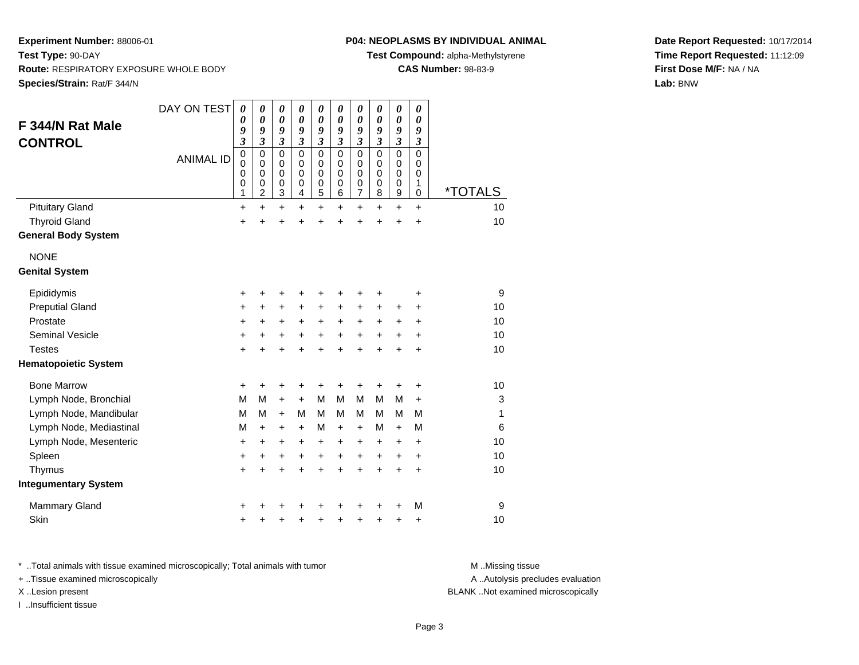# **P04: NEOPLASMS BY INDIVIDUAL ANIMAL**

**Test Compound:** alpha-Methylstyrene

**CAS Number:** 98-83-9

**Date Report Requested:** 10/17/2014**Time Report Requested:** 11:12:09**First Dose M/F:** NA / NA**Lab:** BNW

| F 344/N Rat Male<br><b>CONTROL</b> | DAY ON TEST<br><b>ANIMAL ID</b> | $\boldsymbol{\theta}$<br>0<br>9<br>$\boldsymbol{\beta}$<br>$\mathbf 0$<br>$\mathbf 0$<br>$\mathbf 0$<br>0<br>1 | $\boldsymbol{\theta}$<br>0<br>9<br>$\boldsymbol{\beta}$<br>$\mathbf 0$<br>0<br>$\mathbf 0$<br>$\mathbf 0$<br>$\overline{c}$ | 0<br>$\boldsymbol{\theta}$<br>9<br>$\boldsymbol{\beta}$<br>$\mathbf 0$<br>0<br>$\mathbf 0$<br>0<br>3 | 0<br>0<br>9<br>$\mathfrak{z}$<br>$\mathbf 0$<br>$\mathbf 0$<br>$\mathbf 0$<br>$\mathbf 0$<br>4 | 0<br>$\boldsymbol{\theta}$<br>9<br>$\boldsymbol{\mathfrak{z}}$<br>$\mathbf 0$<br>0<br>$\mathbf 0$<br>$\mathbf 0$<br>5 | 0<br>0<br>9<br>$\mathfrak{z}$<br>$\Omega$<br>0<br>$\mathbf 0$<br>0<br>6 | 0<br>$\boldsymbol{\theta}$<br>9<br>$\boldsymbol{\beta}$<br>$\mathbf 0$<br>0<br>$\mathbf 0$<br>$\mathbf 0$<br>$\overline{7}$ | 0<br>0<br>9<br>3<br>$\Omega$<br>0<br>0<br>0<br>8 | $\boldsymbol{\theta}$<br>$\boldsymbol{\theta}$<br>9<br>$\boldsymbol{\beta}$<br>$\mathbf 0$<br>0<br>$\mathbf 0$<br>$\mathbf 0$<br>9 | 0<br>0<br>9<br>3<br>$\Omega$<br>0<br>$\mathbf 0$<br>1<br>0 | <i><b>*TOTALS</b></i> |
|------------------------------------|---------------------------------|----------------------------------------------------------------------------------------------------------------|-----------------------------------------------------------------------------------------------------------------------------|------------------------------------------------------------------------------------------------------|------------------------------------------------------------------------------------------------|-----------------------------------------------------------------------------------------------------------------------|-------------------------------------------------------------------------|-----------------------------------------------------------------------------------------------------------------------------|--------------------------------------------------|------------------------------------------------------------------------------------------------------------------------------------|------------------------------------------------------------|-----------------------|
| <b>Pituitary Gland</b>             |                                 | $\ddot{}$                                                                                                      | $\ddot{}$                                                                                                                   | $\ddot{}$                                                                                            | $\ddot{}$                                                                                      | +                                                                                                                     | $\ddot{}$                                                               | $\ddot{}$                                                                                                                   | $\ddot{}$                                        | $\ddot{}$                                                                                                                          | +                                                          | 10                    |
| <b>Thyroid Gland</b>               |                                 | $\ddot{}$                                                                                                      |                                                                                                                             | +                                                                                                    |                                                                                                | +                                                                                                                     | +                                                                       | +                                                                                                                           | +                                                | +                                                                                                                                  | +                                                          | 10                    |
| <b>General Body System</b>         |                                 |                                                                                                                |                                                                                                                             |                                                                                                      |                                                                                                |                                                                                                                       |                                                                         |                                                                                                                             |                                                  |                                                                                                                                    |                                                            |                       |
| <b>NONE</b>                        |                                 |                                                                                                                |                                                                                                                             |                                                                                                      |                                                                                                |                                                                                                                       |                                                                         |                                                                                                                             |                                                  |                                                                                                                                    |                                                            |                       |
| <b>Genital System</b>              |                                 |                                                                                                                |                                                                                                                             |                                                                                                      |                                                                                                |                                                                                                                       |                                                                         |                                                                                                                             |                                                  |                                                                                                                                    |                                                            |                       |
| Epididymis                         |                                 | $\ddot{}$                                                                                                      |                                                                                                                             |                                                                                                      |                                                                                                | +                                                                                                                     |                                                                         | +                                                                                                                           | +                                                |                                                                                                                                    | +                                                          | 9                     |
| <b>Preputial Gland</b>             |                                 | +                                                                                                              | +                                                                                                                           | +                                                                                                    | +                                                                                              | +                                                                                                                     | +                                                                       | +                                                                                                                           | +                                                | +                                                                                                                                  | +                                                          | 10                    |
| Prostate                           |                                 | $\ddot{}$                                                                                                      | $\ddot{}$                                                                                                                   | $\ddot{}$                                                                                            | $\ddot{}$                                                                                      | $\ddot{}$                                                                                                             | $\ddot{}$                                                               | $\ddot{}$                                                                                                                   | $\ddot{}$                                        | $\ddot{}$                                                                                                                          | $\ddot{}$                                                  | 10                    |
| <b>Seminal Vesicle</b>             |                                 | +                                                                                                              | +                                                                                                                           | +                                                                                                    | +                                                                                              | +                                                                                                                     | +                                                                       | +                                                                                                                           | +                                                | +                                                                                                                                  | +                                                          | 10                    |
| <b>Testes</b>                      |                                 | $\ddot{}$                                                                                                      |                                                                                                                             | $\ddot{}$                                                                                            | ÷                                                                                              | $\ddot{}$                                                                                                             | $\ddot{}$                                                               | $\ddot{}$                                                                                                                   | $\ddot{}$                                        | $\ddot{}$                                                                                                                          | $\ddot{}$                                                  | 10                    |
| <b>Hematopoietic System</b>        |                                 |                                                                                                                |                                                                                                                             |                                                                                                      |                                                                                                |                                                                                                                       |                                                                         |                                                                                                                             |                                                  |                                                                                                                                    |                                                            |                       |
| <b>Bone Marrow</b>                 |                                 | +                                                                                                              | +                                                                                                                           | +                                                                                                    | +                                                                                              | +                                                                                                                     | +                                                                       | +                                                                                                                           | +                                                | +                                                                                                                                  | +                                                          | 10                    |
| Lymph Node, Bronchial              |                                 | M                                                                                                              | M                                                                                                                           | $\ddot{}$                                                                                            | $\ddot{}$                                                                                      | M                                                                                                                     | M                                                                       | M                                                                                                                           | M                                                | M                                                                                                                                  | +                                                          | 3                     |
| Lymph Node, Mandibular             |                                 | M                                                                                                              | м                                                                                                                           | $+$                                                                                                  | М                                                                                              | м                                                                                                                     | М                                                                       | м                                                                                                                           | м                                                | М                                                                                                                                  | М                                                          | 1                     |
| Lymph Node, Mediastinal            |                                 | M                                                                                                              | $+$                                                                                                                         | $\ddot{}$                                                                                            | $\ddot{}$                                                                                      | M                                                                                                                     | $\ddot{}$                                                               | $\ddot{}$                                                                                                                   | м                                                | $\ddot{}$                                                                                                                          | М                                                          | 6                     |
| Lymph Node, Mesenteric             |                                 | +                                                                                                              | +                                                                                                                           | +                                                                                                    | +                                                                                              | +                                                                                                                     | +                                                                       | +                                                                                                                           | +                                                | $\ddot{}$                                                                                                                          | $\ddot{}$                                                  | 10                    |
| Spleen                             |                                 | +                                                                                                              | +                                                                                                                           | $\ddot{}$                                                                                            | $\ddot{}$                                                                                      | $\ddot{}$                                                                                                             | $\ddot{}$                                                               | $\ddot{}$                                                                                                                   | $\ddot{}$                                        | $\ddot{}$                                                                                                                          | $\ddot{}$                                                  | 10                    |
| Thymus                             |                                 | $\ddot{}$                                                                                                      |                                                                                                                             | $\ddot{}$                                                                                            | $\ddot{}$                                                                                      | $\ddot{}$                                                                                                             | $\ddot{}$                                                               | $\ddot{}$                                                                                                                   | $\ddot{}$                                        | $\ddot{}$                                                                                                                          | $\ddot{}$                                                  | 10                    |
| <b>Integumentary System</b>        |                                 |                                                                                                                |                                                                                                                             |                                                                                                      |                                                                                                |                                                                                                                       |                                                                         |                                                                                                                             |                                                  |                                                                                                                                    |                                                            |                       |
| <b>Mammary Gland</b>               |                                 | +                                                                                                              |                                                                                                                             |                                                                                                      |                                                                                                |                                                                                                                       |                                                                         |                                                                                                                             |                                                  | +                                                                                                                                  | M                                                          | 9                     |
| Skin                               |                                 | $\ddot{}$                                                                                                      |                                                                                                                             | +                                                                                                    |                                                                                                | +                                                                                                                     | +                                                                       | +                                                                                                                           | +                                                | +                                                                                                                                  | +                                                          | 10                    |

\* ..Total animals with tissue examined microscopically; Total animals with tumor **M** . Missing tissue M ..Missing tissue

+ ..Tissue examined microscopically

I ..Insufficient tissue

A ..Autolysis precludes evaluation

X ..Lesion present BLANK ..Not examined microscopically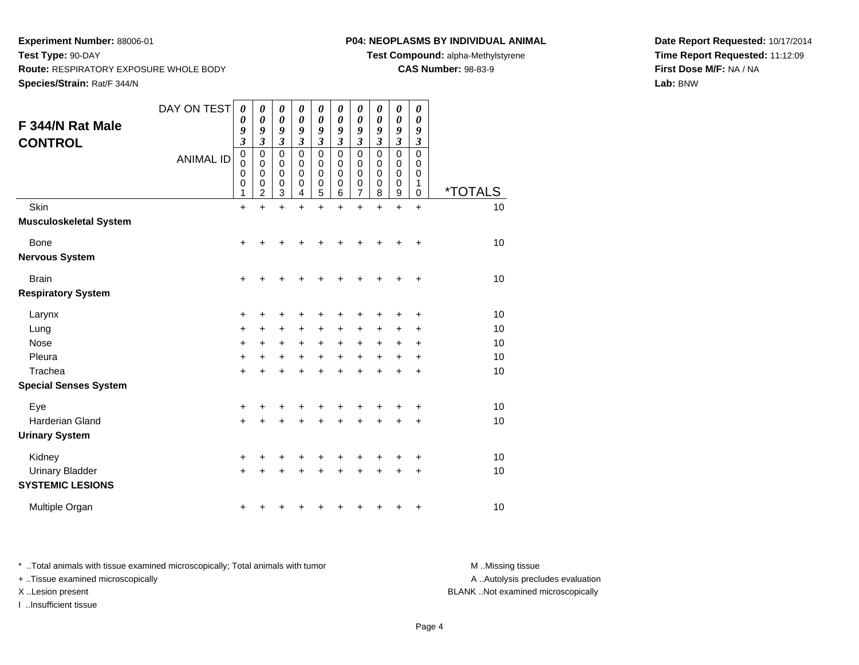# **P04: NEOPLASMS BY INDIVIDUAL ANIMAL**

**Test Compound:** alpha-Methylstyrene

**CAS Number:** 98-83-9

**Date Report Requested:** 10/17/2014**Time Report Requested:** 11:12:09**First Dose M/F:** NA / NA**Lab:** BNW

| F 344/N Rat Male                                            | DAY ON TEST      | 0<br>0<br>9                                                 | 0<br>0<br>9                             | 0<br>0<br>9                          | 0<br>0<br>9                 | 0<br>0<br>9                           | 0<br>0<br>9                          | 0<br>0<br>9                          | 0<br>0<br>9                          | 0<br>0<br>9                | 0<br>$\boldsymbol{\theta}$<br>9                   |                            |
|-------------------------------------------------------------|------------------|-------------------------------------------------------------|-----------------------------------------|--------------------------------------|-----------------------------|---------------------------------------|--------------------------------------|--------------------------------------|--------------------------------------|----------------------------|---------------------------------------------------|----------------------------|
| <b>CONTROL</b>                                              | <b>ANIMAL ID</b> | 3<br>$\pmb{0}$<br>$\mathbf 0$<br>0<br>$\boldsymbol{0}$<br>1 | 3<br>0<br>0<br>0<br>0<br>$\overline{2}$ | 3<br>$\mathbf 0$<br>0<br>0<br>0<br>3 | 3<br>0<br>0<br>0<br>0<br>4  | 3<br>0<br>0<br>0<br>$\mathbf 0$<br>5  | 3<br>$\mathbf 0$<br>0<br>0<br>0<br>6 | 3<br>$\mathbf 0$<br>0<br>0<br>0<br>7 | 3<br>$\mathbf 0$<br>0<br>0<br>0<br>8 | 3<br>0<br>0<br>0<br>0<br>9 | $\mathfrak{z}$<br>$\mathbf 0$<br>0<br>0<br>1<br>0 | <i><b>*TOTALS</b></i>      |
| Skin<br><b>Musculoskeletal System</b>                       |                  | $\ddot{}$                                                   | $\ddot{}$                               | $\ddot{}$                            | $\ddot{}$                   | $\ddot{}$                             | $\ddot{}$                            | $\ddot{}$                            | $\ddot{}$                            | $\ddot{}$                  | $\ddot{}$                                         | 10                         |
| Bone<br><b>Nervous System</b>                               |                  | +                                                           | +                                       | +                                    |                             |                                       |                                      |                                      |                                      |                            | $\ddot{}$                                         | 10                         |
| <b>Brain</b><br><b>Respiratory System</b>                   |                  | $\ddot{}$                                                   | +                                       | +                                    | +                           | +                                     |                                      |                                      |                                      | +                          | +                                                 | 10                         |
| Larynx<br>Lung<br><b>Nose</b><br>Pleura<br>Trachea          |                  | +<br>$\ddot{}$<br>+<br>$\ddot{}$<br>$\ddot{}$               | +<br>+<br>$\pm$<br>$\ddot{}$            | +<br>$\ddot{}$<br>+<br>+<br>+        | $\ddot{}$<br>+<br>$\ddot{}$ | +<br>$\ddot{}$<br>+<br>$\ddot{}$<br>+ | $\ddot{}$<br>+<br>$\ddot{}$          | $\ddot{}$<br>$\ddot{}$<br>$\ddot{}$  | +<br>+<br>$\ddot{}$                  | +<br>+<br>+<br>+<br>+      | +<br>٠<br>+<br>+<br>+                             | 10<br>10<br>10<br>10<br>10 |
| <b>Special Senses System</b>                                |                  |                                                             |                                         |                                      |                             |                                       |                                      |                                      |                                      |                            |                                                   |                            |
| Eye<br><b>Harderian Gland</b><br><b>Urinary System</b>      |                  | +<br>$\ddot{}$                                              | +                                       | +<br>+                               | +<br>+                      | +<br>+                                | +<br>+                               |                                      | +<br>$\ddot{}$                       | +                          | +<br>$\ddot{}$                                    | 10<br>10                   |
| Kidney<br><b>Urinary Bladder</b><br><b>SYSTEMIC LESIONS</b> |                  | +<br>$\ddot{}$                                              |                                         | +                                    |                             | +<br>+                                |                                      |                                      |                                      | +<br>+                     | +<br>+                                            | 10<br>10                   |
| Multiple Organ                                              |                  | +                                                           |                                         |                                      |                             |                                       |                                      |                                      |                                      |                            | +                                                 | 10                         |

\* ..Total animals with tissue examined microscopically; Total animals with tumor **M** . Missing tissue M ..Missing tissue

+ ..Tissue examined microscopically

I ..Insufficient tissue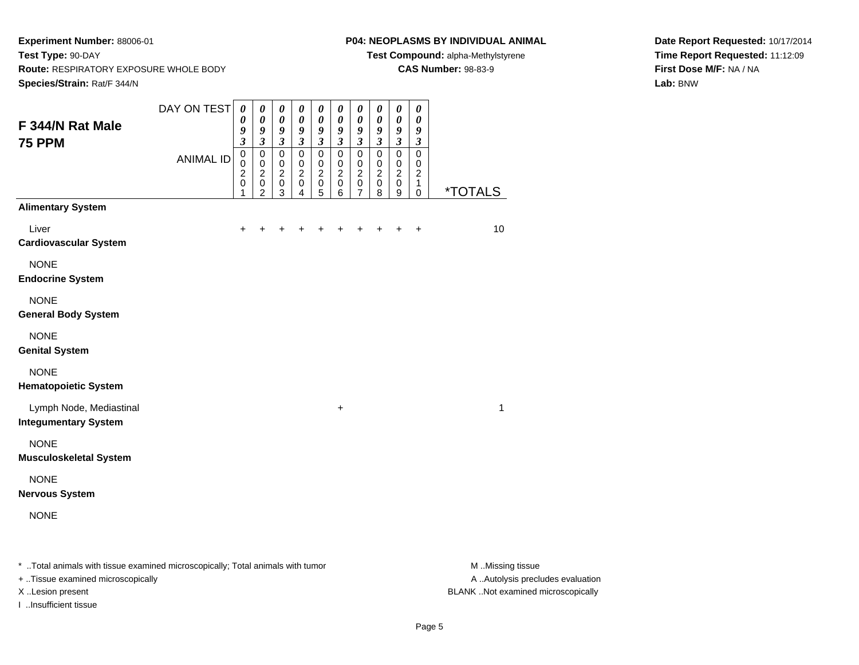#### **P04: NEOPLASMS BY INDIVIDUAL ANIMAL**

**Test Compound:** alpha-Methylstyrene

**CAS Number:** 98-83-9

**Date Report Requested:** 10/17/2014**Time Report Requested:** 11:12:09**First Dose M/F:** NA / NA**Lab:** BNW

| F 344/N Rat Male<br><b>75 PPM</b>                      | DAY ON TEST      | $\boldsymbol{\theta}$<br>0<br>9<br>$\mathfrak{z}$<br>$\mathbf 0$ | $\pmb{\theta}$<br>$\boldsymbol{\theta}$<br>9<br>$\mathfrak{z}$<br>$\pmb{0}$ | $\boldsymbol{\theta}$<br>$\boldsymbol{\theta}$<br>9<br>$\mathfrak{z}$<br>$\pmb{0}$ | $\boldsymbol{\theta}$<br>$\boldsymbol{\theta}$<br>9<br>$\boldsymbol{\mathfrak{z}}$<br>$\pmb{0}$ | $\boldsymbol{\theta}$<br>$\boldsymbol{\theta}$<br>9<br>$\mathfrak{z}$<br>$\pmb{0}$ | $\pmb{\theta}$<br>$\pmb{\theta}$<br>9<br>$\mathfrak{z}$<br>$\mathsf 0$ | $\pmb{\theta}$<br>$\boldsymbol{\theta}$<br>9<br>$\overline{\mathbf{3}}$<br>$\mathbf 0$ | 0<br>$\pmb{\theta}$<br>9<br>$\mathfrak{z}$<br>0 | $\boldsymbol{\theta}$<br>$\boldsymbol{\theta}$<br>$\boldsymbol{9}$<br>$\overline{\mathbf{3}}$<br>$\overline{0}$ | $\boldsymbol{\theta}$<br>$\boldsymbol{\theta}$<br>9<br>$\mathfrak{z}$<br>$\mathsf 0$ |                       |
|--------------------------------------------------------|------------------|------------------------------------------------------------------|-----------------------------------------------------------------------------|------------------------------------------------------------------------------------|-------------------------------------------------------------------------------------------------|------------------------------------------------------------------------------------|------------------------------------------------------------------------|----------------------------------------------------------------------------------------|-------------------------------------------------|-----------------------------------------------------------------------------------------------------------------|--------------------------------------------------------------------------------------|-----------------------|
|                                                        | <b>ANIMAL ID</b> | $\pmb{0}$<br>$\boldsymbol{2}$<br>$\pmb{0}$<br>1                  | $\mathbf 0$<br>$\boldsymbol{2}$<br>$\pmb{0}$<br>$\overline{c}$              | $\mathbf 0$<br>$\overline{2}$<br>$\mathbf 0$<br>$\mathbf{3}$                       | 0<br>$\overline{c}$<br>$\pmb{0}$<br>$\overline{4}$                                              | $\mathbf 0$<br>$\boldsymbol{2}$<br>$\pmb{0}$<br>5                                  | $\pmb{0}$<br>$\overline{2}$<br>$\,0\,$<br>6                            | $\mathbf 0$<br>$\overline{c}$<br>0<br>$\overline{7}$                                   | 0<br>$\overline{c}$<br>$\mathsf 0$<br>8         | 0<br>$\overline{2}$<br>$\mathbf 0$<br>9                                                                         | $\mathbf 0$<br>$\boldsymbol{2}$<br>$\mathbf{1}$<br>$\mathbf 0$                       | <i><b>*TOTALS</b></i> |
| <b>Alimentary System</b>                               |                  |                                                                  |                                                                             |                                                                                    |                                                                                                 |                                                                                    |                                                                        |                                                                                        |                                                 |                                                                                                                 |                                                                                      |                       |
| Liver<br><b>Cardiovascular System</b>                  |                  | +                                                                |                                                                             |                                                                                    |                                                                                                 |                                                                                    |                                                                        |                                                                                        |                                                 | $\ddot{}$                                                                                                       | $\ddot{}$                                                                            | 10                    |
| <b>NONE</b><br><b>Endocrine System</b>                 |                  |                                                                  |                                                                             |                                                                                    |                                                                                                 |                                                                                    |                                                                        |                                                                                        |                                                 |                                                                                                                 |                                                                                      |                       |
| <b>NONE</b><br><b>General Body System</b>              |                  |                                                                  |                                                                             |                                                                                    |                                                                                                 |                                                                                    |                                                                        |                                                                                        |                                                 |                                                                                                                 |                                                                                      |                       |
| <b>NONE</b><br><b>Genital System</b>                   |                  |                                                                  |                                                                             |                                                                                    |                                                                                                 |                                                                                    |                                                                        |                                                                                        |                                                 |                                                                                                                 |                                                                                      |                       |
| <b>NONE</b><br><b>Hematopoietic System</b>             |                  |                                                                  |                                                                             |                                                                                    |                                                                                                 |                                                                                    |                                                                        |                                                                                        |                                                 |                                                                                                                 |                                                                                      |                       |
| Lymph Node, Mediastinal<br><b>Integumentary System</b> |                  |                                                                  |                                                                             |                                                                                    |                                                                                                 |                                                                                    | +                                                                      |                                                                                        |                                                 |                                                                                                                 |                                                                                      | 1                     |
| <b>NONE</b><br><b>Musculoskeletal System</b>           |                  |                                                                  |                                                                             |                                                                                    |                                                                                                 |                                                                                    |                                                                        |                                                                                        |                                                 |                                                                                                                 |                                                                                      |                       |
| <b>NONE</b><br><b>Nervous System</b>                   |                  |                                                                  |                                                                             |                                                                                    |                                                                                                 |                                                                                    |                                                                        |                                                                                        |                                                 |                                                                                                                 |                                                                                      |                       |
| <b>NONE</b>                                            |                  |                                                                  |                                                                             |                                                                                    |                                                                                                 |                                                                                    |                                                                        |                                                                                        |                                                 |                                                                                                                 |                                                                                      |                       |
|                                                        |                  |                                                                  |                                                                             |                                                                                    |                                                                                                 |                                                                                    |                                                                        |                                                                                        |                                                 |                                                                                                                 |                                                                                      |                       |

\* ..Total animals with tissue examined microscopically; Total animals with tumor **M** . Missing tissue M ..Missing tissue

+ ..Tissue examined microscopically

I ..Insufficient tissue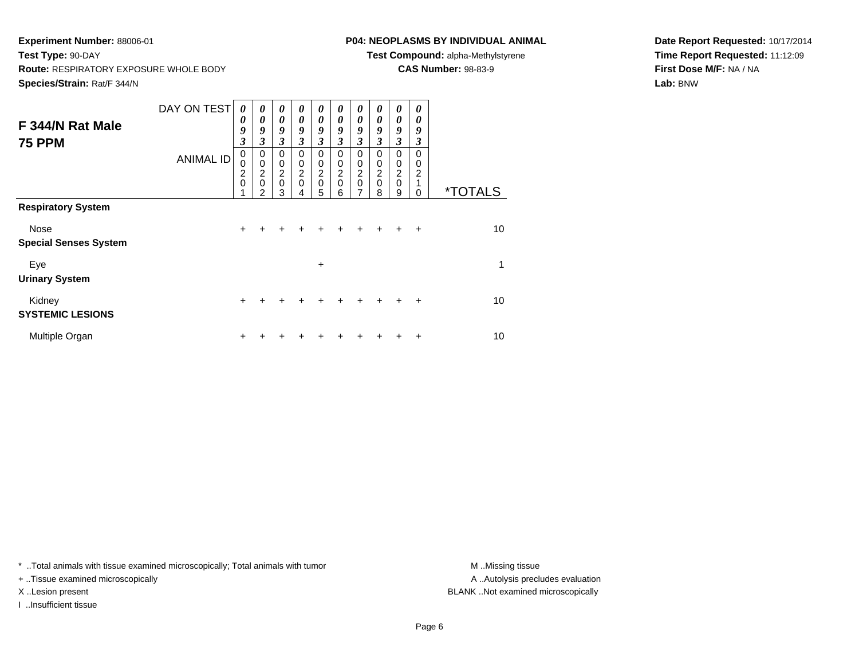# **P04: NEOPLASMS BY INDIVIDUAL ANIMAL**

**Test Compound:** alpha-Methylstyrene

**CAS Number:** 98-83-9

**Date Report Requested:** 10/17/2014**Time Report Requested:** 11:12:09**First Dose M/F:** NA / NA**Lab:** BNW

|                              | DAY ON TEST      | 0             | $\theta$                               | $\boldsymbol{\theta}$ | 0             | $\boldsymbol{\theta}$ | 0             | 0              | 0           | 0                     | 0         |                       |
|------------------------------|------------------|---------------|----------------------------------------|-----------------------|---------------|-----------------------|---------------|----------------|-------------|-----------------------|-----------|-----------------------|
| F 344/N Rat Male             |                  | 0             | $\theta$                               | $\boldsymbol{\theta}$ | $\theta$      | $\boldsymbol{\theta}$ | 0             | 0              | 0           | 0                     | 0         |                       |
|                              |                  | 9             | 9                                      | 9                     | 9             | 9                     | 9             | 9              | 9           | 9                     | 9         |                       |
| <b>75 PPM</b>                |                  | 3             | 3                                      | $\mathfrak{z}$        | 3             | 3                     | 3             | $\mathfrak{z}$ | 3           | 3                     | 3         |                       |
|                              | <b>ANIMAL ID</b> | 0             | 0                                      | 0                     | 0             | $\Omega$              | $\Omega$      | $\mathbf 0$    | 0           | $\Omega$              | 0         |                       |
|                              |                  | 0             | 0                                      | 0                     | 0             | 0                     | 0             | 0              | 0<br>2      | 0<br>$\boldsymbol{2}$ | 0<br>2    |                       |
|                              |                  | $\frac{2}{0}$ | $\overline{\mathbf{c}}$<br>$\mathbf 0$ | $\frac{2}{0}$         | $\frac{2}{0}$ | $\frac{2}{0}$         | $\frac{2}{0}$ | $\frac{2}{0}$  | $\mathbf 0$ | $\pmb{0}$             |           |                       |
|                              |                  |               | $\mathfrak{p}$                         | 3                     |               | 5                     | 6             | $\overline{7}$ | 8           | 9                     | 0         | <i><b>*TOTALS</b></i> |
| <b>Respiratory System</b>    |                  |               |                                        |                       |               |                       |               |                |             |                       |           |                       |
| Nose                         |                  | $\ddot{}$     |                                        |                       |               |                       |               |                |             |                       | $\div$    | 10                    |
| <b>Special Senses System</b> |                  |               |                                        |                       |               |                       |               |                |             |                       |           |                       |
| Eye                          |                  |               |                                        |                       |               | $\ddot{}$             |               |                |             |                       |           | 1                     |
| <b>Urinary System</b>        |                  |               |                                        |                       |               |                       |               |                |             |                       |           |                       |
| Kidney                       |                  | $\ddot{}$     | +                                      | +                     | +             | +                     | +             | +              | ÷           | ÷                     | $\ddot{}$ | 10                    |
| <b>SYSTEMIC LESIONS</b>      |                  |               |                                        |                       |               |                       |               |                |             |                       |           |                       |
| Multiple Organ               |                  | ٠             |                                        |                       |               |                       |               |                |             |                       | +         | 10                    |

\* ..Total animals with tissue examined microscopically; Total animals with tumor **M** . Missing tissue M ..Missing tissue

+ ..Tissue examined microscopically

I ..Insufficient tissue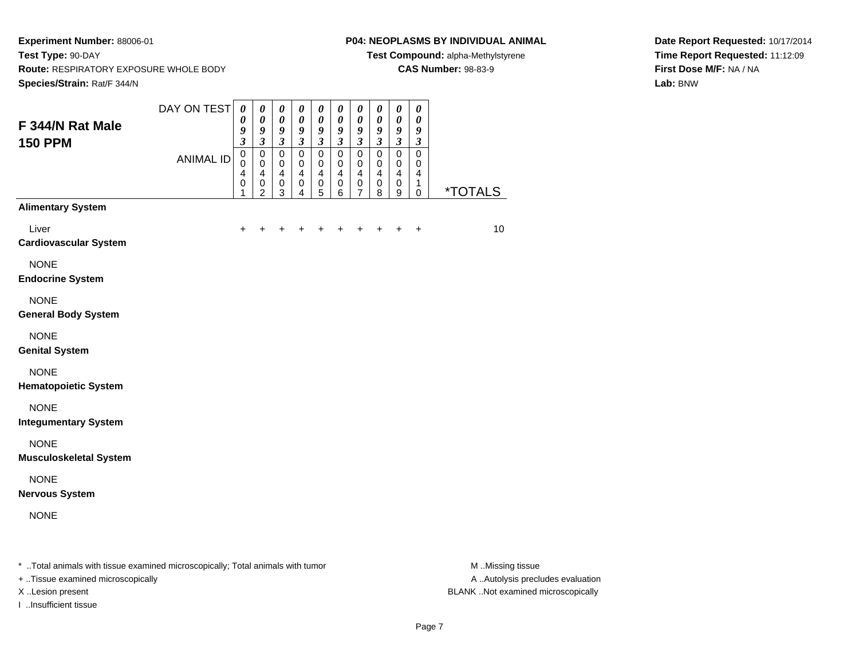### **P04: NEOPLASMS BY INDIVIDUAL ANIMAL**

**Test Compound:** alpha-Methylstyrene

**CAS Number:** 98-83-9

**Date Report Requested:** 10/17/2014**Time Report Requested:** 11:12:09**First Dose M/F:** NA / NA**Lab:** BNW

| F 344/N Rat Male                                                               | DAY ON TEST      | $\boldsymbol{\theta}$<br>0<br>9                                                 | $\pmb{\theta}$<br>$\pmb{\theta}$<br>9                                                                 | $\boldsymbol{\theta}$<br>$\pmb{\theta}$<br>9                                                  | $\pmb{\theta}$<br>$\pmb{\theta}$<br>9                                             | $\pmb{\theta}$<br>0<br>9                                        | $\pmb{\theta}$<br>$\pmb{\theta}$<br>$\pmb{9}$                                     | $\boldsymbol{\theta}$<br>0<br>$\boldsymbol{g}$                                            | 0<br>$\boldsymbol{\theta}$<br>9                       | $\pmb{\theta}$<br>$\pmb{\theta}$<br>$\boldsymbol{g}$                           | $\boldsymbol{\theta}$<br>$\boldsymbol{\theta}$<br>9                   |                       |
|--------------------------------------------------------------------------------|------------------|---------------------------------------------------------------------------------|-------------------------------------------------------------------------------------------------------|-----------------------------------------------------------------------------------------------|-----------------------------------------------------------------------------------|-----------------------------------------------------------------|-----------------------------------------------------------------------------------|-------------------------------------------------------------------------------------------|-------------------------------------------------------|--------------------------------------------------------------------------------|-----------------------------------------------------------------------|-----------------------|
| <b>150 PPM</b>                                                                 | <b>ANIMAL ID</b> | $\overline{\mathbf{3}}$<br>$\pmb{0}$<br>$\mathbf 0$<br>$\overline{4}$<br>0<br>1 | $\overline{\mathbf{3}}$<br>$\pmb{0}$<br>$\mathbf 0$<br>$\overline{\mathbf{4}}$<br>0<br>$\overline{c}$ | $\boldsymbol{\mathfrak{z}}$<br>$\mathbf 0$<br>$\mathbf 0$<br>$\overline{4}$<br>$\pmb{0}$<br>3 | $\mathfrak{z}$<br>$\mathbf 0$<br>$\mathbf 0$<br>$\overline{\mathbf{4}}$<br>0<br>4 | $\mathfrak{z}$<br>$\mathbf 0$<br>$\pmb{0}$<br>4<br>$\,0\,$<br>5 | $\mathfrak{z}$<br>$\mathbf 0$<br>$\mathbf 0$<br>$\overline{\mathbf{4}}$<br>0<br>6 | $\mathfrak{z}$<br>$\mathbf 0$<br>$\mathbf 0$<br>$\overline{\mathbf{4}}$<br>$\pmb{0}$<br>7 | $\mathfrak{z}$<br>$\pmb{0}$<br>0<br>4<br>$\,0\,$<br>8 | $\mathfrak{z}$<br>$\pmb{0}$<br>$\mathbf 0$<br>$\overline{4}$<br>$\pmb{0}$<br>9 | $\mathfrak{z}$<br>$\mathbf 0$<br>$\mathbf 0$<br>4<br>1<br>$\mathbf 0$ | <i><b>*TOTALS</b></i> |
| <b>Alimentary System</b>                                                       |                  |                                                                                 |                                                                                                       |                                                                                               |                                                                                   |                                                                 |                                                                                   |                                                                                           |                                                       |                                                                                |                                                                       |                       |
| Liver<br><b>Cardiovascular System</b>                                          |                  | $\ddot{}$                                                                       | +                                                                                                     | +                                                                                             | +                                                                                 | +                                                               | +                                                                                 | +                                                                                         | +                                                     | +                                                                              | $\ddot{}$                                                             | 10                    |
| <b>NONE</b><br><b>Endocrine System</b>                                         |                  |                                                                                 |                                                                                                       |                                                                                               |                                                                                   |                                                                 |                                                                                   |                                                                                           |                                                       |                                                                                |                                                                       |                       |
| <b>NONE</b><br><b>General Body System</b>                                      |                  |                                                                                 |                                                                                                       |                                                                                               |                                                                                   |                                                                 |                                                                                   |                                                                                           |                                                       |                                                                                |                                                                       |                       |
| <b>NONE</b><br><b>Genital System</b>                                           |                  |                                                                                 |                                                                                                       |                                                                                               |                                                                                   |                                                                 |                                                                                   |                                                                                           |                                                       |                                                                                |                                                                       |                       |
| <b>NONE</b><br><b>Hematopoietic System</b>                                     |                  |                                                                                 |                                                                                                       |                                                                                               |                                                                                   |                                                                 |                                                                                   |                                                                                           |                                                       |                                                                                |                                                                       |                       |
| <b>NONE</b><br><b>Integumentary System</b>                                     |                  |                                                                                 |                                                                                                       |                                                                                               |                                                                                   |                                                                 |                                                                                   |                                                                                           |                                                       |                                                                                |                                                                       |                       |
| <b>NONE</b><br><b>Musculoskeletal System</b>                                   |                  |                                                                                 |                                                                                                       |                                                                                               |                                                                                   |                                                                 |                                                                                   |                                                                                           |                                                       |                                                                                |                                                                       |                       |
| <b>NONE</b><br><b>Nervous System</b>                                           |                  |                                                                                 |                                                                                                       |                                                                                               |                                                                                   |                                                                 |                                                                                   |                                                                                           |                                                       |                                                                                |                                                                       |                       |
| <b>NONE</b>                                                                    |                  |                                                                                 |                                                                                                       |                                                                                               |                                                                                   |                                                                 |                                                                                   |                                                                                           |                                                       |                                                                                |                                                                       |                       |
| * Total animals with tissue examined microscopically; Total animals with tumor |                  |                                                                                 |                                                                                                       |                                                                                               |                                                                                   |                                                                 |                                                                                   |                                                                                           |                                                       |                                                                                |                                                                       | M Missing tissue      |

+ ..Tissue examined microscopically

I ..Insufficient tissue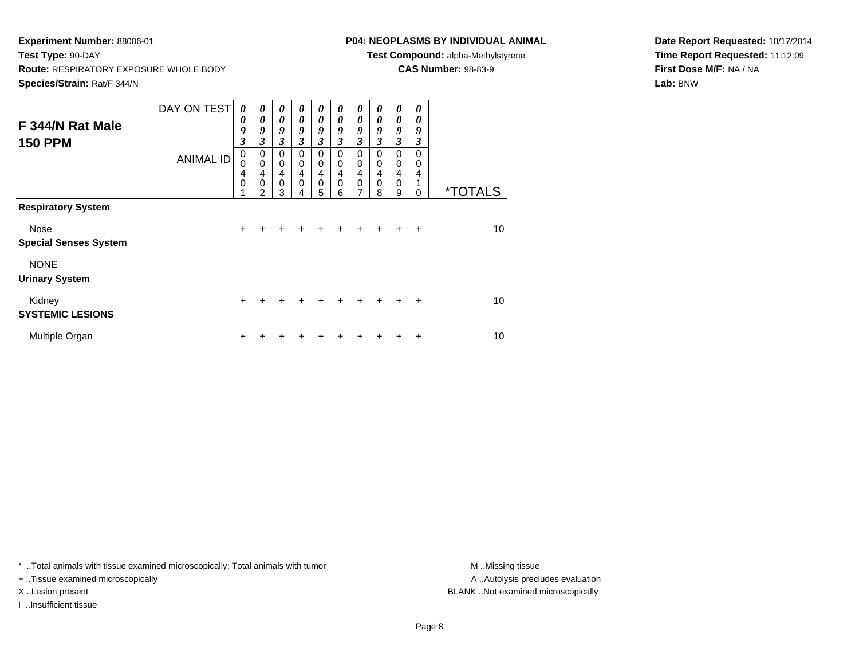# **P04: NEOPLASMS BY INDIVIDUAL ANIMAL**

**Test Compound:** alpha-Methylstyrene

**CAS Number:** 98-83-9

**Date Report Requested:** 10/17/2014**Time Report Requested:** 11:12:09**First Dose M/F:** NA / NA**Lab:** BNW

| F 344/N Rat Male<br><b>150 PPM</b>   | DAY ON TEST<br><b>ANIMAL ID</b> | 0<br>0<br>9<br>$\overline{\mathbf{3}}$<br>0<br>0<br>4<br>0<br>4 | $\boldsymbol{\theta}$<br>$\boldsymbol{\theta}$<br>9<br>3<br>$\mathbf 0$<br>$\mathbf 0$<br>4<br>$\mathbf 0$<br>$\mathfrak{p}$ | $\boldsymbol{\theta}$<br>$\theta$<br>9<br>3<br>$\mathbf 0$<br>$\mathbf 0$<br>4<br>$\mathbf 0$<br>3 | 0<br>$\theta$<br>9<br>3<br>$\mathbf 0$<br>0<br>4<br>0 | 0<br>$\boldsymbol{\theta}$<br>9<br>$\mathfrak{z}$<br>$\mathbf 0$<br>$\mathbf 0$<br>4<br>$\mathbf 0$ | 0<br>$\theta$<br>9<br>3<br>$\Omega$<br>0<br>4<br>$\mathbf 0$ | $\boldsymbol{\theta}$<br>$\boldsymbol{\theta}$<br>9<br>$\mathfrak{z}$<br>$\mathbf 0$<br>0<br>$\overline{\mathbf{4}}$<br>$\mathbf 0$<br>7 | 0<br>0<br>9<br>$\mathfrak{z}$<br>0<br>0<br>4<br>$\mathbf 0$ | 0<br>0<br>9<br>3<br>$\mathbf 0$<br>0<br>4<br>0 | 0<br>0<br>9<br>3<br>$\Omega$<br>0<br>4 | <i><b>*TOTALS</b></i> |
|--------------------------------------|---------------------------------|-----------------------------------------------------------------|------------------------------------------------------------------------------------------------------------------------------|----------------------------------------------------------------------------------------------------|-------------------------------------------------------|-----------------------------------------------------------------------------------------------------|--------------------------------------------------------------|------------------------------------------------------------------------------------------------------------------------------------------|-------------------------------------------------------------|------------------------------------------------|----------------------------------------|-----------------------|
| <b>Respiratory System</b>            |                                 |                                                                 |                                                                                                                              |                                                                                                    | 4                                                     | 5                                                                                                   | 6                                                            |                                                                                                                                          | 8                                                           | 9                                              | $\Omega$                               |                       |
| Nose<br><b>Special Senses System</b> |                                 | $\ddot{}$                                                       | +                                                                                                                            | +                                                                                                  | $\div$                                                | ÷                                                                                                   | $\ddot{}$                                                    | $\pm$                                                                                                                                    | $\div$                                                      | ÷                                              | $\div$                                 | 10                    |
| <b>NONE</b><br><b>Urinary System</b> |                                 |                                                                 |                                                                                                                              |                                                                                                    |                                                       |                                                                                                     |                                                              |                                                                                                                                          |                                                             |                                                |                                        |                       |
| Kidney<br><b>SYSTEMIC LESIONS</b>    |                                 | $\ddot{}$                                                       | $\div$                                                                                                                       | $\div$                                                                                             | $\div$                                                | $\ddot{}$                                                                                           | $\div$                                                       | $\div$                                                                                                                                   | $\div$                                                      | ÷                                              | $\ddot{}$                              | 10                    |
| Multiple Organ                       |                                 | $\div$                                                          |                                                                                                                              |                                                                                                    |                                                       |                                                                                                     |                                                              |                                                                                                                                          |                                                             |                                                | $\ddot{}$                              | 10                    |

\* ..Total animals with tissue examined microscopically; Total animals with tumor **M** . Missing tissue M ..Missing tissue

+ ..Tissue examined microscopically

I ..Insufficient tissue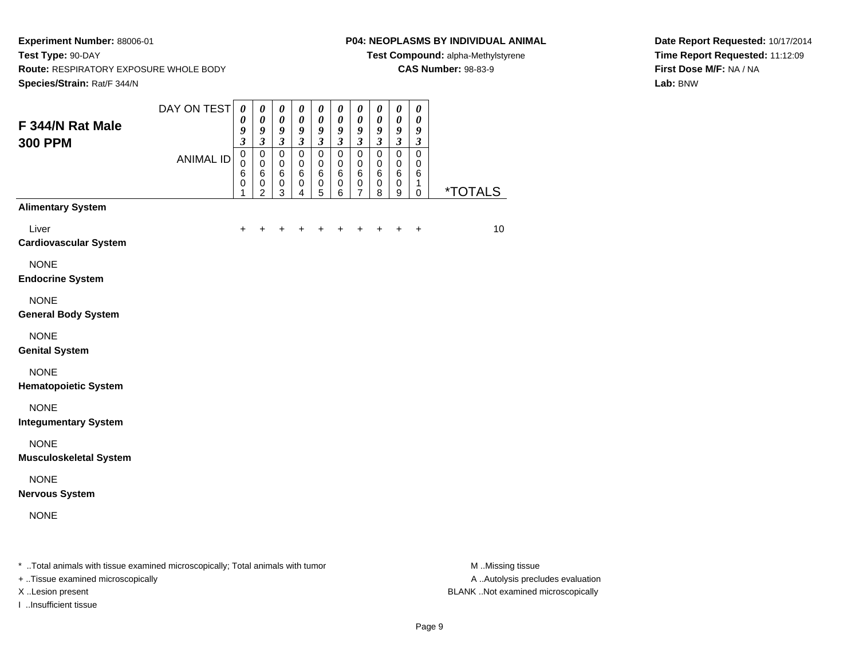#### **P04: NEOPLASMS BY INDIVIDUAL ANIMAL**

**Test Compound:** alpha-Methylstyrene

**CAS Number:** 98-83-9

**Date Report Requested:** 10/17/2014**Time Report Requested:** 11:12:09**First Dose M/F:** NA / NA**Lab:** BNW

| F 344/N Rat Male                                                               | DAY ON TEST      | $\boldsymbol{\theta}$<br>$\pmb{\theta}$<br>9<br>$\overline{\mathbf{3}}$ | $\boldsymbol{\theta}$<br>$\pmb{\theta}$<br>9<br>$\mathfrak{z}$ | $\boldsymbol{\theta}$<br>$\pmb{\theta}$<br>9<br>$\boldsymbol{\beta}$ | 0<br>$\boldsymbol{\theta}$<br>9<br>$\boldsymbol{\mathfrak{z}}$ | 0<br>$\pmb{\theta}$<br>9<br>$\boldsymbol{\beta}$ | 0<br>$\pmb{\theta}$<br>9<br>$\mathfrak{z}$    | 0<br>$\pmb{\theta}$<br>9<br>$\mathfrak{z}$        | 0<br>$\pmb{\theta}$<br>9<br>$\boldsymbol{\mathfrak{z}}$ | $\boldsymbol{\theta}$<br>$\pmb{\theta}$<br>$\boldsymbol{9}$<br>$\mathfrak{z}$ | $\boldsymbol{\theta}$<br>$\boldsymbol{\theta}$<br>$\boldsymbol{9}$<br>$\mathfrak{z}$ |                       |
|--------------------------------------------------------------------------------|------------------|-------------------------------------------------------------------------|----------------------------------------------------------------|----------------------------------------------------------------------|----------------------------------------------------------------|--------------------------------------------------|-----------------------------------------------|---------------------------------------------------|---------------------------------------------------------|-------------------------------------------------------------------------------|--------------------------------------------------------------------------------------|-----------------------|
| <b>300 PPM</b>                                                                 | <b>ANIMAL ID</b> | $\pmb{0}$<br>$\pmb{0}$<br>6<br>0<br>1                                   | 0<br>$\pmb{0}$<br>6<br>$\mathbf 0$<br>2                        | 0<br>$\pmb{0}$<br>6<br>$\,0\,$<br>3                                  | $\mathsf 0$<br>$\pmb{0}$<br>6<br>0<br>4                        | $\mathsf 0$<br>$\pmb{0}$<br>6<br>$\pmb{0}$<br>5  | $\pmb{0}$<br>$\pmb{0}$<br>6<br>$\pmb{0}$<br>6 | $\mathsf 0$<br>$\mathbf 0$<br>6<br>$\pmb{0}$<br>7 | $\mathsf 0$<br>0<br>6<br>$\pmb{0}$<br>8                 | $\pmb{0}$<br>$\mathbf 0$<br>6<br>$\pmb{0}$<br>9                               | $\pmb{0}$<br>$\mathbf 0$<br>6<br>1<br>$\mathbf 0$                                    | <i><b>*TOTALS</b></i> |
| <b>Alimentary System</b>                                                       |                  |                                                                         |                                                                |                                                                      |                                                                |                                                  |                                               |                                                   |                                                         |                                                                               |                                                                                      |                       |
| Liver<br><b>Cardiovascular System</b>                                          |                  |                                                                         |                                                                |                                                                      |                                                                |                                                  |                                               |                                                   |                                                         |                                                                               | $\ddot{}$                                                                            | 10                    |
| <b>NONE</b><br><b>Endocrine System</b>                                         |                  |                                                                         |                                                                |                                                                      |                                                                |                                                  |                                               |                                                   |                                                         |                                                                               |                                                                                      |                       |
| <b>NONE</b><br><b>General Body System</b>                                      |                  |                                                                         |                                                                |                                                                      |                                                                |                                                  |                                               |                                                   |                                                         |                                                                               |                                                                                      |                       |
| <b>NONE</b><br><b>Genital System</b>                                           |                  |                                                                         |                                                                |                                                                      |                                                                |                                                  |                                               |                                                   |                                                         |                                                                               |                                                                                      |                       |
| <b>NONE</b><br><b>Hematopoietic System</b>                                     |                  |                                                                         |                                                                |                                                                      |                                                                |                                                  |                                               |                                                   |                                                         |                                                                               |                                                                                      |                       |
| <b>NONE</b><br><b>Integumentary System</b>                                     |                  |                                                                         |                                                                |                                                                      |                                                                |                                                  |                                               |                                                   |                                                         |                                                                               |                                                                                      |                       |
| <b>NONE</b><br><b>Musculoskeletal System</b>                                   |                  |                                                                         |                                                                |                                                                      |                                                                |                                                  |                                               |                                                   |                                                         |                                                                               |                                                                                      |                       |
| <b>NONE</b><br><b>Nervous System</b>                                           |                  |                                                                         |                                                                |                                                                      |                                                                |                                                  |                                               |                                                   |                                                         |                                                                               |                                                                                      |                       |
| <b>NONE</b>                                                                    |                  |                                                                         |                                                                |                                                                      |                                                                |                                                  |                                               |                                                   |                                                         |                                                                               |                                                                                      |                       |
| * Total animals with tissue examined microscopically; Total animals with tumor |                  |                                                                         |                                                                |                                                                      |                                                                |                                                  |                                               |                                                   |                                                         |                                                                               |                                                                                      | M Missing tissue      |

+ ..Tissue examined microscopically

I ..Insufficient tissue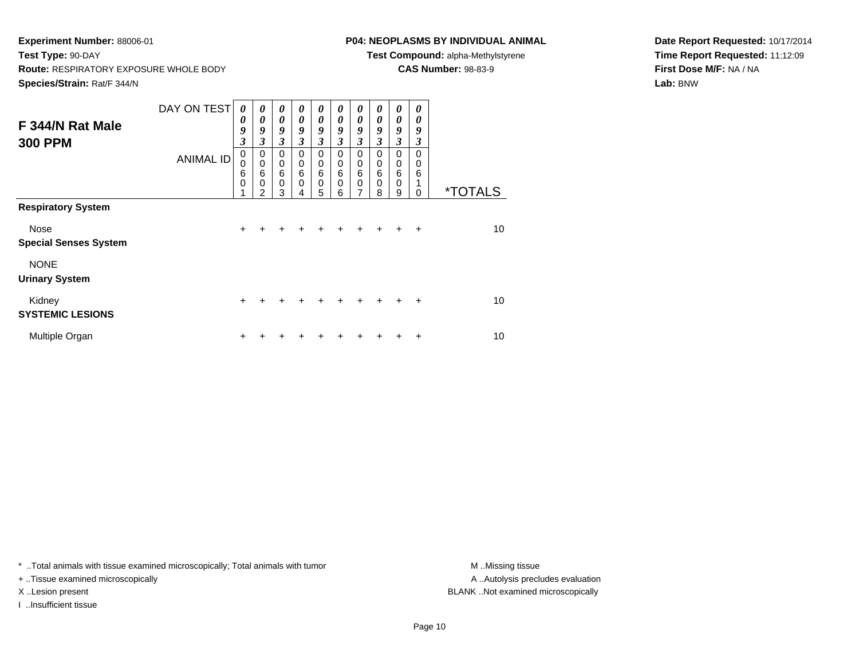# **P04: NEOPLASMS BY INDIVIDUAL ANIMAL**

**Test Compound:** alpha-Methylstyrene

**CAS Number:** 98-83-9

**Date Report Requested:** 10/17/2014**Time Report Requested:** 11:12:09**First Dose M/F:** NA / NA**Lab:** BNW

| F 344/N Rat Male<br><b>300 PPM</b>   | DAY ON TEST<br><b>ANIMAL ID</b> | 0<br>0<br>9<br>$\overline{\mathbf{3}}$<br>0<br>0<br>6 | $\boldsymbol{\theta}$<br>$\boldsymbol{\theta}$<br>9<br>3<br>$\mathbf 0$<br>$\mathbf 0$<br>$6\phantom{1}6$ | $\boldsymbol{\theta}$<br>$\theta$<br>9<br>3<br>$\mathbf 0$<br>$\mathbf 0$<br>6 | 0<br>$\theta$<br>9<br>3<br>$\mathbf 0$<br>$\mathbf 0$<br>6 | 0<br>$\boldsymbol{\theta}$<br>9<br>$\mathfrak{z}$<br>$\mathbf 0$<br>$\mathbf 0$<br>$\,6$ | 0<br>$\theta$<br>9<br>3<br>$\Omega$<br>0<br>6 | $\boldsymbol{\theta}$<br>$\boldsymbol{\theta}$<br>9<br>$\mathfrak{z}$<br>$\mathbf 0$<br>$\mathbf 0$<br>6 | 0<br>0<br>9<br>$\mathfrak{z}$<br>0<br>0<br>6 | 0<br>0<br>9<br>3<br>$\mathbf 0$<br>0<br>6 | 0<br>0<br>9<br>3<br>$\Omega$<br>0<br>6 |                       |
|--------------------------------------|---------------------------------|-------------------------------------------------------|-----------------------------------------------------------------------------------------------------------|--------------------------------------------------------------------------------|------------------------------------------------------------|------------------------------------------------------------------------------------------|-----------------------------------------------|----------------------------------------------------------------------------------------------------------|----------------------------------------------|-------------------------------------------|----------------------------------------|-----------------------|
|                                      |                                 | 0<br>4                                                | $\mathbf 0$<br>$\mathfrak{p}$                                                                             | $\mathbf 0$<br>3                                                               | 0<br>4                                                     | $\mathbf 0$<br>5                                                                         | $\mathbf 0$<br>6                              | $\mathbf 0$<br>7                                                                                         | $\mathbf 0$<br>8                             | 0<br>9                                    | $\Omega$                               | <i><b>*TOTALS</b></i> |
| <b>Respiratory System</b>            |                                 |                                                       |                                                                                                           |                                                                                |                                                            |                                                                                          |                                               |                                                                                                          |                                              |                                           |                                        |                       |
| Nose<br><b>Special Senses System</b> |                                 | $\ddot{}$                                             | +                                                                                                         | +                                                                              | $\div$                                                     | $\ddot{}$                                                                                | $\ddot{}$                                     | $\pm$                                                                                                    | $\div$                                       | ÷                                         | $\div$                                 | 10                    |
| <b>NONE</b><br><b>Urinary System</b> |                                 |                                                       |                                                                                                           |                                                                                |                                                            |                                                                                          |                                               |                                                                                                          |                                              |                                           |                                        |                       |
| Kidney<br><b>SYSTEMIC LESIONS</b>    |                                 | $\ddot{}$                                             | +                                                                                                         | $\div$                                                                         | $\div$                                                     | $\ddot{}$                                                                                | $\div$                                        | $\ddot{}$                                                                                                | $\div$                                       | ÷                                         | $\ddot{}$                              | 10                    |
| Multiple Organ                       |                                 | $\div$                                                |                                                                                                           |                                                                                |                                                            |                                                                                          |                                               |                                                                                                          |                                              |                                           | $\ddot{}$                              | 10                    |

\* ..Total animals with tissue examined microscopically; Total animals with tumor **M** . Missing tissue M ..Missing tissue

+ ..Tissue examined microscopically

I ..Insufficient tissue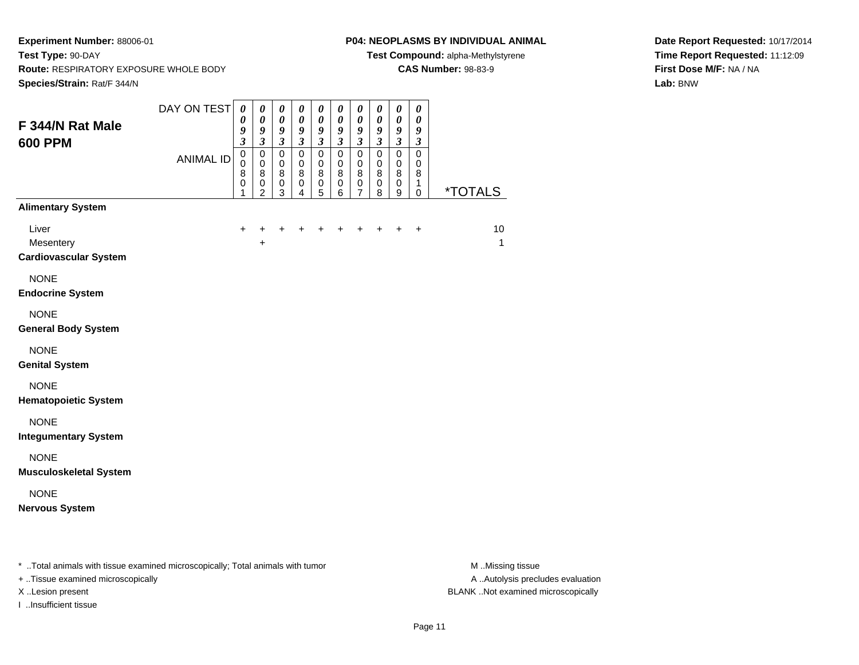#### **P04: NEOPLASMS BY INDIVIDUAL ANIMAL**

**Test Compound:** alpha-Methylstyrene

**CAS Number:** 98-83-9

**Date Report Requested:** 10/17/2014**Time Report Requested:** 11:12:09**First Dose M/F:** NA / NA**Lab:** BNW

|                                                    | DAY ON TEST      | $\boldsymbol{\theta}$                                                 | $\pmb{\theta}$                                                                     | $\pmb{\theta}$                                                      | $\boldsymbol{\theta}$                                                               | $\pmb{\theta}$                                                               | 0                                                                     | $\pmb{\theta}$                                                       | $\pmb{\theta}$                                                     | $\pmb{\theta}$                                                                        | $\boldsymbol{\theta}$                                                     |                       |
|----------------------------------------------------|------------------|-----------------------------------------------------------------------|------------------------------------------------------------------------------------|---------------------------------------------------------------------|-------------------------------------------------------------------------------------|------------------------------------------------------------------------------|-----------------------------------------------------------------------|----------------------------------------------------------------------|--------------------------------------------------------------------|---------------------------------------------------------------------------------------|---------------------------------------------------------------------------|-----------------------|
| F 344/N Rat Male                                   |                  | 0<br>9                                                                | $\boldsymbol{\theta}$<br>9                                                         | $\boldsymbol{\theta}$<br>9                                          | $\boldsymbol{\theta}$<br>9                                                          | 0<br>9                                                                       | $\pmb{\theta}$<br>9                                                   | 0<br>9                                                               | $\boldsymbol{\theta}$<br>9                                         | $\boldsymbol{\theta}$<br>9                                                            | 0<br>9                                                                    |                       |
| <b>600 PPM</b>                                     | <b>ANIMAL ID</b> | $\mathfrak{z}$<br>$\mathbf 0$<br>$\mathbf 0$<br>8<br>$\mathbf 0$<br>1 | $\mathfrak{z}$<br>$\mathbf 0$<br>$\mathbf 0$<br>8<br>$\mathbf 0$<br>$\overline{c}$ | $\mathfrak{z}$<br>$\mathsf 0$<br>$\mathbf 0$<br>8<br>$\pmb{0}$<br>3 | $\boldsymbol{\mathfrak{z}}$<br>$\mathsf 0$<br>$\pmb{0}$<br>$\bf8$<br>$\pmb{0}$<br>4 | $\overline{\mathbf{3}}$<br>$\mathsf 0$<br>$\mathbf 0$<br>8<br>$\pmb{0}$<br>5 | $\overline{\mathbf{3}}$<br>$\overline{0}$<br>0<br>8<br>$\pmb{0}$<br>6 | $\overline{\mathbf{3}}$<br>$\mathbf 0$<br>$\mathbf 0$<br>8<br>0<br>7 | $\overline{\mathbf{3}}$<br>$\pmb{0}$<br>$\mathbf 0$<br>8<br>0<br>8 | $\overline{\mathbf{3}}$<br>$\overline{0}$<br>$\mathbf 0$<br>$\bf 8$<br>$\pmb{0}$<br>9 | $\mathfrak{z}$<br>$\overline{0}$<br>$\mathbf 0$<br>8<br>$\mathbf{1}$<br>0 | <i><b>*TOTALS</b></i> |
| <b>Alimentary System</b>                           |                  |                                                                       |                                                                                    |                                                                     |                                                                                     |                                                                              |                                                                       |                                                                      |                                                                    |                                                                                       |                                                                           |                       |
| Liver<br>Mesentery<br><b>Cardiovascular System</b> |                  | $\ddot{}$                                                             | +<br>$\ddot{}$                                                                     | +                                                                   | +                                                                                   |                                                                              | +                                                                     |                                                                      |                                                                    |                                                                                       | $\ddot{}$                                                                 | 10<br>$\overline{1}$  |
| <b>NONE</b><br><b>Endocrine System</b>             |                  |                                                                       |                                                                                    |                                                                     |                                                                                     |                                                                              |                                                                       |                                                                      |                                                                    |                                                                                       |                                                                           |                       |
| <b>NONE</b><br><b>General Body System</b>          |                  |                                                                       |                                                                                    |                                                                     |                                                                                     |                                                                              |                                                                       |                                                                      |                                                                    |                                                                                       |                                                                           |                       |
| <b>NONE</b><br><b>Genital System</b>               |                  |                                                                       |                                                                                    |                                                                     |                                                                                     |                                                                              |                                                                       |                                                                      |                                                                    |                                                                                       |                                                                           |                       |
| <b>NONE</b><br><b>Hematopoietic System</b>         |                  |                                                                       |                                                                                    |                                                                     |                                                                                     |                                                                              |                                                                       |                                                                      |                                                                    |                                                                                       |                                                                           |                       |
| <b>NONE</b><br><b>Integumentary System</b>         |                  |                                                                       |                                                                                    |                                                                     |                                                                                     |                                                                              |                                                                       |                                                                      |                                                                    |                                                                                       |                                                                           |                       |
| <b>NONE</b><br><b>Musculoskeletal System</b>       |                  |                                                                       |                                                                                    |                                                                     |                                                                                     |                                                                              |                                                                       |                                                                      |                                                                    |                                                                                       |                                                                           |                       |
| <b>NONE</b><br><b>Nervous System</b>               |                  |                                                                       |                                                                                    |                                                                     |                                                                                     |                                                                              |                                                                       |                                                                      |                                                                    |                                                                                       |                                                                           |                       |
|                                                    |                  |                                                                       |                                                                                    |                                                                     |                                                                                     |                                                                              |                                                                       |                                                                      |                                                                    |                                                                                       |                                                                           |                       |

\* ..Total animals with tissue examined microscopically; Total animals with tumor **M** . Missing tissue M ..Missing tissue

+ ..Tissue examined microscopically

I ..Insufficient tissue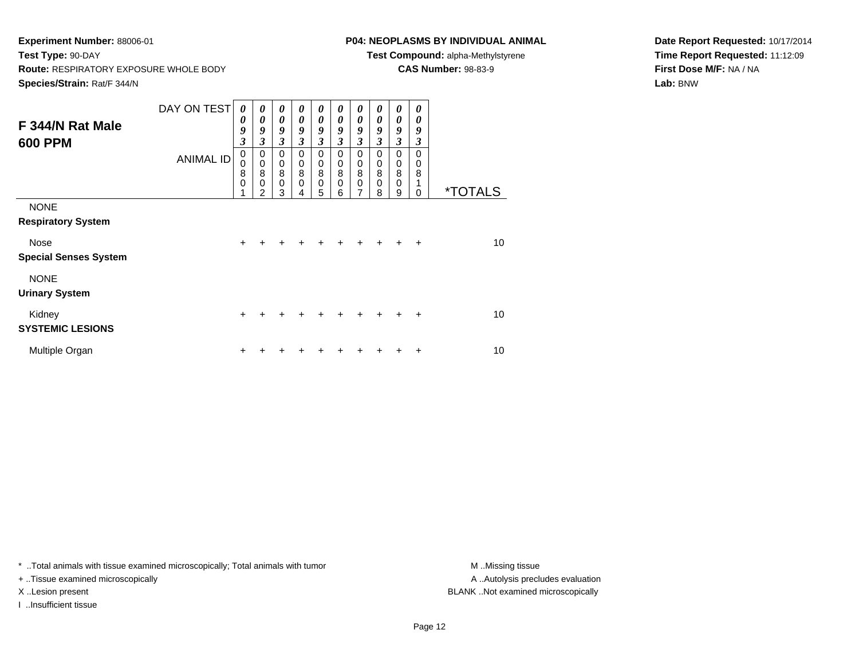# **P04: NEOPLASMS BY INDIVIDUAL ANIMAL**

**Test Compound:** alpha-Methylstyrene

**CAS Number:** 98-83-9

**Date Report Requested:** 10/17/2014**Time Report Requested:** 11:12:09**First Dose M/F:** NA / NA**Lab:** BNW

| F 344/N Rat Male<br><b>600 PPM</b>       | DAY ON TEST<br><b>ANIMAL ID</b> | 0<br>0<br>9<br>3<br>$\mathbf 0$<br>0<br>8<br>$\mathbf 0$ | 0<br>0<br>9<br>3<br>$\mathbf 0$<br>$\mathbf 0$<br>8<br>0<br>2 | $\boldsymbol{\theta}$<br>$\boldsymbol{\theta}$<br>9<br>$\mathfrak{z}$<br>0<br>$\,0\,$<br>$\bf8$<br>$\mathbf 0$<br>3 | 0<br>0<br>9<br>3<br>0<br>$\mathbf 0$<br>8<br>0<br>4 | 0<br>$\boldsymbol{\theta}$<br>9<br>3<br>0<br>$\pmb{0}$<br>8<br>$\mathbf 0$<br>5 | 0<br>0<br>9<br>3<br>$\mathbf 0$<br>$\pmb{0}$<br>8<br>$\mathbf 0$<br>6 | 0<br>$\theta$<br>9<br>3<br>$\mathbf 0$<br>$\pmb{0}$<br>8<br>$\mathbf 0$<br>7 | 0<br>$\boldsymbol{\theta}$<br>9<br>3<br>$\mathbf 0$<br>$\mathbf 0$<br>8<br>$\mathbf 0$<br>8 | $\boldsymbol{\theta}$<br>$\theta$<br>9<br>$\boldsymbol{\beta}$<br>$\mathbf 0$<br>$\pmb{0}$<br>$\overline{8}$<br>$\mathbf 0$<br>9 | 0<br>0<br>9<br>3<br>$\Omega$<br>0<br>8<br>1<br>$\Omega$ | <i><b>*TOTALS</b></i> |
|------------------------------------------|---------------------------------|----------------------------------------------------------|---------------------------------------------------------------|---------------------------------------------------------------------------------------------------------------------|-----------------------------------------------------|---------------------------------------------------------------------------------|-----------------------------------------------------------------------|------------------------------------------------------------------------------|---------------------------------------------------------------------------------------------|----------------------------------------------------------------------------------------------------------------------------------|---------------------------------------------------------|-----------------------|
| <b>NONE</b><br><b>Respiratory System</b> |                                 |                                                          |                                                               |                                                                                                                     |                                                     |                                                                                 |                                                                       |                                                                              |                                                                                             |                                                                                                                                  |                                                         |                       |
| Nose<br><b>Special Senses System</b>     |                                 | $\ddot{}$                                                | ÷                                                             | $\div$                                                                                                              | +                                                   | $\ddot{}$                                                                       | +                                                                     | $\ddot{}$                                                                    | $\ddot{}$                                                                                   | $\div$                                                                                                                           | $\ddot{}$                                               | 10 <sup>1</sup>       |
| <b>NONE</b><br><b>Urinary System</b>     |                                 |                                                          |                                                               |                                                                                                                     |                                                     |                                                                                 |                                                                       |                                                                              |                                                                                             |                                                                                                                                  |                                                         |                       |
| Kidney<br><b>SYSTEMIC LESIONS</b>        |                                 | $\ddot{}$                                                | +                                                             | +                                                                                                                   | ٠                                                   | ٠                                                                               | ٠                                                                     | +                                                                            | +                                                                                           | +                                                                                                                                | $\ddot{}$                                               | 10                    |
| Multiple Organ                           |                                 | ÷                                                        |                                                               |                                                                                                                     |                                                     |                                                                                 |                                                                       |                                                                              |                                                                                             |                                                                                                                                  | ٠                                                       | 10                    |

\* ..Total animals with tissue examined microscopically; Total animals with tumor **M** . Missing tissue M ..Missing tissue

+ ..Tissue examined microscopically

I ..Insufficient tissue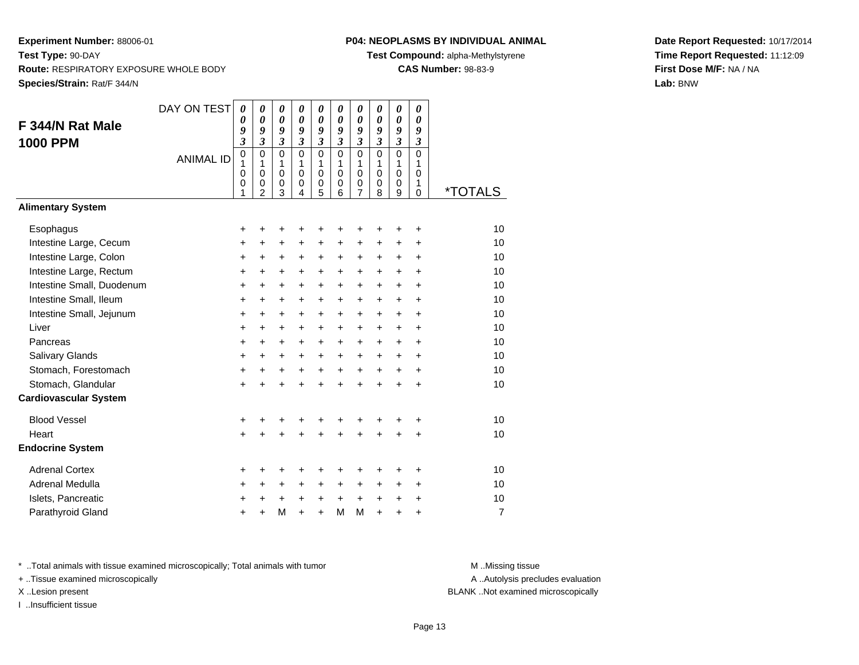# **P04: NEOPLASMS BY INDIVIDUAL ANIMAL**

**Test Compound:** alpha-Methylstyrene

**CAS Number:** 98-83-9

**Date Report Requested:** 10/17/2014**Time Report Requested:** 11:12:09**First Dose M/F:** NA / NA**Lab:** BNW

| F 344/N Rat Male<br><b>1000 PPM</b><br><b>Alimentary System</b> | DAY ON TEST<br><b>ANIMAL ID</b> | 0<br>0<br>9<br>$\overline{\mathbf{3}}$<br>$\mathbf 0$<br>1<br>0<br>0<br>1 | 0<br>$\theta$<br>9<br>$\overline{\mathbf{3}}$<br>$\mathbf 0$<br>$\mathbf{1}$<br>$\mathbf 0$<br>0<br>$\overline{2}$ | 0<br>$\boldsymbol{\theta}$<br>9<br>$\mathfrak{z}$<br>$\mathbf 0$<br>1<br>$\mathbf 0$<br>0<br>3 | 0<br>$\boldsymbol{\theta}$<br>9<br>$\overline{\mathbf{3}}$<br>$\Omega$<br>1<br>$\mathbf 0$<br>0<br>4 | 0<br>$\boldsymbol{\theta}$<br>9<br>$\mathfrak{z}$<br>$\mathbf 0$<br>1<br>$\mathbf 0$<br>$\frac{0}{5}$ | 0<br>0<br>9<br>$\overline{\mathbf{3}}$<br>0<br>$\mathbf{1}$<br>$\mathbf 0$<br>0<br>6 | 0<br>0<br>9<br>$\overline{\mathbf{3}}$<br>$\overline{0}$<br>1<br>$\mathbf 0$<br>0<br>$\overline{7}$ | 0<br>0<br>9<br>$\overline{3}$<br>$\Omega$<br>1<br>$\mathbf 0$<br>0<br>8 | 0<br>$\boldsymbol{\theta}$<br>9<br>$\overline{\mathbf{3}}$<br>$\overline{0}$<br>1<br>$\mathbf 0$<br>0<br>9 | 0<br>$\boldsymbol{\theta}$<br>9<br>$\mathfrak{z}$<br>$\Omega$<br>$\mathbf{1}$<br>0<br>1<br>$\Omega$ | *TOTALS        |
|-----------------------------------------------------------------|---------------------------------|---------------------------------------------------------------------------|--------------------------------------------------------------------------------------------------------------------|------------------------------------------------------------------------------------------------|------------------------------------------------------------------------------------------------------|-------------------------------------------------------------------------------------------------------|--------------------------------------------------------------------------------------|-----------------------------------------------------------------------------------------------------|-------------------------------------------------------------------------|------------------------------------------------------------------------------------------------------------|-----------------------------------------------------------------------------------------------------|----------------|
|                                                                 |                                 |                                                                           |                                                                                                                    |                                                                                                |                                                                                                      |                                                                                                       |                                                                                      |                                                                                                     |                                                                         |                                                                                                            |                                                                                                     |                |
| Esophagus                                                       |                                 | +                                                                         | +                                                                                                                  | +                                                                                              | +                                                                                                    | +                                                                                                     | +                                                                                    | +                                                                                                   | +                                                                       | +                                                                                                          | +                                                                                                   | 10             |
| Intestine Large, Cecum                                          |                                 | $\ddot{}$                                                                 | $\ddot{}$                                                                                                          | +                                                                                              | $\ddot{}$                                                                                            | +                                                                                                     | +                                                                                    | +                                                                                                   | +                                                                       | +                                                                                                          | $\ddot{}$                                                                                           | 10             |
| Intestine Large, Colon                                          |                                 | $\ddot{}$                                                                 | $\ddot{}$                                                                                                          | +                                                                                              | $\ddot{}$                                                                                            | $\ddot{}$                                                                                             | +                                                                                    | +                                                                                                   | $\ddot{}$                                                               | $\ddot{}$                                                                                                  | $\ddot{}$                                                                                           | 10             |
| Intestine Large, Rectum                                         |                                 | $\ddot{}$                                                                 | $\ddot{}$                                                                                                          | $\ddot{}$                                                                                      | $\ddot{}$                                                                                            | $+$                                                                                                   | $+$                                                                                  | $\ddot{}$                                                                                           | $\ddot{}$                                                               | $+$                                                                                                        | $\ddot{}$                                                                                           | 10             |
| Intestine Small, Duodenum                                       |                                 | $\ddot{}$                                                                 | $\ddot{}$                                                                                                          | +                                                                                              | $\ddot{}$                                                                                            | +                                                                                                     | +                                                                                    | +                                                                                                   | +                                                                       | +                                                                                                          | $\ddot{}$                                                                                           | 10             |
| Intestine Small, Ileum                                          |                                 | +                                                                         | +                                                                                                                  | +                                                                                              | $\ddot{}$                                                                                            | +                                                                                                     | +                                                                                    | +                                                                                                   | +                                                                       | +                                                                                                          | $\ddot{}$                                                                                           | 10             |
| Intestine Small, Jejunum                                        |                                 | $\ddot{}$                                                                 | $\ddot{}$                                                                                                          | +                                                                                              | $\ddot{}$                                                                                            | +                                                                                                     | +                                                                                    | +                                                                                                   | $\ddot{}$                                                               | +                                                                                                          | $\ddot{}$                                                                                           | 10             |
| Liver                                                           |                                 | $\ddot{}$                                                                 | +                                                                                                                  | $\pm$                                                                                          | $\ddot{}$                                                                                            | $\ddot{}$                                                                                             | $\ddot{}$                                                                            | $\ddot{}$                                                                                           | $\ddot{}$                                                               | $\ddot{}$                                                                                                  | $\ddot{}$                                                                                           | 10             |
| Pancreas                                                        |                                 | $\ddot{}$                                                                 | $\ddot{}$                                                                                                          | $\ddot{}$                                                                                      | $\ddot{}$                                                                                            | $\ddot{}$                                                                                             | $\ddot{}$                                                                            | $\ddot{}$                                                                                           | $\ddot{}$                                                               | $+$                                                                                                        | $\ddot{}$                                                                                           | 10             |
| Salivary Glands                                                 |                                 | $\ddot{}$                                                                 | $\ddot{}$                                                                                                          | $\pm$                                                                                          | $\ddot{}$                                                                                            | $\ddot{}$                                                                                             | $\ddot{}$                                                                            | $\ddot{}$                                                                                           | $\ddot{}$                                                               | $\ddot{}$                                                                                                  | $\ddot{}$                                                                                           | 10             |
| Stomach, Forestomach                                            |                                 | $\ddot{}$                                                                 | $\ddot{}$                                                                                                          | +                                                                                              | $\ddot{}$                                                                                            | $\ddot{}$                                                                                             | $\ddot{}$                                                                            | $\ddot{}$                                                                                           | $\ddot{}$                                                               | $\ddot{}$                                                                                                  | $\ddot{}$                                                                                           | 10             |
| Stomach, Glandular                                              |                                 | $\ddot{}$                                                                 | $\ddot{}$                                                                                                          | $\ddot{}$                                                                                      | $\ddot{}$                                                                                            | $\ddot{}$                                                                                             | $\ddot{}$                                                                            | $\ddot{}$                                                                                           | $\ddot{}$                                                               | $\ddot{}$                                                                                                  | $\ddot{}$                                                                                           | 10             |
| <b>Cardiovascular System</b>                                    |                                 |                                                                           |                                                                                                                    |                                                                                                |                                                                                                      |                                                                                                       |                                                                                      |                                                                                                     |                                                                         |                                                                                                            |                                                                                                     |                |
| <b>Blood Vessel</b>                                             |                                 | +                                                                         | +                                                                                                                  | +                                                                                              |                                                                                                      |                                                                                                       |                                                                                      | +                                                                                                   |                                                                         |                                                                                                            | +                                                                                                   | 10             |
| Heart                                                           |                                 | $\ddot{}$                                                                 | $\ddot{}$                                                                                                          | $\ddot{}$                                                                                      | ÷                                                                                                    | $\ddot{}$                                                                                             | $\ddot{}$                                                                            | +                                                                                                   | Ŧ.                                                                      | +                                                                                                          |                                                                                                     | 10             |
| <b>Endocrine System</b>                                         |                                 |                                                                           |                                                                                                                    |                                                                                                |                                                                                                      |                                                                                                       |                                                                                      |                                                                                                     |                                                                         |                                                                                                            |                                                                                                     |                |
| <b>Adrenal Cortex</b>                                           |                                 | +                                                                         | +                                                                                                                  | +                                                                                              | +                                                                                                    | +                                                                                                     | +                                                                                    | +                                                                                                   | +                                                                       | +                                                                                                          | +                                                                                                   | 10             |
| Adrenal Medulla                                                 |                                 | +                                                                         | $\ddot{}$                                                                                                          | +                                                                                              | $\ddot{}$                                                                                            | +                                                                                                     | $\ddot{}$                                                                            | $\ddot{}$                                                                                           | $\ddot{}$                                                               | +                                                                                                          | $\ddot{}$                                                                                           | 10             |
| Islets, Pancreatic                                              |                                 | +                                                                         | +                                                                                                                  | +                                                                                              | $\ddot{}$                                                                                            | $\ddot{}$                                                                                             | $\ddot{}$                                                                            | $\ddot{}$                                                                                           | $\ddot{}$                                                               | +                                                                                                          | +                                                                                                   | 10             |
| Parathyroid Gland                                               |                                 | ÷                                                                         | $\ddot{}$                                                                                                          | M                                                                                              | $\ddot{}$                                                                                            | $\ddot{}$                                                                                             | M                                                                                    | M                                                                                                   | $\ddot{}$                                                               | $\ddot{}$                                                                                                  | $\ddot{}$                                                                                           | $\overline{7}$ |
|                                                                 |                                 |                                                                           |                                                                                                                    |                                                                                                |                                                                                                      |                                                                                                       |                                                                                      |                                                                                                     |                                                                         |                                                                                                            |                                                                                                     |                |

\* ..Total animals with tissue examined microscopically; Total animals with tumor **M** . Missing tissue M ..Missing tissue

+ ..Tissue examined microscopically

I ..Insufficient tissue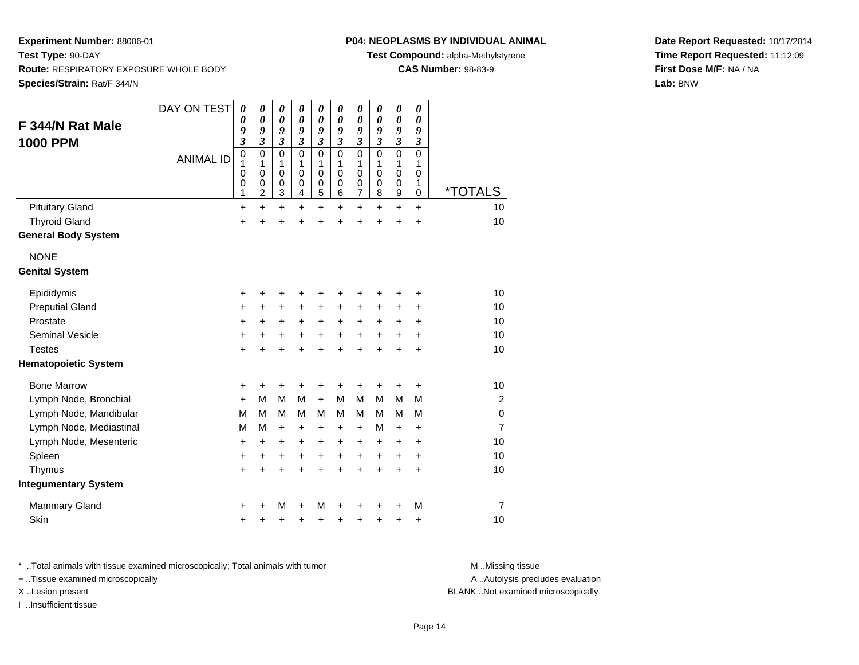# **P04: NEOPLASMS BY INDIVIDUAL ANIMAL**

**Test Compound:** alpha-Methylstyrene

**CAS Number:** 98-83-9

**Date Report Requested:** 10/17/2014**Time Report Requested:** 11:12:09**First Dose M/F:** NA / NA**Lab:** BNW

| F 344/N Rat Male<br><b>1000 PPM</b> | DAY ON TEST<br><b>ANIMAL ID</b> | $\boldsymbol{\theta}$<br>$\boldsymbol{\theta}$<br>9<br>$\overline{\mathbf{3}}$<br>$\mathbf 0$<br>1<br>0<br>$\mathbf 0$<br>1 | 0<br>$\boldsymbol{\theta}$<br>9<br>$\overline{\mathbf{3}}$<br>$\mathbf 0$<br>1<br>$\mathbf 0$<br>0<br>2 | 0<br>$\boldsymbol{\theta}$<br>9<br>$\mathfrak{z}$<br>$\mathbf 0$<br>1<br>$\mathbf 0$<br>$\pmb{0}$<br>$\mathbf{3}$ | 0<br>$\boldsymbol{\theta}$<br>9<br>$\boldsymbol{\beta}$<br>$\mathbf 0$<br>1<br>$\mathbf 0$<br>0<br>4 | 0<br>$\boldsymbol{\theta}$<br>9<br>$\boldsymbol{\beta}$<br>$\mathbf 0$<br>1<br>$\mathbf 0$<br>$\pmb{0}$<br>5 | 0<br>$\pmb{\theta}$<br>9<br>$\mathfrak{z}$<br>$\mathbf 0$<br>1<br>$\mathbf 0$<br>$\boldsymbol{0}$<br>6 | 0<br>0<br>9<br>$\boldsymbol{\beta}$<br>0<br>1<br>0<br>$\mathbf 0$<br>$\overline{7}$ | 0<br>0<br>9<br>$\mathfrak{z}$<br>$\mathbf 0$<br>1<br>$\mathbf 0$<br>$\pmb{0}$<br>8 | 0<br>$\boldsymbol{\theta}$<br>9<br>$\boldsymbol{\mathfrak{z}}$<br>$\mathbf 0$<br>1<br>0<br>0<br>9 | 0<br>$\boldsymbol{\theta}$<br>9<br>$\mathfrak{z}$<br>$\Omega$<br>1<br>0<br>1<br>0 | *TOTALS        |
|-------------------------------------|---------------------------------|-----------------------------------------------------------------------------------------------------------------------------|---------------------------------------------------------------------------------------------------------|-------------------------------------------------------------------------------------------------------------------|------------------------------------------------------------------------------------------------------|--------------------------------------------------------------------------------------------------------------|--------------------------------------------------------------------------------------------------------|-------------------------------------------------------------------------------------|------------------------------------------------------------------------------------|---------------------------------------------------------------------------------------------------|-----------------------------------------------------------------------------------|----------------|
| <b>Pituitary Gland</b>              |                                 | $\ddot{}$                                                                                                                   | $\ddot{}$                                                                                               | $\ddot{}$                                                                                                         | $\ddot{}$                                                                                            | $\ddot{}$                                                                                                    | $\ddot{}$                                                                                              | $\ddot{}$                                                                           | +                                                                                  | $\ddot{}$                                                                                         | $\ddot{}$                                                                         | 10             |
| <b>Thyroid Gland</b>                |                                 | +                                                                                                                           |                                                                                                         | +                                                                                                                 | +                                                                                                    | +                                                                                                            | +                                                                                                      | +                                                                                   | +                                                                                  | +                                                                                                 | +                                                                                 | 10             |
| <b>General Body System</b>          |                                 |                                                                                                                             |                                                                                                         |                                                                                                                   |                                                                                                      |                                                                                                              |                                                                                                        |                                                                                     |                                                                                    |                                                                                                   |                                                                                   |                |
| <b>NONE</b>                         |                                 |                                                                                                                             |                                                                                                         |                                                                                                                   |                                                                                                      |                                                                                                              |                                                                                                        |                                                                                     |                                                                                    |                                                                                                   |                                                                                   |                |
| <b>Genital System</b>               |                                 |                                                                                                                             |                                                                                                         |                                                                                                                   |                                                                                                      |                                                                                                              |                                                                                                        |                                                                                     |                                                                                    |                                                                                                   |                                                                                   |                |
| Epididymis                          |                                 | +                                                                                                                           |                                                                                                         |                                                                                                                   |                                                                                                      |                                                                                                              |                                                                                                        | +                                                                                   |                                                                                    | +                                                                                                 | +                                                                                 | 10             |
| <b>Preputial Gland</b>              |                                 | $\ddot{}$                                                                                                                   | $\ddot{}$                                                                                               | $\ddot{}$                                                                                                         | $\ddot{}$                                                                                            | $\ddot{}$                                                                                                    | +                                                                                                      | $\ddot{}$                                                                           | +                                                                                  | +                                                                                                 | +                                                                                 | 10             |
| Prostate                            |                                 | $\ddot{}$                                                                                                                   | +                                                                                                       | $\ddot{}$                                                                                                         | +                                                                                                    | $\ddot{}$                                                                                                    | +                                                                                                      | +                                                                                   | +                                                                                  | +                                                                                                 | $\ddot{}$                                                                         | 10             |
| <b>Seminal Vesicle</b>              |                                 | $\pmb{+}$                                                                                                                   | +                                                                                                       | +                                                                                                                 | +                                                                                                    | +                                                                                                            | +                                                                                                      | +                                                                                   | +                                                                                  | +                                                                                                 | +                                                                                 | 10             |
| <b>Testes</b>                       |                                 | $\ddot{}$                                                                                                                   |                                                                                                         | $\ddot{}$                                                                                                         |                                                                                                      | ÷                                                                                                            | ÷.                                                                                                     | $\ddot{}$                                                                           | $\ddot{}$                                                                          | $\ddot{}$                                                                                         | $\ddot{}$                                                                         | 10             |
| <b>Hematopoietic System</b>         |                                 |                                                                                                                             |                                                                                                         |                                                                                                                   |                                                                                                      |                                                                                                              |                                                                                                        |                                                                                     |                                                                                    |                                                                                                   |                                                                                   |                |
| <b>Bone Marrow</b>                  |                                 | +                                                                                                                           | +                                                                                                       | +                                                                                                                 |                                                                                                      | +                                                                                                            |                                                                                                        | +                                                                                   | +                                                                                  | +                                                                                                 | +                                                                                 | 10             |
| Lymph Node, Bronchial               |                                 | $\ddot{}$                                                                                                                   | M                                                                                                       | M                                                                                                                 | M                                                                                                    | $+$                                                                                                          | M                                                                                                      | M                                                                                   | м                                                                                  | M                                                                                                 | М                                                                                 | 2              |
| Lymph Node, Mandibular              |                                 | M                                                                                                                           | M                                                                                                       | M                                                                                                                 | М                                                                                                    | M                                                                                                            | М                                                                                                      | M                                                                                   | м                                                                                  | М                                                                                                 | M                                                                                 | $\mathbf 0$    |
| Lymph Node, Mediastinal             |                                 | M                                                                                                                           | м                                                                                                       | $\ddot{}$                                                                                                         | $\ddot{}$                                                                                            | +                                                                                                            | $\pm$                                                                                                  | $\ddot{}$                                                                           | м                                                                                  | +                                                                                                 | +                                                                                 | $\overline{7}$ |
| Lymph Node, Mesenteric              |                                 | $\ddot{}$                                                                                                                   | $\ddot{}$                                                                                               | +                                                                                                                 | +                                                                                                    | +                                                                                                            | +                                                                                                      | +                                                                                   | +                                                                                  | +                                                                                                 | $\ddot{}$                                                                         | 10             |
| Spleen                              |                                 | $\ddot{}$                                                                                                                   | $\ddot{}$                                                                                               | $\ddot{}$                                                                                                         | $\ddot{}$                                                                                            | $\ddot{}$                                                                                                    | $\ddot{}$                                                                                              | $\ddot{}$                                                                           | $\ddot{}$                                                                          | $\ddot{}$                                                                                         | $\ddot{}$                                                                         | 10             |
| Thymus                              |                                 | $\ddot{}$                                                                                                                   | +                                                                                                       | +                                                                                                                 | $\ddot{}$                                                                                            | $\ddot{}$                                                                                                    | $\ddot{}$                                                                                              | $\ddot{}$                                                                           | $\ddot{}$                                                                          | $\ddot{}$                                                                                         | $\ddot{}$                                                                         | 10             |
| <b>Integumentary System</b>         |                                 |                                                                                                                             |                                                                                                         |                                                                                                                   |                                                                                                      |                                                                                                              |                                                                                                        |                                                                                     |                                                                                    |                                                                                                   |                                                                                   |                |
| <b>Mammary Gland</b>                |                                 | +                                                                                                                           |                                                                                                         | M                                                                                                                 | +                                                                                                    | M                                                                                                            |                                                                                                        |                                                                                     |                                                                                    | +                                                                                                 | M                                                                                 | 7              |
| Skin                                |                                 | $\ddot{}$                                                                                                                   |                                                                                                         | +                                                                                                                 | +                                                                                                    | +                                                                                                            | +                                                                                                      | +                                                                                   | +                                                                                  | +                                                                                                 | +                                                                                 | 10             |

\* ..Total animals with tissue examined microscopically; Total animals with tumor **M** . Missing tissue M ..Missing tissue

+ ..Tissue examined microscopically

I ..Insufficient tissue

A ..Autolysis precludes evaluation

X ..Lesion present BLANK ..Not examined microscopically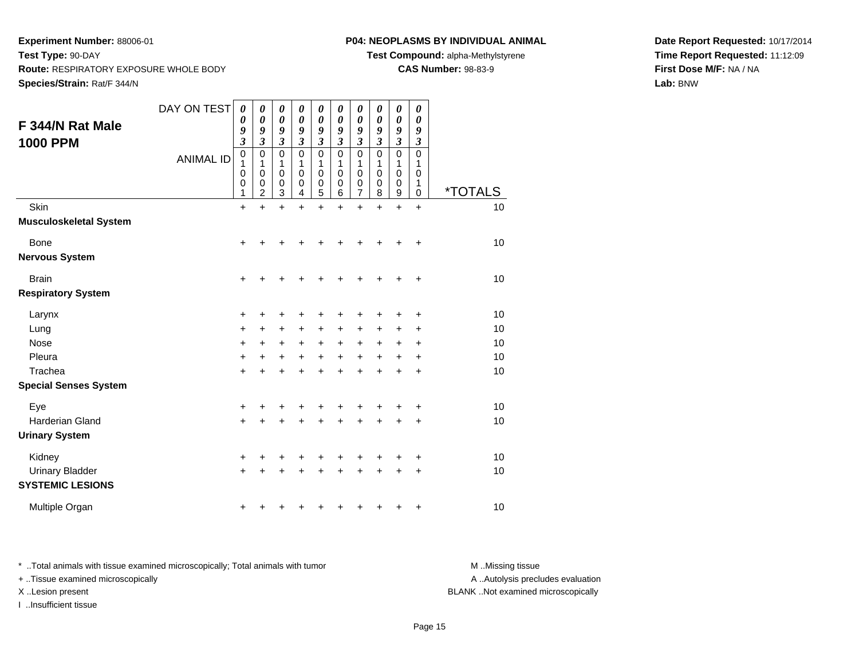# **P04: NEOPLASMS BY INDIVIDUAL ANIMAL**

**Test Compound:** alpha-Methylstyrene

**CAS Number:** 98-83-9

**Date Report Requested:** 10/17/2014**Time Report Requested:** 11:12:09**First Dose M/F:** NA / NA**Lab:** BNW

| F 344/N Rat Male<br><b>1000 PPM</b> | DAY ON TEST      | $\boldsymbol{\theta}$<br>0<br>9<br>$\mathfrak{z}$ | 0<br>$\boldsymbol{\theta}$<br>9<br>$\mathfrak{z}$ | 0<br>$\boldsymbol{\theta}$<br>9<br>$\overline{\mathbf{3}}$ | $\pmb{\theta}$<br>0<br>9<br>$\overline{\mathbf{3}}$ | 0<br>0<br>9<br>$\overline{\mathbf{3}}$ | 0<br>0<br>9<br>$\overline{\mathbf{3}}$ | $\pmb{\theta}$<br>0<br>9<br>3   | 0<br>0<br>9<br>3                | 0<br>$\boldsymbol{\theta}$<br>9<br>$\overline{\mathbf{3}}$ | 0<br>$\boldsymbol{\theta}$<br>9<br>$\boldsymbol{\beta}$ |                       |
|-------------------------------------|------------------|---------------------------------------------------|---------------------------------------------------|------------------------------------------------------------|-----------------------------------------------------|----------------------------------------|----------------------------------------|---------------------------------|---------------------------------|------------------------------------------------------------|---------------------------------------------------------|-----------------------|
|                                     | <b>ANIMAL ID</b> | $\mathbf 0$<br>1<br>0<br>0<br>1                   | 0<br>1<br>0<br>0<br>$\overline{2}$                | 0<br>1<br>0<br>$_3^0$                                      | 0<br>1<br>0<br>0<br>4                               | 0<br>1<br>0<br>0<br>5                  | 0<br>1<br>0<br>0<br>6                  | $\mathbf 0$<br>1<br>0<br>0<br>7 | $\mathbf 0$<br>1<br>0<br>0<br>8 | $\mathbf 0$<br>1<br>0<br>0<br>9                            | 0<br>1<br>0<br>1<br>0                                   | <i><b>*TOTALS</b></i> |
| Skin                                |                  | $\ddot{}$                                         | $\ddot{}$                                         | $\ddot{}$                                                  | $\ddot{}$                                           | $\ddot{}$                              | $\ddot{}$                              | $\ddot{}$                       | $\ddot{}$                       | $\ddot{}$                                                  | $\ddot{}$                                               | 10                    |
| <b>Musculoskeletal System</b>       |                  |                                                   |                                                   |                                                            |                                                     |                                        |                                        |                                 |                                 |                                                            |                                                         |                       |
| Bone                                |                  | $\ddot{}$                                         |                                                   |                                                            |                                                     |                                        |                                        |                                 |                                 |                                                            | $\ddot{}$                                               | 10                    |
| <b>Nervous System</b>               |                  |                                                   |                                                   |                                                            |                                                     |                                        |                                        |                                 |                                 |                                                            |                                                         |                       |
| <b>Brain</b>                        |                  | $\ddot{}$                                         | +                                                 | +                                                          |                                                     | +                                      | +                                      | +                               | +                               | +                                                          | +                                                       | 10                    |
| <b>Respiratory System</b>           |                  |                                                   |                                                   |                                                            |                                                     |                                        |                                        |                                 |                                 |                                                            |                                                         |                       |
| Larynx                              |                  | +                                                 |                                                   |                                                            |                                                     |                                        |                                        |                                 |                                 |                                                            | +                                                       | 10                    |
| Lung                                |                  | $\ddot{}$                                         | +                                                 | +                                                          | +                                                   | +                                      | +                                      | +                               | +                               | ٠                                                          | ٠                                                       | 10                    |
| <b>Nose</b>                         |                  | $\ddot{}$                                         | $\ddot{}$                                         | $\ddot{}$                                                  | $\ddot{}$                                           | $\ddot{}$                              | +                                      | $\ddot{}$                       | $\ddot{}$                       | +                                                          | +                                                       | 10                    |
| Pleura                              |                  | $\ddot{}$                                         | $\pm$                                             | $\ddot{}$                                                  | $+$                                                 | $\ddot{}$                              | $\ddot{}$                              | $\ddot{}$                       | $\ddot{}$                       | $\ddot{}$                                                  | $\ddot{}$                                               | 10                    |
| Trachea                             |                  | $\ddot{}$                                         |                                                   | $\ddot{}$                                                  |                                                     | $\ddot{}$                              |                                        | $\ddot{}$                       |                                 |                                                            | +                                                       | 10                    |
| <b>Special Senses System</b>        |                  |                                                   |                                                   |                                                            |                                                     |                                        |                                        |                                 |                                 |                                                            |                                                         |                       |
| Eye                                 |                  | +                                                 |                                                   | +                                                          |                                                     | +                                      |                                        | +                               |                                 |                                                            | +                                                       | 10                    |
| <b>Harderian Gland</b>              |                  | $\ddot{}$                                         |                                                   |                                                            |                                                     | +                                      |                                        | +                               |                                 |                                                            | +                                                       | 10                    |
| <b>Urinary System</b>               |                  |                                                   |                                                   |                                                            |                                                     |                                        |                                        |                                 |                                 |                                                            |                                                         |                       |
| Kidney                              |                  | +                                                 |                                                   | +                                                          | +                                                   | +                                      | +                                      | +                               | +                               | +                                                          | +                                                       | 10                    |
| <b>Urinary Bladder</b>              |                  | $\ddot{}$                                         |                                                   |                                                            |                                                     | +                                      |                                        | +                               | +                               | +                                                          | +                                                       | 10                    |
| <b>SYSTEMIC LESIONS</b>             |                  |                                                   |                                                   |                                                            |                                                     |                                        |                                        |                                 |                                 |                                                            |                                                         |                       |
| Multiple Organ                      |                  | +                                                 |                                                   |                                                            |                                                     | ٠                                      |                                        | ٠                               |                                 |                                                            | +                                                       | 10                    |

\* ..Total animals with tissue examined microscopically; Total animals with tumor **M** . Missing tissue M ..Missing tissue A ..Autolysis precludes evaluation + ..Tissue examined microscopically X ..Lesion present BLANK ..Not examined microscopicallyI ..Insufficient tissue

Page 15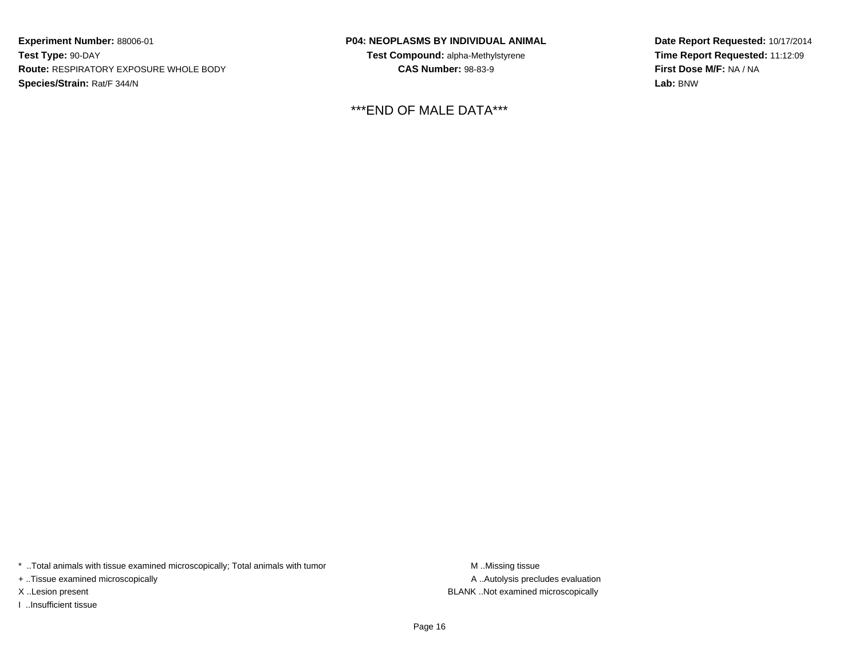**P04: NEOPLASMS BY INDIVIDUAL ANIMAL**

**Test Compound:** alpha-Methylstyrene**CAS Number:** 98-83-9

\*\*\*END OF MALE DATA\*\*\*

**Date Report Requested:** 10/17/2014**Time Report Requested:** 11:12:09**First Dose M/F:** NA / NA**Lab:** BNW

\* ..Total animals with tissue examined microscopically; Total animals with tumor **M** . Missing tissue M ..Missing tissue

+ ..Tissue examined microscopically

I ..Insufficient tissue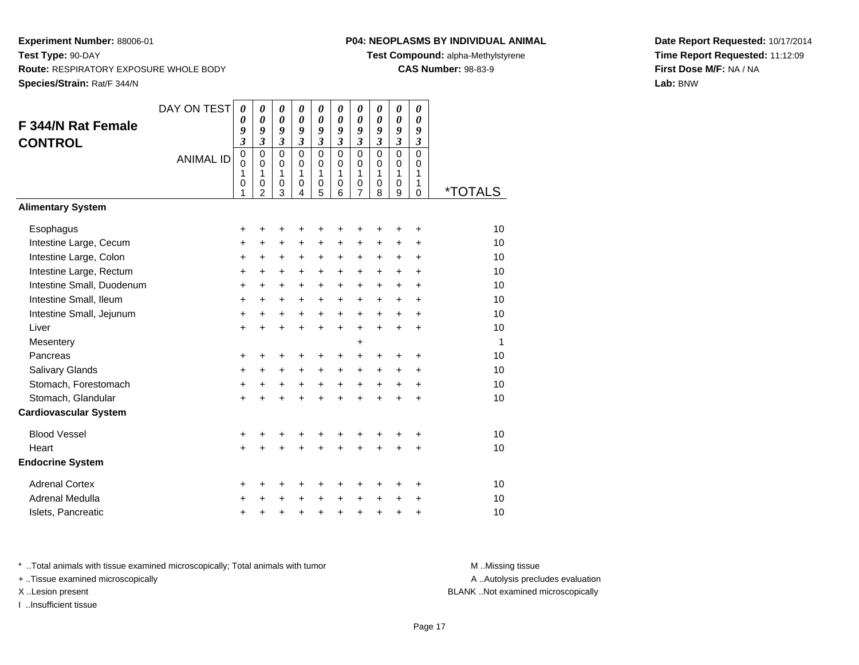# **P04: NEOPLASMS BY INDIVIDUAL ANIMAL**

**Test Compound:** alpha-Methylstyrene

**CAS Number:** 98-83-9

**Date Report Requested:** 10/17/2014**Time Report Requested:** 11:12:09**First Dose M/F:** NA / NA**Lab:** BNW

|                              | DAY ON TEST      | 0                   | $\boldsymbol{\theta}$       | 0                     | $\boldsymbol{\theta}$ | 0                                | $\boldsymbol{\theta}$ | $\boldsymbol{\theta}$ | 0                     | 0                   | 0                            |                       |
|------------------------------|------------------|---------------------|-----------------------------|-----------------------|-----------------------|----------------------------------|-----------------------|-----------------------|-----------------------|---------------------|------------------------------|-----------------------|
| <b>F 344/N Rat Female</b>    |                  | 0                   | $\pmb{\theta}$              | $\boldsymbol{\theta}$ | $\boldsymbol{\theta}$ | $\boldsymbol{\theta}$            | $\boldsymbol{\theta}$ | $\boldsymbol{\theta}$ | $\boldsymbol{\theta}$ | $\pmb{\theta}$      | $\boldsymbol{\theta}$        |                       |
| <b>CONTROL</b>               |                  | 9<br>$\mathfrak{z}$ | 9<br>$\mathfrak{z}$         | 9<br>$\mathfrak{z}$   | 9<br>$\mathfrak{z}$   | 9<br>$\boldsymbol{\mathfrak{z}}$ | 9<br>$\mathfrak{z}$   | 9<br>$\mathfrak{z}$   | 9<br>$\mathfrak{z}$   | 9<br>$\mathfrak{z}$ | 9<br>$\mathfrak{z}$          |                       |
|                              |                  | $\mathbf 0$         | $\mathbf 0$                 | $\mathbf 0$           | $\Omega$              | $\mathbf 0$                      | $\mathbf 0$           | $\mathbf 0$           | $\mathbf 0$           | $\mathbf 0$         | $\mathbf 0$                  |                       |
|                              | <b>ANIMAL ID</b> | $\mathbf 0$         | $\mathbf 0$                 | 0                     | $\mathbf 0$           | 0                                | 0                     | $\mathbf 0$           | $\mathbf 0$           | $\mathbf 0$         | $\Omega$                     |                       |
|                              |                  | 1<br>0              | $\mathbf{1}$<br>$\mathbf 0$ | 1<br>0                | 1<br>$\mathbf 0$      | 1<br>$\mathbf 0$                 | 1<br>$\mathbf 0$      | 1<br>$\mathbf 0$      | $\mathbf{1}$<br>0     | 1<br>$\mathbf 0$    | $\mathbf{1}$<br>$\mathbf{1}$ |                       |
|                              |                  | 1                   | $\overline{2}$              | 3                     | 4                     | 5                                | 6                     | $\overline{7}$        | 8                     | 9                   | $\Omega$                     | <i><b>*TOTALS</b></i> |
| <b>Alimentary System</b>     |                  |                     |                             |                       |                       |                                  |                       |                       |                       |                     |                              |                       |
| Esophagus                    |                  | +                   | +                           | +                     | +                     | +                                |                       | +                     | +                     | ٠                   | +                            | 10                    |
| Intestine Large, Cecum       |                  | +                   | $\ddot{}$                   | $\ddot{}$             | $\ddot{}$             | $\ddot{}$                        | $\ddot{}$             | $\ddot{}$             | +                     | +                   | +                            | 10                    |
| Intestine Large, Colon       |                  | +                   | $\ddot{}$                   | $\ddot{}$             | $\ddot{}$             | $\ddot{}$                        | $\ddot{}$             | $\ddot{}$             | $\ddot{}$             | $\ddot{}$           | $\ddot{}$                    | 10                    |
| Intestine Large, Rectum      |                  | $\ddot{}$           | $\ddot{}$                   | $\ddot{}$             | $\ddot{}$             | $\ddot{}$                        | $\ddot{}$             | $\ddot{}$             | +                     | $\ddot{}$           | $\ddot{}$                    | 10                    |
| Intestine Small, Duodenum    |                  | $\ddot{}$           | $\ddot{}$                   | $\ddot{}$             | $\ddot{}$             | $\ddot{}$                        | $\ddot{}$             | $\ddot{}$             | +                     | $\ddot{}$           | $\ddot{}$                    | 10                    |
| Intestine Small, Ileum       |                  | +                   | $\ddot{}$                   | $\ddot{}$             | +                     | $\ddot{}$                        | $\ddot{}$             | $\ddot{}$             | +                     | $\ddot{}$           | $\ddot{}$                    | 10                    |
| Intestine Small, Jejunum     |                  | +                   | $\ddot{}$                   | $\ddot{}$             | $\ddot{}$             | $\ddot{}$                        | $\ddot{}$             | $\ddot{}$             | $\ddot{}$             | $\ddot{}$           | $\ddot{}$                    | 10                    |
| Liver                        |                  | $\ddot{}$           | $\ddot{}$                   | $\ddot{}$             | $\ddot{}$             | $\ddot{}$                        | $+$                   | $\ddot{}$             | $\ddot{}$             | $\ddot{}$           | $\ddot{}$                    | 10                    |
| Mesentery                    |                  |                     |                             |                       |                       |                                  |                       | $\ddot{}$             |                       |                     |                              | -1                    |
| Pancreas                     |                  | +                   | +                           | +                     | +                     | +                                | +                     | +                     | +                     | +                   | +                            | 10                    |
| Salivary Glands              |                  | +                   | $\ddot{}$                   | $\ddot{}$             | $\ddot{}$             | $\ddot{}$                        | $+$                   | $\ddot{}$             | $\ddot{}$             | +                   | $\ddot{}$                    | 10                    |
| Stomach, Forestomach         |                  | $\ddot{}$           | +                           | $\ddot{}$             | $\ddot{}$             | $\ddot{}$                        | $\ddot{}$             | $\ddot{}$             | $\ddot{}$             | $\ddot{}$           | $\ddot{}$                    | 10                    |
| Stomach, Glandular           |                  | $\ddot{}$           | +                           | +                     | $\ddot{}$             | $\ddot{}$                        | ÷                     | $\ddot{}$             | $\ddot{}$             | $\ddot{}$           | +                            | 10                    |
| <b>Cardiovascular System</b> |                  |                     |                             |                       |                       |                                  |                       |                       |                       |                     |                              |                       |
| <b>Blood Vessel</b>          |                  | +                   | +                           | +                     | +                     | +                                |                       |                       |                       |                     | +                            | 10                    |
| Heart                        |                  | +                   | +                           | +                     | +                     | +                                |                       | Ŧ.                    |                       | $\ddot{}$           | $\ddot{}$                    | 10                    |
| <b>Endocrine System</b>      |                  |                     |                             |                       |                       |                                  |                       |                       |                       |                     |                              |                       |
| <b>Adrenal Cortex</b>        |                  | +                   | ٠                           | +                     | +                     | +                                | +                     | +                     | +                     | +                   | +                            | 10                    |
| <b>Adrenal Medulla</b>       |                  | +                   |                             | +                     | $\ddot{}$             | $\ddot{}$                        | $\ddot{}$             | $\ddot{}$             | +                     | +                   | +                            | 10                    |
| Islets, Pancreatic           |                  | +                   | +                           | +                     | +                     | $\ddot{}$                        | $\ddot{}$             | $\ddot{}$             | $\ddot{}$             | $\ddot{}$           | +                            | 10                    |

\* ..Total animals with tissue examined microscopically; Total animals with tumor **M** . Missing tissue M ..Missing tissue

+ ..Tissue examined microscopically

I ..Insufficient tissue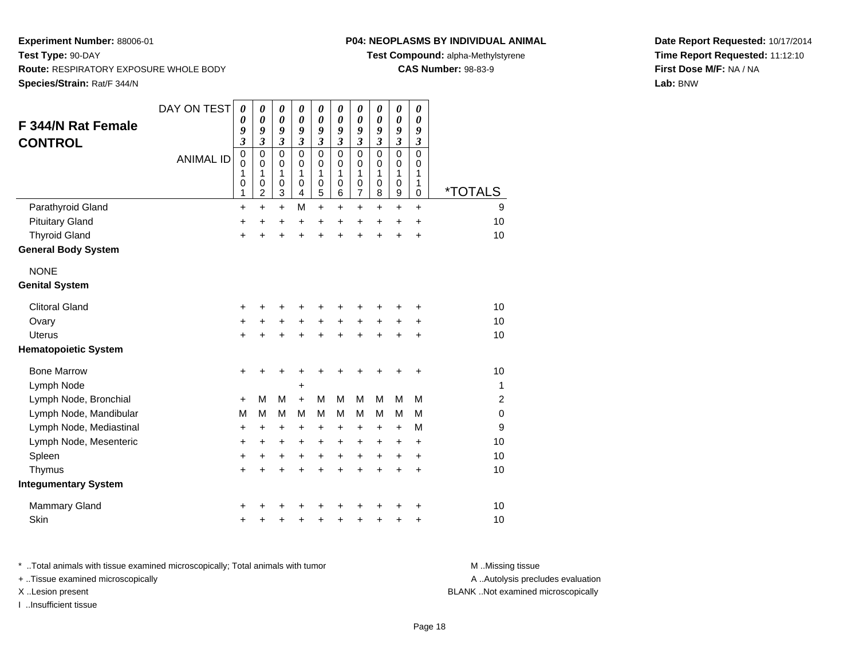# **P04: NEOPLASMS BY INDIVIDUAL ANIMAL**

**Test Compound:** alpha-Methylstyrene

**CAS Number:** 98-83-9

**Date Report Requested:** 10/17/2014**Time Report Requested:** 11:12:10**First Dose M/F:** NA / NA**Lab:** BNW

| <b>F 344/N Rat Female</b><br><b>CONTROL</b> | DAY ON TEST<br><b>ANIMAL ID</b> | 0<br>0<br>9<br>3<br>$\pmb{0}$<br>$\mathbf 0$<br>1<br>$\mathbf 0$ | 0<br>$\boldsymbol{\theta}$<br>9<br>$\overline{\mathbf{3}}$<br>$\mathbf 0$<br>$\mathbf 0$<br>1<br>0 | 0<br>$\pmb{\theta}$<br>9<br>$\overline{\mathbf{3}}$<br>$\mathbf 0$<br>$\mathbf 0$<br>1<br>$\mathbf 0$<br>3 | 0<br>$\boldsymbol{\theta}$<br>9<br>$\mathfrak{z}$<br>$\mathbf 0$<br>$\Omega$<br>1<br>$\mathbf 0$ | 0<br>$\boldsymbol{\theta}$<br>9<br>$\boldsymbol{\beta}$<br>$\mathbf 0$<br>$\mathbf 0$<br>1<br>$\mathbf 0$<br>5 | 0<br>$\boldsymbol{\theta}$<br>9<br>$\boldsymbol{\beta}$<br>$\mathbf 0$<br>$\Omega$<br>1<br>$\pmb{0}$ | 0<br>$\boldsymbol{\theta}$<br>9<br>$\boldsymbol{\mathfrak{z}}$<br>$\mathbf 0$<br>$\mathbf 0$<br>1<br>$\mathbf 0$<br>$\overline{7}$ | 0<br>$\pmb{\theta}$<br>9<br>$\boldsymbol{\beta}$<br>$\mathbf 0$<br>$\mathbf 0$<br>1<br>$\pmb{0}$<br>8 | 0<br>$\boldsymbol{\theta}$<br>9<br>$\mathfrak{z}$<br>$\mathbf 0$<br>$\mathbf 0$<br>1<br>$\mathbf 0$<br>$\boldsymbol{9}$ | 0<br>0<br>9<br>$\mathfrak{z}$<br>$\Omega$<br>$\Omega$<br>1<br>$\mathbf{1}$<br>0 | *TOTALS        |
|---------------------------------------------|---------------------------------|------------------------------------------------------------------|----------------------------------------------------------------------------------------------------|------------------------------------------------------------------------------------------------------------|--------------------------------------------------------------------------------------------------|----------------------------------------------------------------------------------------------------------------|------------------------------------------------------------------------------------------------------|------------------------------------------------------------------------------------------------------------------------------------|-------------------------------------------------------------------------------------------------------|-------------------------------------------------------------------------------------------------------------------------|---------------------------------------------------------------------------------|----------------|
|                                             |                                 | 1                                                                | 2                                                                                                  |                                                                                                            | 4<br>M                                                                                           | $\ddot{}$                                                                                                      | 6                                                                                                    |                                                                                                                                    |                                                                                                       |                                                                                                                         |                                                                                 | 9              |
| Parathyroid Gland                           |                                 | $\ddot{}$                                                        | $\ddot{}$                                                                                          | $\ddot{}$                                                                                                  |                                                                                                  |                                                                                                                | $\ddot{}$                                                                                            | $\ddot{}$                                                                                                                          | $\ddot{}$                                                                                             | $\ddot{}$                                                                                                               | $\ddot{}$                                                                       |                |
| <b>Pituitary Gland</b>                      |                                 | +                                                                | $\ddot{}$                                                                                          | +                                                                                                          | $\ddot{}$                                                                                        | $\ddot{}$                                                                                                      | $\ddot{}$                                                                                            | +                                                                                                                                  | $\ddot{}$                                                                                             | $\ddot{}$                                                                                                               | $\ddot{}$                                                                       | 10             |
| <b>Thyroid Gland</b>                        |                                 | +                                                                | ÷                                                                                                  | +                                                                                                          | Ŧ.                                                                                               | $\ddot{}$                                                                                                      |                                                                                                      | $\ddot{}$                                                                                                                          | ÷                                                                                                     | $\ddot{}$                                                                                                               | $\ddot{}$                                                                       | 10             |
| <b>General Body System</b>                  |                                 |                                                                  |                                                                                                    |                                                                                                            |                                                                                                  |                                                                                                                |                                                                                                      |                                                                                                                                    |                                                                                                       |                                                                                                                         |                                                                                 |                |
| <b>NONE</b>                                 |                                 |                                                                  |                                                                                                    |                                                                                                            |                                                                                                  |                                                                                                                |                                                                                                      |                                                                                                                                    |                                                                                                       |                                                                                                                         |                                                                                 |                |
| <b>Genital System</b>                       |                                 |                                                                  |                                                                                                    |                                                                                                            |                                                                                                  |                                                                                                                |                                                                                                      |                                                                                                                                    |                                                                                                       |                                                                                                                         |                                                                                 |                |
| <b>Clitoral Gland</b>                       |                                 |                                                                  |                                                                                                    |                                                                                                            |                                                                                                  |                                                                                                                |                                                                                                      |                                                                                                                                    |                                                                                                       |                                                                                                                         |                                                                                 | 10             |
|                                             |                                 | +                                                                | +                                                                                                  | +                                                                                                          | +                                                                                                | +                                                                                                              |                                                                                                      | +                                                                                                                                  | +                                                                                                     | +                                                                                                                       | +                                                                               | 10             |
| Ovary                                       |                                 | +                                                                | +                                                                                                  | +                                                                                                          | $\ddot{}$                                                                                        | +                                                                                                              | $\ddot{}$                                                                                            | $\ddot{}$                                                                                                                          | $\ddot{}$                                                                                             | +                                                                                                                       | +                                                                               |                |
| <b>Uterus</b>                               |                                 | $\ddot{}$                                                        | +                                                                                                  | +                                                                                                          | +                                                                                                | $\ddot{}$                                                                                                      | $\ddot{}$                                                                                            | $\ddot{}$                                                                                                                          | +                                                                                                     | $\ddot{}$                                                                                                               | +                                                                               | 10             |
| <b>Hematopoietic System</b>                 |                                 |                                                                  |                                                                                                    |                                                                                                            |                                                                                                  |                                                                                                                |                                                                                                      |                                                                                                                                    |                                                                                                       |                                                                                                                         |                                                                                 |                |
| <b>Bone Marrow</b>                          |                                 | +                                                                | +                                                                                                  | +                                                                                                          | +                                                                                                |                                                                                                                |                                                                                                      |                                                                                                                                    |                                                                                                       | +                                                                                                                       | +                                                                               | 10             |
| Lymph Node                                  |                                 |                                                                  |                                                                                                    |                                                                                                            | +                                                                                                |                                                                                                                |                                                                                                      |                                                                                                                                    |                                                                                                       |                                                                                                                         |                                                                                 | $\mathbf{1}$   |
| Lymph Node, Bronchial                       |                                 | $\ddot{}$                                                        | M                                                                                                  | M                                                                                                          | $\ddot{}$                                                                                        | M                                                                                                              | M                                                                                                    | M                                                                                                                                  | M                                                                                                     | M                                                                                                                       | M                                                                               | $\overline{2}$ |
| Lymph Node, Mandibular                      |                                 | M                                                                | М                                                                                                  | M                                                                                                          | M                                                                                                | М                                                                                                              | M                                                                                                    | M                                                                                                                                  | M                                                                                                     | M                                                                                                                       | М                                                                               | $\mathbf 0$    |
| Lymph Node, Mediastinal                     |                                 | +                                                                | +                                                                                                  | +                                                                                                          | +                                                                                                | +                                                                                                              | +                                                                                                    | +                                                                                                                                  | +                                                                                                     | +                                                                                                                       | M                                                                               | 9              |
| Lymph Node, Mesenteric                      |                                 | $\ddot{}$                                                        | $\ddot{}$                                                                                          | $\ddot{}$                                                                                                  | $\ddot{}$                                                                                        | $\ddot{}$                                                                                                      | $\ddot{}$                                                                                            | $\ddot{}$                                                                                                                          | $\ddot{}$                                                                                             | +                                                                                                                       | $\ddot{}$                                                                       | 10             |
| Spleen                                      |                                 | +                                                                | +                                                                                                  | +                                                                                                          | $\ddot{}$                                                                                        | $\ddot{}$                                                                                                      | $\ddot{}$                                                                                            | $\ddot{}$                                                                                                                          | $\ddot{}$                                                                                             | $\ddot{}$                                                                                                               | $\ddot{}$                                                                       | 10             |
| Thymus                                      |                                 | $\ddot{}$                                                        | $\ddot{}$                                                                                          | $\ddot{}$                                                                                                  | $\ddot{}$                                                                                        | $\ddot{}$                                                                                                      | $\div$                                                                                               | $\ddot{}$                                                                                                                          | +                                                                                                     | $\ddot{}$                                                                                                               | $\ddot{}$                                                                       | 10             |
| <b>Integumentary System</b>                 |                                 |                                                                  |                                                                                                    |                                                                                                            |                                                                                                  |                                                                                                                |                                                                                                      |                                                                                                                                    |                                                                                                       |                                                                                                                         |                                                                                 |                |
| <b>Mammary Gland</b>                        |                                 | +                                                                |                                                                                                    |                                                                                                            |                                                                                                  |                                                                                                                |                                                                                                      |                                                                                                                                    |                                                                                                       |                                                                                                                         | +                                                                               | 10             |
| Skin                                        |                                 | +                                                                |                                                                                                    | +                                                                                                          | +                                                                                                | +                                                                                                              |                                                                                                      | +                                                                                                                                  | +                                                                                                     | +                                                                                                                       | +                                                                               | 10             |

\* ..Total animals with tissue examined microscopically; Total animals with tumor **M** . Missing tissue M ..Missing tissue + ..Tissue examined microscopically X ..Lesion present BLANK ..Not examined microscopically

I ..Insufficient tissue

A ..Autolysis precludes evaluation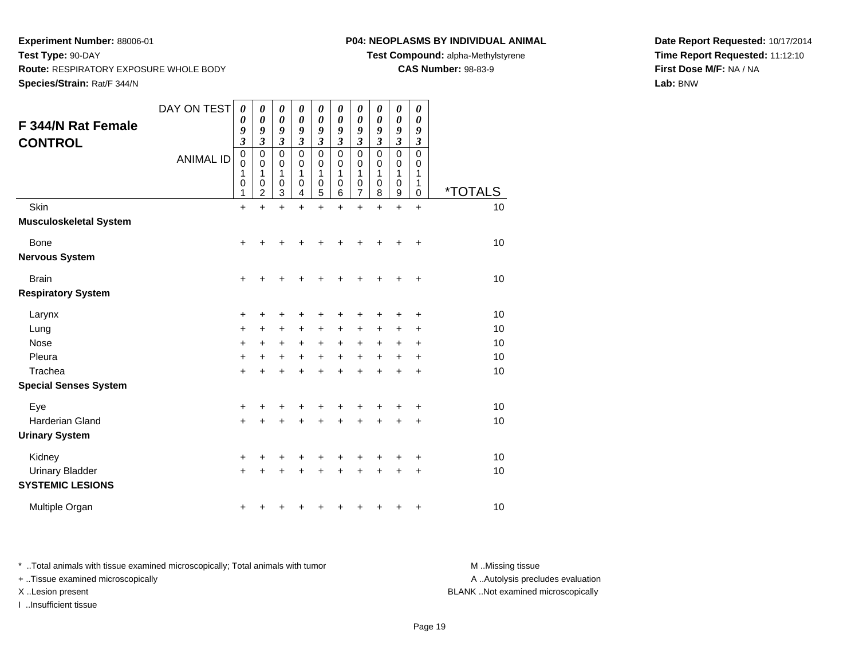# **P04: NEOPLASMS BY INDIVIDUAL ANIMAL**

**Test Compound:** alpha-Methylstyrene

**CAS Number:** 98-83-9

**Date Report Requested:** 10/17/2014**Time Report Requested:** 11:12:10**First Dose M/F:** NA / NA**Lab:** BNW

| <b>F 344/N Rat Female</b><br><b>CONTROL</b>                 | DAY ON TEST<br><b>ANIMAL ID</b> | 0<br>0<br>9<br>$\overline{\mathbf{3}}$<br>$\mathbf 0$<br>0<br>1<br>0<br>1 | 0<br>$\boldsymbol{\theta}$<br>9<br>$\mathfrak{z}$<br>$\mathbf 0$<br>0<br>1<br>0<br>2 | 0<br>$\boldsymbol{\theta}$<br>9<br>$\mathfrak{z}$<br>$\mathbf 0$<br>0<br>1<br>0<br>3 | 0<br>$\boldsymbol{\theta}$<br>9<br>$\mathfrak{z}$<br>$\mathbf 0$<br>0<br>1<br>0<br>4 | 0<br>$\boldsymbol{\theta}$<br>9<br>$\boldsymbol{\mathfrak{z}}$<br>$\mathbf 0$<br>$\mathbf 0$<br>1<br>$\mathbf 0$<br>5 | 0<br>0<br>9<br>$\overline{\mathbf{3}}$<br>$\mathbf 0$<br>0<br>1<br>0<br>6 | 0<br>0<br>9<br>$\overline{\mathbf{3}}$<br>0<br>0<br>1<br>0<br>$\overline{7}$ | 0<br>0<br>9<br>$\overline{\mathbf{3}}$<br>$\mathbf 0$<br>0<br>1<br>0<br>8 | 0<br>0<br>9<br>$\mathfrak{z}$<br>0<br>0<br>1<br>0<br>9 | 0<br>0<br>9<br>$\boldsymbol{\mathfrak{z}}$<br>$\mathbf 0$<br>0<br>1<br>1<br>0 | <i><b>*TOTALS</b></i>      |
|-------------------------------------------------------------|---------------------------------|---------------------------------------------------------------------------|--------------------------------------------------------------------------------------|--------------------------------------------------------------------------------------|--------------------------------------------------------------------------------------|-----------------------------------------------------------------------------------------------------------------------|---------------------------------------------------------------------------|------------------------------------------------------------------------------|---------------------------------------------------------------------------|--------------------------------------------------------|-------------------------------------------------------------------------------|----------------------------|
| Skin<br><b>Musculoskeletal System</b>                       |                                 | $\ddot{}$                                                                 | $\ddot{}$                                                                            | $\ddot{}$                                                                            | $\ddot{}$                                                                            | $\ddot{}$                                                                                                             | $\ddot{}$                                                                 | $\ddot{}$                                                                    | $\ddot{}$                                                                 | $\ddot{}$                                              | $\ddot{}$                                                                     | 10                         |
| <b>Bone</b><br><b>Nervous System</b>                        |                                 | +                                                                         |                                                                                      |                                                                                      |                                                                                      |                                                                                                                       |                                                                           |                                                                              |                                                                           |                                                        | +                                                                             | 10                         |
| <b>Brain</b><br><b>Respiratory System</b>                   |                                 | $\ddot{}$                                                                 | +                                                                                    | +                                                                                    | +                                                                                    | +                                                                                                                     | +                                                                         | +                                                                            | ٠                                                                         | +                                                      | $\ddot{}$                                                                     | 10                         |
| Larynx<br>Lung<br>Nose<br>Pleura<br>Trachea                 |                                 | +<br>+<br>$\ddot{}$<br>$\ddot{}$<br>$\ddot{}$                             | +<br>+<br>+<br>$\ddot{}$                                                             | +<br>+<br>+<br>$\ddot{}$<br>$\ddot{}$                                                | +<br>+<br>+<br>$\ddot{}$<br>÷                                                        | +<br>$\ddot{}$<br>$\ddot{}$<br>$\ddot{}$                                                                              | +<br>$\ddot{}$<br>$\ddot{}$                                               | +<br>$\pm$<br>+<br>$\ddot{}$<br>$\ddot{}$                                    | ٠<br>+<br>$\ddot{}$                                                       | +<br>+<br>+<br>$\ddot{}$<br>$\ddot{}$                  | +<br>٠<br>+<br>$\ddot{}$<br>$\ddot{}$                                         | 10<br>10<br>10<br>10<br>10 |
| <b>Special Senses System</b>                                |                                 |                                                                           |                                                                                      |                                                                                      |                                                                                      |                                                                                                                       |                                                                           |                                                                              |                                                                           |                                                        |                                                                               |                            |
| Eye<br><b>Harderian Gland</b><br><b>Urinary System</b>      |                                 | +<br>$\ddot{}$                                                            | +                                                                                    | +<br>$\ddot{}$                                                                       | +                                                                                    | +<br>$\ddot{}$                                                                                                        |                                                                           | +<br>+                                                                       |                                                                           | +                                                      | +<br>$\ddot{}$                                                                | 10<br>10                   |
| Kidney<br><b>Urinary Bladder</b><br><b>SYSTEMIC LESIONS</b> |                                 | +<br>$\ddot{}$                                                            | +                                                                                    | +<br>+                                                                               | +                                                                                    | +                                                                                                                     | +                                                                         | +<br>+                                                                       | +                                                                         | +<br>+                                                 | $\ddot{}$<br>$\ddot{}$                                                        | 10<br>10                   |
| Multiple Organ                                              |                                 | +                                                                         | ٠                                                                                    | +                                                                                    |                                                                                      |                                                                                                                       |                                                                           | ٠                                                                            | ٠                                                                         | +                                                      | +                                                                             | 10                         |

\* ..Total animals with tissue examined microscopically; Total animals with tumor **M** . Missing tissue M ..Missing tissue + ..Tissue examined microscopically X ..Lesion present BLANK ..Not examined microscopically

I ..Insufficient tissue

A ..Autolysis precludes evaluation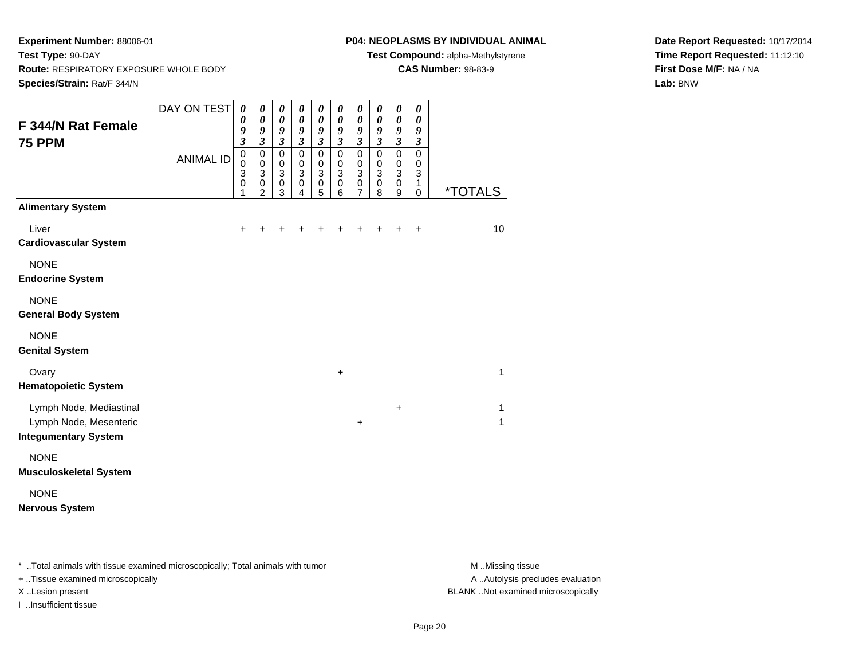#### **P04: NEOPLASMS BY INDIVIDUAL ANIMAL**

**Test Compound:** alpha-Methylstyrene

**CAS Number:** 98-83-9

**Date Report Requested:** 10/17/2014**Time Report Requested:** 11:12:10**First Dose M/F:** NA / NA**Lab:** BNW

| F 344/N Rat Female<br><b>75 PPM</b>                                              | DAY ON TEST<br><b>ANIMAL ID</b> | 0<br>0<br>9<br>$\overline{\mathbf{3}}$<br>$\mathbf 0$<br>$\mathbf 0$<br>3<br>$\mathbf 0$ | 0<br>$\pmb{\theta}$<br>9<br>$\mathfrak{z}$<br>$\mathbf 0$<br>$\mathbf 0$<br>$\mathbf{3}$<br>$\pmb{0}$ | 0<br>$\boldsymbol{\theta}$<br>$\boldsymbol{g}$<br>$\mathfrak{z}$<br>$\mathbf 0$<br>$\mathbf 0$<br>3<br>$\mathbf 0$ | 0<br>$\boldsymbol{\theta}$<br>9<br>$\mathfrak{z}$<br>$\pmb{0}$<br>$\mathbf 0$<br>3<br>$\mathbf 0$ | 0<br>$\pmb{\theta}$<br>9<br>$\mathfrak{z}$<br>$\pmb{0}$<br>$\mathbf 0$<br>3<br>$\mathbf 0$ | 0<br>$\boldsymbol{\theta}$<br>$\boldsymbol{g}$<br>$\mathfrak{z}$<br>$\mathbf 0$<br>$\mathbf 0$<br>3<br>$\mathbf 0$ | $\boldsymbol{\theta}$<br>$\boldsymbol{\theta}$<br>$\boldsymbol{g}$<br>$\mathbf{3}$<br>$\mathbf 0$<br>$\pmb{0}$<br>$\mathbf{3}$<br>$\mathbf 0$ | 0<br>$\boldsymbol{\theta}$<br>$\boldsymbol{g}$<br>$\mathfrak{z}$<br>$\mathbf 0$<br>$\mathbf 0$<br>$\ensuremath{\mathsf{3}}$<br>$\pmb{0}$ | 0<br>$\pmb{\theta}$<br>9<br>$\mathfrak{z}$<br>$\mathbf 0$<br>$\pmb{0}$<br>$\overline{3}$<br>$\pmb{0}$ | 0<br>0<br>9<br>$\mathfrak{z}$<br>0<br>0<br>3<br>1 |                       |
|----------------------------------------------------------------------------------|---------------------------------|------------------------------------------------------------------------------------------|-------------------------------------------------------------------------------------------------------|--------------------------------------------------------------------------------------------------------------------|---------------------------------------------------------------------------------------------------|--------------------------------------------------------------------------------------------|--------------------------------------------------------------------------------------------------------------------|-----------------------------------------------------------------------------------------------------------------------------------------------|------------------------------------------------------------------------------------------------------------------------------------------|-------------------------------------------------------------------------------------------------------|---------------------------------------------------|-----------------------|
| <b>Alimentary System</b>                                                         |                                 | 1                                                                                        | 2                                                                                                     | 3                                                                                                                  | 4                                                                                                 | 5                                                                                          | 6                                                                                                                  | $\overline{7}$                                                                                                                                | 8                                                                                                                                        | 9                                                                                                     | $\mathbf 0$                                       | <i><b>*TOTALS</b></i> |
| Liver<br><b>Cardiovascular System</b>                                            |                                 | +                                                                                        |                                                                                                       |                                                                                                                    |                                                                                                   |                                                                                            |                                                                                                                    |                                                                                                                                               |                                                                                                                                          |                                                                                                       | +                                                 | 10                    |
| <b>NONE</b><br><b>Endocrine System</b>                                           |                                 |                                                                                          |                                                                                                       |                                                                                                                    |                                                                                                   |                                                                                            |                                                                                                                    |                                                                                                                                               |                                                                                                                                          |                                                                                                       |                                                   |                       |
| <b>NONE</b><br><b>General Body System</b>                                        |                                 |                                                                                          |                                                                                                       |                                                                                                                    |                                                                                                   |                                                                                            |                                                                                                                    |                                                                                                                                               |                                                                                                                                          |                                                                                                       |                                                   |                       |
| <b>NONE</b><br><b>Genital System</b>                                             |                                 |                                                                                          |                                                                                                       |                                                                                                                    |                                                                                                   |                                                                                            |                                                                                                                    |                                                                                                                                               |                                                                                                                                          |                                                                                                       |                                                   |                       |
| Ovary<br><b>Hematopoietic System</b>                                             |                                 |                                                                                          |                                                                                                       |                                                                                                                    |                                                                                                   |                                                                                            | $\ddot{}$                                                                                                          |                                                                                                                                               |                                                                                                                                          |                                                                                                       |                                                   | $\mathbf{1}$          |
| Lymph Node, Mediastinal<br>Lymph Node, Mesenteric<br><b>Integumentary System</b> |                                 |                                                                                          |                                                                                                       |                                                                                                                    |                                                                                                   |                                                                                            |                                                                                                                    | $\ddot{}$                                                                                                                                     |                                                                                                                                          | +                                                                                                     |                                                   | 1<br>$\mathbf{1}$     |
| <b>NONE</b><br><b>Musculoskeletal System</b>                                     |                                 |                                                                                          |                                                                                                       |                                                                                                                    |                                                                                                   |                                                                                            |                                                                                                                    |                                                                                                                                               |                                                                                                                                          |                                                                                                       |                                                   |                       |
| <b>NONE</b><br><b>Nervous System</b>                                             |                                 |                                                                                          |                                                                                                       |                                                                                                                    |                                                                                                   |                                                                                            |                                                                                                                    |                                                                                                                                               |                                                                                                                                          |                                                                                                       |                                                   |                       |

\* ..Total animals with tissue examined microscopically; Total animals with tumor **M** . Missing tissue M ..Missing tissue

+ ..Tissue examined microscopically

I ..Insufficient tissue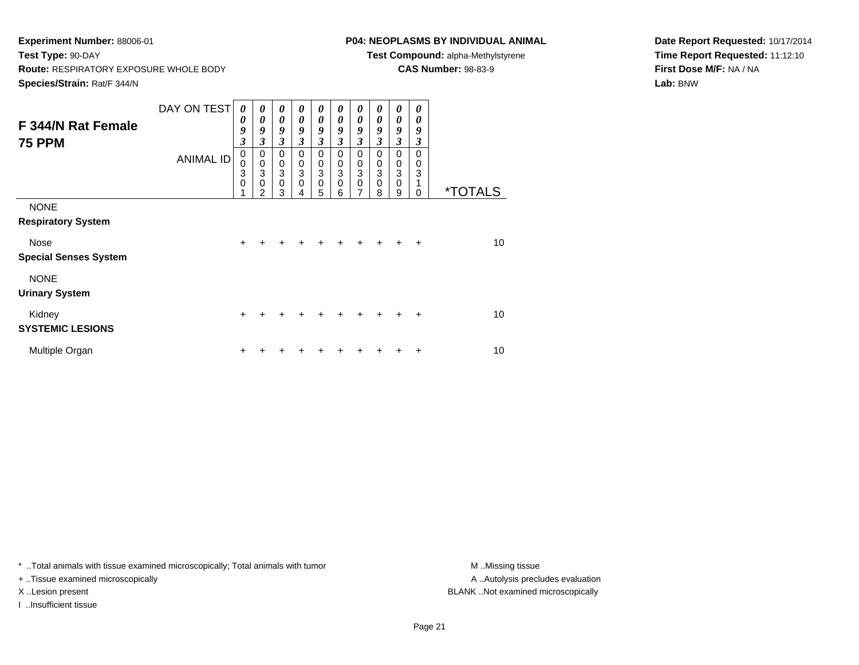# **P04: NEOPLASMS BY INDIVIDUAL ANIMAL**

**Test Compound:** alpha-Methylstyrene

**CAS Number:** 98-83-9

**Date Report Requested:** 10/17/2014**Time Report Requested:** 11:12:10**First Dose M/F:** NA / NA**Lab:** BNW

| F 344/N Rat Female<br><b>75 PPM</b>      | DAY ON TEST      | 0<br>0<br>9<br>3           | 0<br>0<br>9<br>$\mathfrak{z}$                          | 0<br>0<br>9<br>$\mathfrak{z}$              | 0<br>$\boldsymbol{\theta}$<br>9<br>3      | 0<br>0<br>9<br>$\overline{\mathbf{3}}$ | 0<br>$\boldsymbol{\theta}$<br>9<br>$\mathfrak{z}$ | 0<br>0<br>9<br>$\mathfrak{z}$                                        | 0<br>$\boldsymbol{\theta}$<br>9<br>$\mathfrak{z}$               | 0<br>$\boldsymbol{\theta}$<br>9<br>3    | 0<br>0<br>9<br>3 |                       |
|------------------------------------------|------------------|----------------------------|--------------------------------------------------------|--------------------------------------------|-------------------------------------------|----------------------------------------|---------------------------------------------------|----------------------------------------------------------------------|-----------------------------------------------------------------|-----------------------------------------|------------------|-----------------------|
|                                          | <b>ANIMAL ID</b> | 0<br>$\mathbf 0$<br>3<br>0 | 0<br>$\mathbf 0$<br>3<br>$\mathbf 0$<br>$\mathfrak{p}$ | 0<br>0<br>$\mathbf{3}$<br>$\mathbf 0$<br>3 | 0<br>$\mathbf 0$<br>3<br>$\mathbf 0$<br>4 | 0<br>0<br>3<br>$\mathbf 0$<br>5        | 0<br>$\pmb{0}$<br>3<br>$\mathbf 0$<br>6           | 0<br>0<br>$\ensuremath{\mathsf{3}}$<br>$\mathbf 0$<br>$\overline{7}$ | 0<br>$\pmb{0}$<br>$\ensuremath{\mathsf{3}}$<br>$\mathbf 0$<br>8 | 0<br>$\pmb{0}$<br>3<br>$\mathbf 0$<br>9 | 0<br>0<br>3<br>0 | <i><b>*TOTALS</b></i> |
| <b>NONE</b><br><b>Respiratory System</b> |                  |                            |                                                        |                                            |                                           |                                        |                                                   |                                                                      |                                                                 |                                         |                  |                       |
| Nose<br><b>Special Senses System</b>     |                  | $\ddot{}$                  |                                                        |                                            | +                                         | ÷                                      | ÷                                                 | $\ddot{}$                                                            | ÷                                                               | $\div$                                  | $\ddot{}$        | 10                    |
| <b>NONE</b><br><b>Urinary System</b>     |                  |                            |                                                        |                                            |                                           |                                        |                                                   |                                                                      |                                                                 |                                         |                  |                       |
| Kidney<br><b>SYSTEMIC LESIONS</b>        |                  | $\ddot{}$                  | +                                                      | +                                          |                                           | +                                      |                                                   | +                                                                    | $\ddot{}$                                                       | $\ddot{}$                               | $\ddot{}$        | 10                    |
| Multiple Organ                           |                  | +                          |                                                        |                                            |                                           | +                                      |                                                   |                                                                      |                                                                 | +                                       | ÷                | 10                    |

\* ..Total animals with tissue examined microscopically; Total animals with tumor **M** . Missing tissue M ..Missing tissue

+ ..Tissue examined microscopically

I ..Insufficient tissue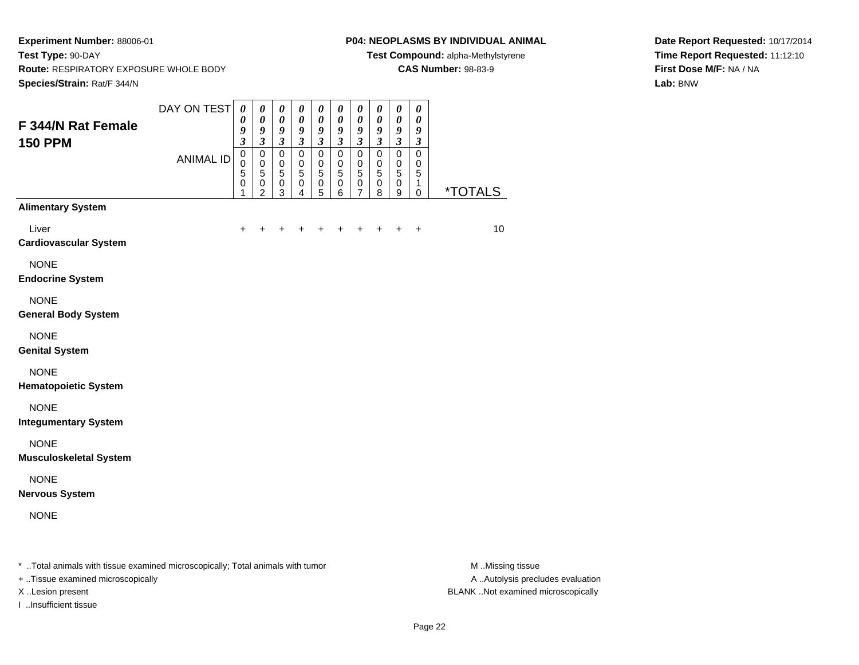#### **P04: NEOPLASMS BY INDIVIDUAL ANIMAL**

**Test Compound:** alpha-Methylstyrene

**CAS Number:** 98-83-9

**Date Report Requested:** 10/17/2014**Time Report Requested:** 11:12:10**First Dose M/F:** NA / NA**Lab:** BNW

| F 344/N Rat Female<br><b>150 PPM</b>                                           | DAY ON TEST      | $\boldsymbol{\theta}$<br>0<br>9<br>$\mathfrak{z}$ | 0<br>$\boldsymbol{\theta}$<br>9<br>$\overline{\mathbf{3}}$ | $\pmb{\theta}$<br>$\boldsymbol{\theta}$<br>9                             | $\pmb{\theta}$<br>$\boldsymbol{\theta}$<br>9<br>$\overline{\mathbf{3}}$ | $\boldsymbol{\theta}$<br>$\boldsymbol{\theta}$<br>9     | $\pmb{\theta}$<br>$\pmb{\theta}$<br>9                                | $\pmb{\theta}$<br>$\boldsymbol{\theta}$<br>9                                            | 0<br>0<br>9                                             | $\pmb{\theta}$<br>$\pmb{\theta}$<br>9                                                                      | $\pmb{\theta}$<br>$\boldsymbol{\theta}$<br>9                        |                       |
|--------------------------------------------------------------------------------|------------------|---------------------------------------------------|------------------------------------------------------------|--------------------------------------------------------------------------|-------------------------------------------------------------------------|---------------------------------------------------------|----------------------------------------------------------------------|-----------------------------------------------------------------------------------------|---------------------------------------------------------|------------------------------------------------------------------------------------------------------------|---------------------------------------------------------------------|-----------------------|
|                                                                                | <b>ANIMAL ID</b> | $\pmb{0}$<br>$\pmb{0}$<br>5<br>0<br>1             | 0<br>$\pmb{0}$<br>5<br>$\,0\,$<br>$\overline{c}$           | $\mathfrak{z}$<br>$\pmb{0}$<br>$\pmb{0}$<br>$\sqrt{5}$<br>$\pmb{0}$<br>3 | $\pmb{0}$<br>$\pmb{0}$<br>$\overline{5}$<br>0<br>$\overline{4}$         | $\mathfrak{z}$<br>$\pmb{0}$<br>$\pmb{0}$<br>5<br>0<br>5 | $\mathfrak{z}$<br>$\pmb{0}$<br>$\pmb{0}$<br>$\overline{5}$<br>0<br>6 | $\mathfrak{z}$<br>$\pmb{0}$<br>$\mathbf 0$<br>$\sqrt{5}$<br>$\pmb{0}$<br>$\overline{7}$ | $\mathfrak{z}$<br>$\pmb{0}$<br>$\pmb{0}$<br>5<br>0<br>8 | $\boldsymbol{\beta}$<br>$\mathsf{O}\xspace$<br>$\mathbf 0$<br>$\,$ 5 $\,$<br>$\pmb{0}$<br>$\boldsymbol{9}$ | $\mathfrak{z}$<br>$\pmb{0}$<br>$\mathbf 0$<br>5<br>1<br>$\mathbf 0$ | <i><b>*TOTALS</b></i> |
| <b>Alimentary System</b>                                                       |                  |                                                   |                                                            |                                                                          |                                                                         |                                                         |                                                                      |                                                                                         |                                                         |                                                                                                            |                                                                     |                       |
| Liver<br><b>Cardiovascular System</b>                                          |                  | $\ddot{}$                                         |                                                            |                                                                          |                                                                         | +                                                       | ٠                                                                    | +                                                                                       | ÷                                                       | $\ddot{}$                                                                                                  | $\ddot{}$                                                           | 10                    |
| <b>NONE</b><br><b>Endocrine System</b>                                         |                  |                                                   |                                                            |                                                                          |                                                                         |                                                         |                                                                      |                                                                                         |                                                         |                                                                                                            |                                                                     |                       |
| <b>NONE</b><br><b>General Body System</b>                                      |                  |                                                   |                                                            |                                                                          |                                                                         |                                                         |                                                                      |                                                                                         |                                                         |                                                                                                            |                                                                     |                       |
| <b>NONE</b><br><b>Genital System</b>                                           |                  |                                                   |                                                            |                                                                          |                                                                         |                                                         |                                                                      |                                                                                         |                                                         |                                                                                                            |                                                                     |                       |
| <b>NONE</b><br><b>Hematopoietic System</b>                                     |                  |                                                   |                                                            |                                                                          |                                                                         |                                                         |                                                                      |                                                                                         |                                                         |                                                                                                            |                                                                     |                       |
| <b>NONE</b><br><b>Integumentary System</b>                                     |                  |                                                   |                                                            |                                                                          |                                                                         |                                                         |                                                                      |                                                                                         |                                                         |                                                                                                            |                                                                     |                       |
| <b>NONE</b><br><b>Musculoskeletal System</b>                                   |                  |                                                   |                                                            |                                                                          |                                                                         |                                                         |                                                                      |                                                                                         |                                                         |                                                                                                            |                                                                     |                       |
| <b>NONE</b><br><b>Nervous System</b>                                           |                  |                                                   |                                                            |                                                                          |                                                                         |                                                         |                                                                      |                                                                                         |                                                         |                                                                                                            |                                                                     |                       |
| <b>NONE</b>                                                                    |                  |                                                   |                                                            |                                                                          |                                                                         |                                                         |                                                                      |                                                                                         |                                                         |                                                                                                            |                                                                     |                       |
| * Total animals with tissue examined microscopically; Total animals with tumor |                  |                                                   |                                                            |                                                                          |                                                                         |                                                         |                                                                      |                                                                                         |                                                         |                                                                                                            |                                                                     | M Missing tissue      |

+ ..Tissue examined microscopically

I ..Insufficient tissue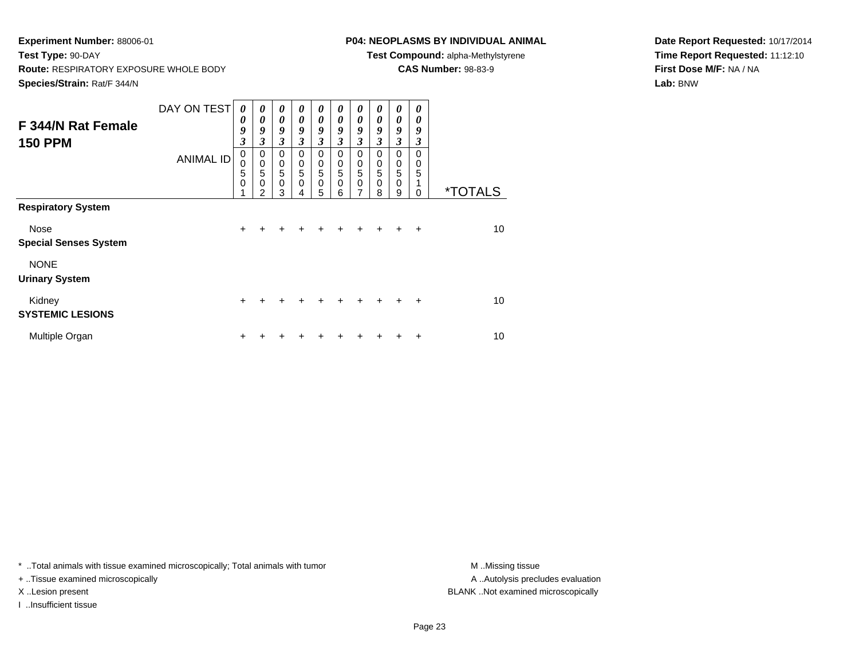# **P04: NEOPLASMS BY INDIVIDUAL ANIMAL**

**Test Compound:** alpha-Methylstyrene

**CAS Number:** 98-83-9

**Date Report Requested:** 10/17/2014**Time Report Requested:** 11:12:10**First Dose M/F:** NA / NA**Lab:** BNW

| F 344/N Rat Female<br><b>150 PPM</b> | DAY ON TEST<br><b>ANIMAL ID</b> | 0<br>0<br>9<br>3<br>0<br>0<br>5 | 0<br>0<br>9<br>3<br>0<br>$\pmb{0}$<br>$\overline{5}$ | 0<br>$\boldsymbol{\theta}$<br>9<br>3<br>$\mathbf 0$<br>$\begin{array}{c} 0 \\ 5 \end{array}$ | $\boldsymbol{\theta}$<br>$\theta$<br>9<br>3<br>0<br>0<br>$\sqrt{5}$ | 0<br>$\boldsymbol{\theta}$<br>9<br>$\mathfrak{z}$<br>$\mathbf 0$<br>$\begin{array}{c} 0 \\ 5 \end{array}$ | 0<br>$\boldsymbol{\theta}$<br>9<br>3<br>$\Omega$<br>0<br>$\overline{5}$ | 0<br>$\boldsymbol{\theta}$<br>9<br>$\mathfrak{z}$<br>$\mathbf 0$<br>$\begin{array}{c} 0 \\ 5 \end{array}$ | 0<br>0<br>9<br>3<br>0<br>0<br>5 | 0<br>0<br>9<br>3<br>$\mathbf 0$<br>0<br>5 | 0<br>0<br>9<br>3<br>0<br>0<br>5 |                       |
|--------------------------------------|---------------------------------|---------------------------------|------------------------------------------------------|----------------------------------------------------------------------------------------------|---------------------------------------------------------------------|-----------------------------------------------------------------------------------------------------------|-------------------------------------------------------------------------|-----------------------------------------------------------------------------------------------------------|---------------------------------|-------------------------------------------|---------------------------------|-----------------------|
|                                      |                                 | 0                               | 0<br>$\mathcal{P}$                                   | $\mathbf 0$<br>3                                                                             | 0<br>4                                                              | $\mathbf 0$<br>5                                                                                          | $\mathbf 0$<br>6                                                        | $\mathbf 0$<br>7                                                                                          | 0<br>8                          | 0<br>9                                    | 0                               | <i><b>*TOTALS</b></i> |
| <b>Respiratory System</b>            |                                 |                                 |                                                      |                                                                                              |                                                                     |                                                                                                           |                                                                         |                                                                                                           |                                 |                                           |                                 |                       |
| Nose<br><b>Special Senses System</b> |                                 | $\ddot{}$                       |                                                      |                                                                                              |                                                                     | +                                                                                                         |                                                                         |                                                                                                           |                                 |                                           | $\div$                          | 10                    |
| <b>NONE</b><br><b>Urinary System</b> |                                 |                                 |                                                      |                                                                                              |                                                                     |                                                                                                           |                                                                         |                                                                                                           |                                 |                                           |                                 |                       |
| Kidney<br><b>SYSTEMIC LESIONS</b>    |                                 | $\ddot{}$                       | $\div$                                               | +                                                                                            | $\div$                                                              | $\pm$                                                                                                     | ÷                                                                       | $\div$                                                                                                    | $\pm$                           | ÷                                         | $\div$                          | 10                    |
| Multiple Organ                       |                                 | ÷                               |                                                      |                                                                                              |                                                                     |                                                                                                           |                                                                         |                                                                                                           |                                 |                                           | ٠                               | 10                    |

\* ..Total animals with tissue examined microscopically; Total animals with tumor **M** . Missing tissue M ..Missing tissue

+ ..Tissue examined microscopically

I ..Insufficient tissue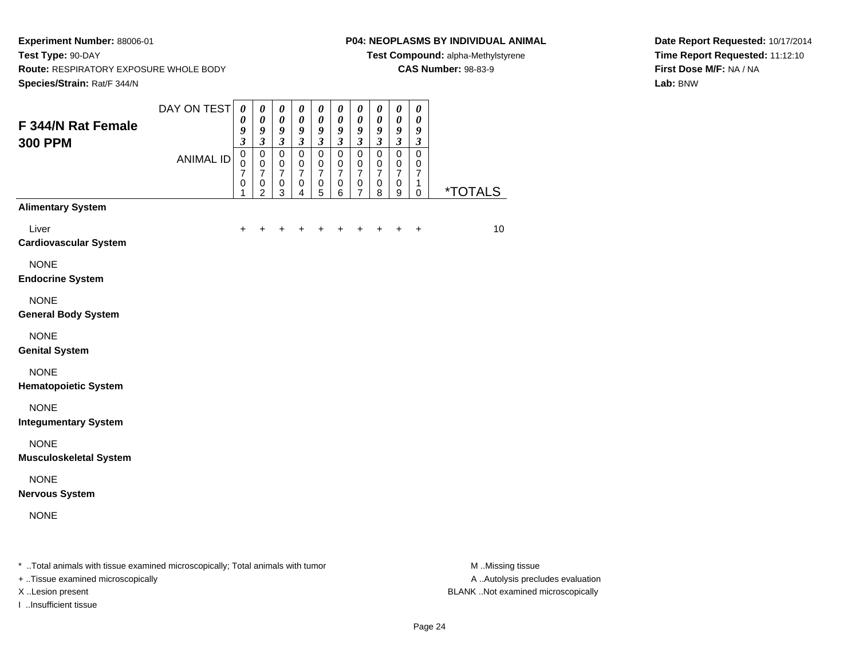#### **P04: NEOPLASMS BY INDIVIDUAL ANIMAL**

**Test Compound:** alpha-Methylstyrene

**CAS Number:** 98-83-9

**Date Report Requested:** 10/17/2014**Time Report Requested:** 11:12:10**First Dose M/F:** NA / NA**Lab:** BNW

| F 344/N Rat Female<br><b>300 PPM</b>                                           | DAY ON TEST      | $\pmb{\theta}$<br>0<br>9                                                              | $\pmb{\theta}$<br>$\boldsymbol{\theta}$<br>$\boldsymbol{g}$                                 | $\pmb{\theta}$<br>$\pmb{\theta}$<br>9                                                     | $\pmb{\theta}$<br>$\pmb{\theta}$<br>$\boldsymbol{g}$                        | 0<br>$\boldsymbol{\theta}$<br>$\boldsymbol{g}$                                    | $\pmb{\theta}$<br>$\boldsymbol{\theta}$<br>$\boldsymbol{g}$            | $\pmb{\theta}$<br>$\boldsymbol{\theta}$<br>9                                                | $\pmb{\theta}$<br>0<br>9                                                                 | $\pmb{\theta}$<br>$\pmb{\theta}$<br>$\boldsymbol{g}$                                                   | $\boldsymbol{\theta}$<br>$\boldsymbol{\theta}$<br>$\boldsymbol{g}$               |                       |
|--------------------------------------------------------------------------------|------------------|---------------------------------------------------------------------------------------|---------------------------------------------------------------------------------------------|-------------------------------------------------------------------------------------------|-----------------------------------------------------------------------------|-----------------------------------------------------------------------------------|------------------------------------------------------------------------|---------------------------------------------------------------------------------------------|------------------------------------------------------------------------------------------|--------------------------------------------------------------------------------------------------------|----------------------------------------------------------------------------------|-----------------------|
|                                                                                | <b>ANIMAL ID</b> | $\boldsymbol{\mathfrak{z}}$<br>$\overline{0}$<br>$\mathbf 0$<br>7<br>$\mathbf 0$<br>1 | $\mathfrak{z}$<br>$\mathbf 0$<br>$\mathbf 0$<br>$\overline{7}$<br>$\,0\,$<br>$\overline{2}$ | $\mathfrak{z}$<br>$\mathbf 0$<br>$\,0\,$<br>$\overline{7}$<br>$\pmb{0}$<br>$\overline{3}$ | $\mathfrak{z}$<br>$\mathbf 0$<br>0<br>$\overline{7}$<br>0<br>$\overline{4}$ | $\mathfrak{z}$<br>$\mathbf 0$<br>0<br>$\overline{7}$<br>$\,0\,$<br>$\overline{5}$ | $\mathfrak{z}$<br>$\mathbf 0$<br>0<br>$\overline{7}$<br>$\pmb{0}$<br>6 | $\mathfrak{z}$<br>$\mathbf 0$<br>$\pmb{0}$<br>$\overline{7}$<br>$\pmb{0}$<br>$\overline{7}$ | $\boldsymbol{\mathfrak{z}}$<br>$\mathbf 0$<br>0<br>$\overline{7}$<br>0<br>$\overline{8}$ | $\boldsymbol{\beta}$<br>$\overline{0}$<br>$\pmb{0}$<br>$\overline{7}$<br>$\pmb{0}$<br>$\boldsymbol{9}$ | $\mathfrak{z}$<br>$\mathbf 0$<br>$\pmb{0}$<br>$\overline{7}$<br>1<br>$\mathbf 0$ | <i><b>*TOTALS</b></i> |
| <b>Alimentary System</b>                                                       |                  |                                                                                       |                                                                                             |                                                                                           |                                                                             |                                                                                   |                                                                        |                                                                                             |                                                                                          |                                                                                                        |                                                                                  |                       |
| Liver<br><b>Cardiovascular System</b>                                          |                  |                                                                                       |                                                                                             |                                                                                           |                                                                             |                                                                                   |                                                                        |                                                                                             |                                                                                          | ٠                                                                                                      | $\ddot{}$                                                                        | 10                    |
| <b>NONE</b><br><b>Endocrine System</b>                                         |                  |                                                                                       |                                                                                             |                                                                                           |                                                                             |                                                                                   |                                                                        |                                                                                             |                                                                                          |                                                                                                        |                                                                                  |                       |
| <b>NONE</b><br><b>General Body System</b>                                      |                  |                                                                                       |                                                                                             |                                                                                           |                                                                             |                                                                                   |                                                                        |                                                                                             |                                                                                          |                                                                                                        |                                                                                  |                       |
| <b>NONE</b><br><b>Genital System</b>                                           |                  |                                                                                       |                                                                                             |                                                                                           |                                                                             |                                                                                   |                                                                        |                                                                                             |                                                                                          |                                                                                                        |                                                                                  |                       |
| <b>NONE</b><br><b>Hematopoietic System</b>                                     |                  |                                                                                       |                                                                                             |                                                                                           |                                                                             |                                                                                   |                                                                        |                                                                                             |                                                                                          |                                                                                                        |                                                                                  |                       |
| <b>NONE</b><br><b>Integumentary System</b>                                     |                  |                                                                                       |                                                                                             |                                                                                           |                                                                             |                                                                                   |                                                                        |                                                                                             |                                                                                          |                                                                                                        |                                                                                  |                       |
| <b>NONE</b><br><b>Musculoskeletal System</b>                                   |                  |                                                                                       |                                                                                             |                                                                                           |                                                                             |                                                                                   |                                                                        |                                                                                             |                                                                                          |                                                                                                        |                                                                                  |                       |
| <b>NONE</b><br><b>Nervous System</b>                                           |                  |                                                                                       |                                                                                             |                                                                                           |                                                                             |                                                                                   |                                                                        |                                                                                             |                                                                                          |                                                                                                        |                                                                                  |                       |
| <b>NONE</b>                                                                    |                  |                                                                                       |                                                                                             |                                                                                           |                                                                             |                                                                                   |                                                                        |                                                                                             |                                                                                          |                                                                                                        |                                                                                  |                       |
| * Total animals with tissue examined microscopically; Total animals with tumor |                  |                                                                                       |                                                                                             |                                                                                           |                                                                             |                                                                                   |                                                                        |                                                                                             |                                                                                          |                                                                                                        |                                                                                  | M Missing tissue      |

+ ..Tissue examined microscopically

I ..Insufficient tissue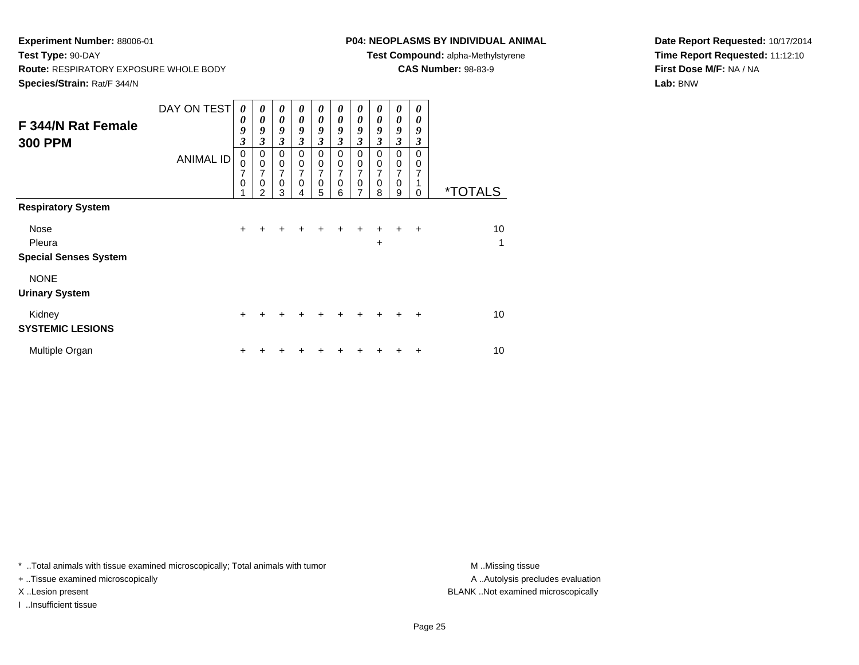# **P04: NEOPLASMS BY INDIVIDUAL ANIMAL**

**Test Compound:** alpha-Methylstyrene

**CAS Number:** 98-83-9

**Date Report Requested:** 10/17/2014**Time Report Requested:** 11:12:10**First Dose M/F:** NA / NA**Lab:** BNW

| F 344/N Rat Female<br><b>300 PPM</b>                                        | DAY ON TEST<br><b>ANIMAL ID</b> | 0<br>0<br>9<br>3<br>$\mathbf 0$<br>0<br>7<br>0 | 0<br>0<br>9<br>3<br>$\mathbf 0$<br>$\mathbf 0$<br>7<br>0<br>2 | $\boldsymbol{\theta}$<br>$\boldsymbol{\theta}$<br>9<br>$\mathfrak{z}$<br>$\mathbf 0$<br>$\,0\,$<br>$\overline{7}$<br>$\mathbf 0$<br>3 | 0<br>0<br>9<br>3<br>$\mathbf 0$<br>$\mathbf 0$<br>7<br>$\mathbf 0$<br>4 | 0<br>$\boldsymbol{\theta}$<br>9<br>$\overline{\mathbf{3}}$<br>$\mathbf 0$<br>$\pmb{0}$<br>7<br>$\mathbf 0$<br>5 | 0<br>0<br>9<br>3<br>$\mathbf 0$<br>$\mathbf 0$<br>7<br>$\mathbf 0$<br>6 | 0<br>$\boldsymbol{\theta}$<br>9<br>$\mathfrak{z}$<br>$\mathbf 0$<br>$\mathbf 0$<br>$\overline{7}$<br>$\mathbf 0$<br>7 | 0<br>0<br>9<br>3<br>$\Omega$<br>$\mathbf 0$<br>7<br>$\mathbf 0$<br>8 | 0<br>$\boldsymbol{\theta}$<br>9<br>$\mathfrak{z}$<br>0<br>$\,0\,$<br>7<br>$\mathbf 0$<br>9 | 0<br>0<br>9<br>3<br>$\Omega$<br>0<br>7<br>1<br>0 | <i><b>*TOTALS</b></i> |
|-----------------------------------------------------------------------------|---------------------------------|------------------------------------------------|---------------------------------------------------------------|---------------------------------------------------------------------------------------------------------------------------------------|-------------------------------------------------------------------------|-----------------------------------------------------------------------------------------------------------------|-------------------------------------------------------------------------|-----------------------------------------------------------------------------------------------------------------------|----------------------------------------------------------------------|--------------------------------------------------------------------------------------------|--------------------------------------------------|-----------------------|
| <b>Respiratory System</b><br>Nose<br>Pleura<br><b>Special Senses System</b> |                                 | $\ddot{}$                                      | +                                                             |                                                                                                                                       | +                                                                       | +                                                                                                               | +                                                                       | $\ddot{}$                                                                                                             | $\ddot{}$<br>$\ddot{}$                                               | $+$                                                                                        | $\ddot{}$                                        | 10<br>1               |
| <b>NONE</b><br><b>Urinary System</b>                                        |                                 |                                                |                                                               |                                                                                                                                       |                                                                         |                                                                                                                 |                                                                         |                                                                                                                       |                                                                      |                                                                                            |                                                  |                       |
| Kidney<br><b>SYSTEMIC LESIONS</b>                                           |                                 | $\ddot{}$                                      | +                                                             | +                                                                                                                                     | ÷                                                                       | ٠                                                                                                               | ٠                                                                       | $\pm$                                                                                                                 | $\ddot{}$                                                            | $\ddot{}$                                                                                  | $\ddot{}$                                        | 10                    |
| Multiple Organ                                                              |                                 | +                                              |                                                               |                                                                                                                                       |                                                                         | ٠                                                                                                               |                                                                         | +                                                                                                                     |                                                                      |                                                                                            | ÷                                                | 10                    |

\* ..Total animals with tissue examined microscopically; Total animals with tumor **M** . Missing tissue M ..Missing tissue

+ ..Tissue examined microscopically

I ..Insufficient tissue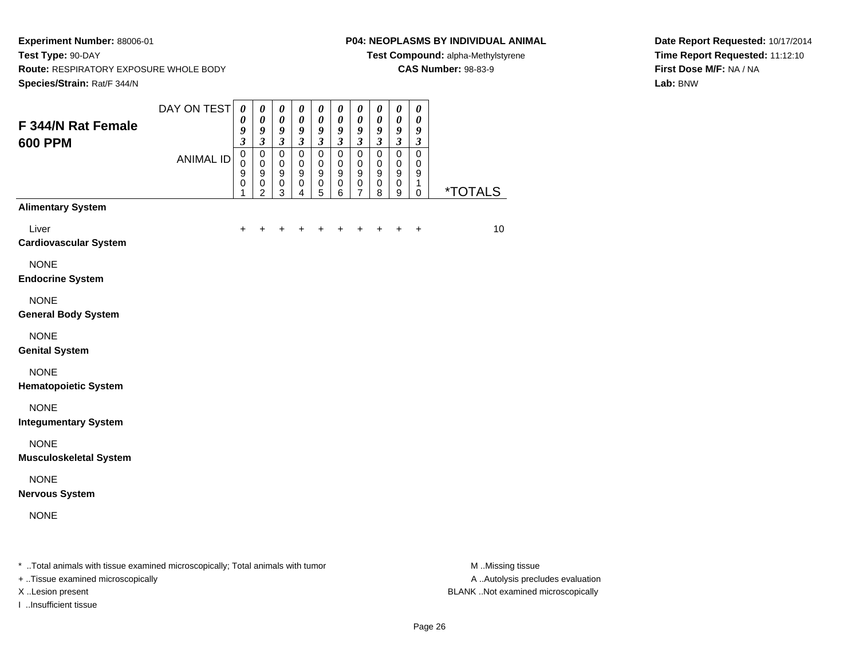### **P04: NEOPLASMS BY INDIVIDUAL ANIMAL**

**Test Compound:** alpha-Methylstyrene

**CAS Number:** 98-83-9

**Date Report Requested:** 10/17/2014**Time Report Requested:** 11:12:10**First Dose M/F:** NA / NA**Lab:** BNW

| F 344/N Rat Female<br><b>600 PPM</b>                                           | DAY ON TEST      | $\boldsymbol{\theta}$<br>0<br>9                                          | $\pmb{\theta}$<br>$\boldsymbol{\theta}$<br>9                                                  | $\pmb{\theta}$<br>$\boldsymbol{\theta}$<br>9                                                | $\pmb{\theta}$<br>$\boldsymbol{\theta}$<br>9                                                           | 0<br>$\boldsymbol{\theta}$<br>9                                         | $\pmb{\theta}$<br>$\pmb{\theta}$<br>9                                            | $\pmb{\theta}$<br>$\boldsymbol{\theta}$<br>9                                     | $\pmb{\theta}$<br>$\pmb{\theta}$<br>9                            | $\pmb{\theta}$<br>$\pmb{\theta}$<br>9                                              | $\boldsymbol{\theta}$<br>0<br>9                                            |                       |
|--------------------------------------------------------------------------------|------------------|--------------------------------------------------------------------------|-----------------------------------------------------------------------------------------------|---------------------------------------------------------------------------------------------|--------------------------------------------------------------------------------------------------------|-------------------------------------------------------------------------|----------------------------------------------------------------------------------|----------------------------------------------------------------------------------|------------------------------------------------------------------|------------------------------------------------------------------------------------|----------------------------------------------------------------------------|-----------------------|
|                                                                                | <b>ANIMAL ID</b> | $\mathfrak{z}$<br>$\pmb{0}$<br>$\mathbf 0$<br>$\boldsymbol{9}$<br>0<br>1 | $\mathfrak{z}$<br>$\pmb{0}$<br>$\mathbf 0$<br>$\boldsymbol{9}$<br>$\pmb{0}$<br>$\overline{c}$ | $\boldsymbol{\mathfrak{z}}$<br>$\pmb{0}$<br>$\pmb{0}$<br>$\boldsymbol{9}$<br>$\pmb{0}$<br>3 | $\overline{\mathbf{3}}$<br>$\pmb{0}$<br>$\mathbf 0$<br>$\boldsymbol{9}$<br>$\pmb{0}$<br>$\overline{4}$ | $\mathfrak{z}$<br>$\pmb{0}$<br>$\pmb{0}$<br>$\mathsf g$<br>$\,0\,$<br>5 | $\overline{\mathbf{3}}$<br>$\pmb{0}$<br>$\pmb{0}$<br>$\mathsf g$<br>$\,0\,$<br>6 | $\mathfrak{z}$<br>$\pmb{0}$<br>$\mathbf 0$<br>$\boldsymbol{9}$<br>$\pmb{0}$<br>7 | $\mathfrak{z}$<br>0<br>$\mathbf 0$<br>$\boldsymbol{9}$<br>0<br>8 | $\mathfrak{z}$<br>$\pmb{0}$<br>$\mathbf 0$<br>$\boldsymbol{9}$<br>$\mathbf 0$<br>9 | $\mathfrak{z}$<br>$\mathbf 0$<br>$\mathbf 0$<br>$\boldsymbol{9}$<br>1<br>0 | <i><b>*TOTALS</b></i> |
| <b>Alimentary System</b>                                                       |                  |                                                                          |                                                                                               |                                                                                             |                                                                                                        |                                                                         |                                                                                  |                                                                                  |                                                                  |                                                                                    |                                                                            |                       |
| Liver<br><b>Cardiovascular System</b>                                          |                  | $\pm$                                                                    | +                                                                                             | +                                                                                           | ٠                                                                                                      | ٠                                                                       | ÷.                                                                               | ٠                                                                                | ٠                                                                | $\ddot{}$                                                                          | $\ddot{}$                                                                  | 10                    |
| <b>NONE</b><br><b>Endocrine System</b>                                         |                  |                                                                          |                                                                                               |                                                                                             |                                                                                                        |                                                                         |                                                                                  |                                                                                  |                                                                  |                                                                                    |                                                                            |                       |
| <b>NONE</b><br><b>General Body System</b>                                      |                  |                                                                          |                                                                                               |                                                                                             |                                                                                                        |                                                                         |                                                                                  |                                                                                  |                                                                  |                                                                                    |                                                                            |                       |
| <b>NONE</b><br><b>Genital System</b>                                           |                  |                                                                          |                                                                                               |                                                                                             |                                                                                                        |                                                                         |                                                                                  |                                                                                  |                                                                  |                                                                                    |                                                                            |                       |
| <b>NONE</b><br><b>Hematopoietic System</b>                                     |                  |                                                                          |                                                                                               |                                                                                             |                                                                                                        |                                                                         |                                                                                  |                                                                                  |                                                                  |                                                                                    |                                                                            |                       |
| <b>NONE</b><br><b>Integumentary System</b>                                     |                  |                                                                          |                                                                                               |                                                                                             |                                                                                                        |                                                                         |                                                                                  |                                                                                  |                                                                  |                                                                                    |                                                                            |                       |
| <b>NONE</b><br><b>Musculoskeletal System</b>                                   |                  |                                                                          |                                                                                               |                                                                                             |                                                                                                        |                                                                         |                                                                                  |                                                                                  |                                                                  |                                                                                    |                                                                            |                       |
| <b>NONE</b><br><b>Nervous System</b>                                           |                  |                                                                          |                                                                                               |                                                                                             |                                                                                                        |                                                                         |                                                                                  |                                                                                  |                                                                  |                                                                                    |                                                                            |                       |
| <b>NONE</b>                                                                    |                  |                                                                          |                                                                                               |                                                                                             |                                                                                                        |                                                                         |                                                                                  |                                                                                  |                                                                  |                                                                                    |                                                                            |                       |
| * Total animals with tissue examined microscopically; Total animals with tumor |                  |                                                                          |                                                                                               |                                                                                             |                                                                                                        |                                                                         |                                                                                  |                                                                                  |                                                                  |                                                                                    |                                                                            | M Missing tissue      |

+ ..Tissue examined microscopically

I ..Insufficient tissue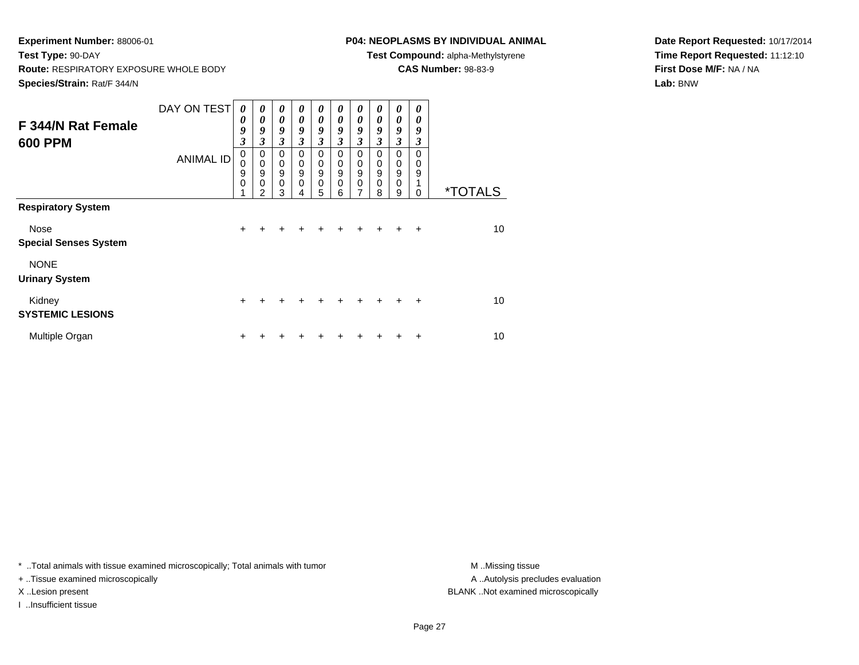# **P04: NEOPLASMS BY INDIVIDUAL ANIMAL**

**Test Compound:** alpha-Methylstyrene

**CAS Number:** 98-83-9

**Date Report Requested:** 10/17/2014**Time Report Requested:** 11:12:10**First Dose M/F:** NA / NA**Lab:** BNW

| F 344/N Rat Female<br><b>600 PPM</b> | DAY ON TEST<br><b>ANIMAL ID</b> | 0<br>0<br>9<br>$\overline{\mathbf{3}}$<br>$\mathbf 0$<br>0<br>9<br>$\mathbf 0$ | 0<br>0<br>9<br>3<br>0<br>$\mathbf 0$<br>9<br>$\mathbf 0$ | 0<br>$\boldsymbol{\theta}$<br>9<br>3<br>$\mathbf 0$<br>$\pmb{0}$<br>$\overline{9}$<br>$\mathbf 0$ | 0<br>$\theta$<br>9<br>3<br>$\mathbf 0$<br>$\mathbf 0$<br>9<br>0 | 0<br>$\boldsymbol{\theta}$<br>9<br>$\mathfrak{z}$<br>$\mathbf 0$<br>$\pmb{0}$<br>$\overline{9}$<br>$\mathbf 0$ | 0<br>$\boldsymbol{\theta}$<br>9<br>3<br>$\Omega$<br>0<br>$\boldsymbol{9}$<br>$\mathbf 0$ | 0<br>$\boldsymbol{\theta}$<br>9<br>$\overline{\mathbf{3}}$<br>$\mathbf 0$<br>$\pmb{0}$<br>$\overline{9}$<br>$\mathbf 0$ | 0<br>0<br>9<br>3<br>0<br>0<br>9<br>0 | 0<br>0<br>9<br>3<br>$\Omega$<br>0<br>$\boldsymbol{9}$<br>$\pmb{0}$ | 0<br>0<br>9<br>3<br>$\Omega$<br>0<br>9 |                       |
|--------------------------------------|---------------------------------|--------------------------------------------------------------------------------|----------------------------------------------------------|---------------------------------------------------------------------------------------------------|-----------------------------------------------------------------|----------------------------------------------------------------------------------------------------------------|------------------------------------------------------------------------------------------|-------------------------------------------------------------------------------------------------------------------------|--------------------------------------|--------------------------------------------------------------------|----------------------------------------|-----------------------|
| <b>Respiratory System</b>            |                                 | 4                                                                              | $\mathfrak{p}$                                           | 3                                                                                                 | 4                                                               | 5                                                                                                              | 6                                                                                        | 7                                                                                                                       | 8                                    | 9                                                                  | 0                                      | <i><b>*TOTALS</b></i> |
| Nose<br><b>Special Senses System</b> |                                 | $\ddot{}$                                                                      |                                                          |                                                                                                   |                                                                 |                                                                                                                |                                                                                          |                                                                                                                         |                                      |                                                                    | $\div$                                 | 10                    |
| <b>NONE</b><br><b>Urinary System</b> |                                 |                                                                                |                                                          |                                                                                                   |                                                                 |                                                                                                                |                                                                                          |                                                                                                                         |                                      |                                                                    |                                        |                       |
| Kidney<br><b>SYSTEMIC LESIONS</b>    |                                 | $\ddot{}$                                                                      | $\div$                                                   | $\div$                                                                                            | $\div$                                                          | $\ddot{}$                                                                                                      | ÷                                                                                        | $\ddot{}$                                                                                                               | $\pm$                                | ÷                                                                  | $\div$                                 | 10                    |
| Multiple Organ                       |                                 | +                                                                              |                                                          |                                                                                                   |                                                                 |                                                                                                                |                                                                                          |                                                                                                                         |                                      |                                                                    | ٠                                      | 10                    |

\* ..Total animals with tissue examined microscopically; Total animals with tumor **M** . Missing tissue M ..Missing tissue

+ ..Tissue examined microscopically

I ..Insufficient tissue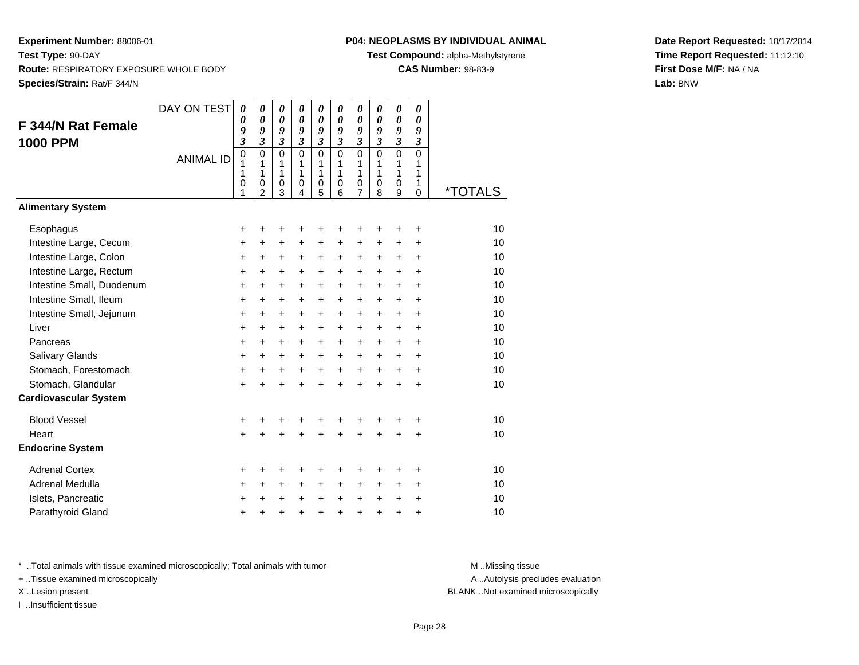# **P04: NEOPLASMS BY INDIVIDUAL ANIMAL**

**Test Compound:** alpha-Methylstyrene

**CAS Number:** 98-83-9

**Date Report Requested:** 10/17/2014**Time Report Requested:** 11:12:10**First Dose M/F:** NA / NA**Lab:** BNW

| F 344/N Rat Female<br><b>1000 PPM</b> | DAY ON TEST<br><b>ANIMAL ID</b> | $\boldsymbol{\theta}$<br>0<br>9<br>$\overline{\mathbf{3}}$<br>$\mathbf 0$<br>1<br>1<br>0<br>1 | 0<br>$\boldsymbol{\theta}$<br>9<br>$\mathfrak{z}$<br>$\mathbf 0$<br>1<br>1<br>$\mathbf 0$<br>$\mathfrak{p}$ | $\boldsymbol{\theta}$<br>$\boldsymbol{\theta}$<br>9<br>$\mathfrak{z}$<br>$\Omega$<br>1<br>1<br>0<br>$\overline{3}$ | 0<br>$\boldsymbol{\theta}$<br>9<br>$\mathfrak{z}$<br>$\mathbf 0$<br>1<br>1<br>0<br>4 | 0<br>$\boldsymbol{\theta}$<br>9<br>$\mathfrak{z}$<br>$\mathbf 0$<br>1<br>1<br>$\mathbf 0$<br>5 | 0<br>$\boldsymbol{\theta}$<br>9<br>$\mathfrak{z}$<br>$\Omega$<br>1<br>1<br>$\mathbf 0$<br>6 | 0<br>$\boldsymbol{\theta}$<br>9<br>$\mathfrak{z}$<br>$\Omega$<br>1<br>1<br>0<br>7 | 0<br>$\boldsymbol{\theta}$<br>9<br>$\mathfrak{z}$<br>$\Omega$<br>1<br>1<br>0<br>8 | 0<br>$\boldsymbol{\theta}$<br>9<br>$\overline{\mathbf{3}}$<br>$\mathbf 0$<br>1<br>1<br>0<br>9 | 0<br>$\boldsymbol{\theta}$<br>9<br>$\mathfrak{z}$<br>0<br>1<br>1<br>1<br>$\mathbf 0$ | <i><b>*TOTALS</b></i> |
|---------------------------------------|---------------------------------|-----------------------------------------------------------------------------------------------|-------------------------------------------------------------------------------------------------------------|--------------------------------------------------------------------------------------------------------------------|--------------------------------------------------------------------------------------|------------------------------------------------------------------------------------------------|---------------------------------------------------------------------------------------------|-----------------------------------------------------------------------------------|-----------------------------------------------------------------------------------|-----------------------------------------------------------------------------------------------|--------------------------------------------------------------------------------------|-----------------------|
| <b>Alimentary System</b>              |                                 |                                                                                               |                                                                                                             |                                                                                                                    |                                                                                      |                                                                                                |                                                                                             |                                                                                   |                                                                                   |                                                                                               |                                                                                      |                       |
| Esophagus                             |                                 | +                                                                                             | +                                                                                                           | +                                                                                                                  | +                                                                                    | +                                                                                              | +                                                                                           | +                                                                                 | +                                                                                 | +                                                                                             | +                                                                                    | 10                    |
| Intestine Large, Cecum                |                                 | $\ddot{}$                                                                                     | +                                                                                                           | +                                                                                                                  | +                                                                                    | +                                                                                              | +                                                                                           | +                                                                                 | +                                                                                 | $\pm$                                                                                         | +                                                                                    | 10                    |
| Intestine Large, Colon                |                                 | +                                                                                             | $\ddot{}$                                                                                                   | $\ddot{}$                                                                                                          | $\ddot{}$                                                                            | +                                                                                              | $\ddot{}$                                                                                   | $\ddot{}$                                                                         | $\ddot{}$                                                                         | $\ddot{}$                                                                                     | $\ddot{}$                                                                            | 10                    |
| Intestine Large, Rectum               |                                 | $\ddot{}$                                                                                     | $\ddot{}$                                                                                                   | $\ddot{}$                                                                                                          | $\ddot{}$                                                                            | $\ddot{}$                                                                                      | $\ddot{}$                                                                                   | $\ddot{}$                                                                         | $\ddot{}$                                                                         | $+$                                                                                           | ÷                                                                                    | 10                    |
| Intestine Small, Duodenum             |                                 | $\ddot{}$                                                                                     | $\ddot{}$                                                                                                   | $\ddot{}$                                                                                                          | +                                                                                    | $\ddot{}$                                                                                      | $\ddot{}$                                                                                   | $\ddot{}$                                                                         | $\ddot{}$                                                                         | $+$                                                                                           | $\ddot{}$                                                                            | 10                    |
| Intestine Small, Ileum                |                                 | +                                                                                             | +                                                                                                           | $\ddot{}$                                                                                                          | +                                                                                    | $\ddot{}$                                                                                      | $\ddot{}$                                                                                   | $\ddot{}$                                                                         | $\ddot{}$                                                                         | $+$                                                                                           | $\ddot{}$                                                                            | 10                    |
| Intestine Small, Jejunum              |                                 | $\ddot{}$                                                                                     | $\ddot{}$                                                                                                   | $\ddot{}$                                                                                                          | $\ddot{}$                                                                            | $\ddot{}$                                                                                      | $\ddot{}$                                                                                   | $\ddot{}$                                                                         | $\ddot{}$                                                                         | $\ddot{}$                                                                                     | $\ddot{}$                                                                            | 10                    |
| Liver                                 |                                 | +                                                                                             | $\ddot{}$                                                                                                   | $\ddot{}$                                                                                                          | $\pm$                                                                                | $\pm$                                                                                          | $\ddot{}$                                                                                   | $\ddot{}$                                                                         | $\pm$                                                                             | $\pm$                                                                                         | +                                                                                    | 10                    |
| Pancreas                              |                                 | $\ddot{}$                                                                                     | $\ddot{}$                                                                                                   | $\ddot{}$                                                                                                          | $\ddot{}$                                                                            | $\ddot{}$                                                                                      | $\ddot{}$                                                                                   | $\ddot{}$                                                                         | $\ddot{}$                                                                         | $+$                                                                                           | $\ddot{}$                                                                            | 10                    |
| Salivary Glands                       |                                 | $\ddot{}$                                                                                     | +                                                                                                           | +                                                                                                                  | +                                                                                    | +                                                                                              | $\ddot{}$                                                                                   | $\ddot{}$                                                                         | $\ddot{}$                                                                         | $+$                                                                                           | $\ddot{}$                                                                            | 10                    |
| Stomach, Forestomach                  |                                 | $\pmb{+}$                                                                                     | +                                                                                                           | $\ddot{}$                                                                                                          | $+$                                                                                  | $\ddot{}$                                                                                      | $\ddot{}$                                                                                   | $\ddot{}$                                                                         | $+$                                                                               | $\ddot{}$                                                                                     | $\ddot{}$                                                                            | 10                    |
| Stomach, Glandular                    |                                 | $\ddot{}$                                                                                     |                                                                                                             | +                                                                                                                  | $\ddot{}$                                                                            | $\ddot{}$                                                                                      | $\ddot{}$                                                                                   | $\ddot{}$                                                                         | $\ddot{}$                                                                         | $\ddot{}$                                                                                     | +                                                                                    | 10                    |
| <b>Cardiovascular System</b>          |                                 |                                                                                               |                                                                                                             |                                                                                                                    |                                                                                      |                                                                                                |                                                                                             |                                                                                   |                                                                                   |                                                                                               |                                                                                      |                       |
| <b>Blood Vessel</b>                   |                                 | +                                                                                             |                                                                                                             | +                                                                                                                  | +                                                                                    | +                                                                                              | +                                                                                           | +                                                                                 |                                                                                   | +                                                                                             | +                                                                                    | 10                    |
| Heart                                 |                                 | $\ddot{}$                                                                                     |                                                                                                             | $\ddot{}$                                                                                                          | $\ddot{}$                                                                            | $\ddot{}$                                                                                      | $\ddot{}$                                                                                   | $\ddot{}$                                                                         | $\ddot{}$                                                                         | $\ddot{}$                                                                                     | $\ddot{}$                                                                            | 10                    |
| <b>Endocrine System</b>               |                                 |                                                                                               |                                                                                                             |                                                                                                                    |                                                                                      |                                                                                                |                                                                                             |                                                                                   |                                                                                   |                                                                                               |                                                                                      |                       |
| <b>Adrenal Cortex</b>                 |                                 | +                                                                                             | +                                                                                                           | +                                                                                                                  | +                                                                                    | +                                                                                              | +                                                                                           | +                                                                                 |                                                                                   | +                                                                                             | ٠                                                                                    | 10                    |
| Adrenal Medulla                       |                                 | $\ddot{}$                                                                                     | $\ddot{}$                                                                                                   | $\ddot{}$                                                                                                          | $\ddot{}$                                                                            | +                                                                                              | $\ddot{}$                                                                                   | $\ddot{}$                                                                         | $\ddot{}$                                                                         | +                                                                                             | +                                                                                    | 10                    |
| Islets, Pancreatic                    |                                 | +                                                                                             |                                                                                                             | +                                                                                                                  | +                                                                                    | +                                                                                              | $\ddot{}$                                                                                   | $\ddot{}$                                                                         | $\ddot{}$                                                                         | $\ddot{}$                                                                                     | +                                                                                    | 10                    |
| Parathyroid Gland                     |                                 | $\ddot{}$                                                                                     |                                                                                                             | +                                                                                                                  | +                                                                                    | $\ddot{}$                                                                                      | $\ddot{}$                                                                                   | $\ddot{}$                                                                         | $\ddot{}$                                                                         | +                                                                                             | +                                                                                    | 10                    |

\* ..Total animals with tissue examined microscopically; Total animals with tumor **M** . Missing tissue M ..Missing tissue

+ ..Tissue examined microscopically

I ..Insufficient tissue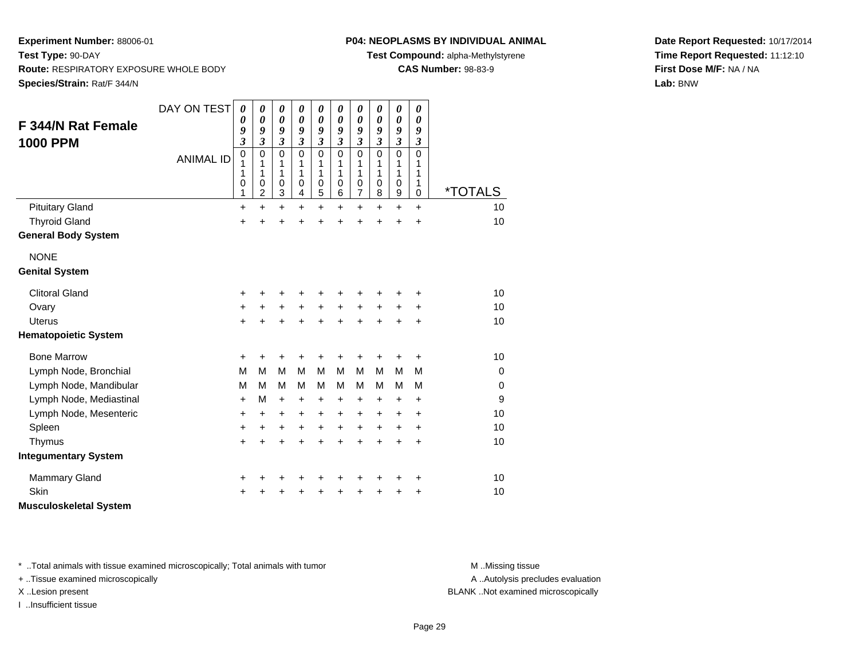# **P04: NEOPLASMS BY INDIVIDUAL ANIMAL**

**Test Compound:** alpha-Methylstyrene

**CAS Number:** 98-83-9

**Date Report Requested:** 10/17/2014**Time Report Requested:** 11:12:10**First Dose M/F:** NA / NA**Lab:** BNW

| <b>F 344/N Rat Female</b><br><b>1000 PPM</b> | DAY ON TEST<br><b>ANIMAL ID</b> | $\boldsymbol{\theta}$<br>0<br>9<br>$\overline{\mathbf{3}}$<br>$\mathbf 0$<br>1 | $\boldsymbol{\theta}$<br>$\boldsymbol{\theta}$<br>9<br>3<br>$\mathbf 0$<br>1 | 0<br>$\boldsymbol{\theta}$<br>9<br>$\mathfrak{z}$<br>$\mathbf 0$<br>1 | 0<br>$\boldsymbol{\theta}$<br>9<br>$\overline{\mathbf{3}}$<br>$\mathbf 0$<br>1 | 0<br>0<br>9<br>$\overline{\mathbf{3}}$<br>0<br>1 | 0<br>0<br>9<br>$\overline{\mathbf{3}}$<br>0<br>1 | 0<br>0<br>9<br>$\mathfrak{z}$<br>$\mathbf 0$<br>1 | 0<br>0<br>9<br>$\overline{\mathbf{3}}$<br>0<br>1 | 0<br>$\boldsymbol{\theta}$<br>9<br>$\mathfrak{z}$<br>$\mathbf 0$<br>1 | 0<br>$\boldsymbol{\theta}$<br>9<br>$\mathfrak{z}$<br>0<br>1 |             |
|----------------------------------------------|---------------------------------|--------------------------------------------------------------------------------|------------------------------------------------------------------------------|-----------------------------------------------------------------------|--------------------------------------------------------------------------------|--------------------------------------------------|--------------------------------------------------|---------------------------------------------------|--------------------------------------------------|-----------------------------------------------------------------------|-------------------------------------------------------------|-------------|
|                                              |                                 | 1<br>0<br>1                                                                    | 1<br>$\mathbf 0$<br>$\overline{2}$                                           | 1<br>0<br>3                                                           | 1<br>0<br>4                                                                    | 1<br>0<br>5                                      | 1<br>0<br>6                                      | 1<br>$\pmb{0}$<br>$\overline{7}$                  | 1<br>$\mathbf 0$<br>8                            | 1<br>$\mathbf 0$<br>$\boldsymbol{9}$                                  | 1<br>1<br>$\mathbf 0$                                       | *TOTALS     |
| <b>Pituitary Gland</b>                       |                                 | $\ddot{}$                                                                      | $\ddot{}$                                                                    | +                                                                     | $\ddot{}$                                                                      | +                                                | $\ddot{}$                                        | $\ddot{}$                                         | $\ddot{}$                                        | $\ddot{}$                                                             | $\ddot{}$                                                   | 10          |
| <b>Thyroid Gland</b>                         |                                 | $\ddot{}$                                                                      | $\ddot{}$                                                                    | $\ddot{}$                                                             | $\ddot{}$                                                                      | $\ddot{}$                                        | $\ddot{}$                                        | $\ddot{}$                                         | $\ddot{}$                                        | $\ddot{}$                                                             | $\ddot{}$                                                   | 10          |
| <b>General Body System</b>                   |                                 |                                                                                |                                                                              |                                                                       |                                                                                |                                                  |                                                  |                                                   |                                                  |                                                                       |                                                             |             |
| <b>NONE</b>                                  |                                 |                                                                                |                                                                              |                                                                       |                                                                                |                                                  |                                                  |                                                   |                                                  |                                                                       |                                                             |             |
| <b>Genital System</b>                        |                                 |                                                                                |                                                                              |                                                                       |                                                                                |                                                  |                                                  |                                                   |                                                  |                                                                       |                                                             |             |
| <b>Clitoral Gland</b>                        |                                 | +                                                                              | +                                                                            | +                                                                     | +                                                                              | +                                                | +                                                | +                                                 | +                                                | +                                                                     | +                                                           | 10          |
| Ovary                                        |                                 | +                                                                              | $\ddot{}$                                                                    | $\ddot{}$                                                             | $+$                                                                            | $+$                                              | $+$                                              | $\ddot{}$                                         | $+$                                              | $\ddot{}$                                                             | +                                                           | 10          |
| <b>Uterus</b>                                |                                 | $\ddot{}$                                                                      | +                                                                            | +                                                                     | $\ddot{}$                                                                      | +                                                | $\ddot{}$                                        | $\ddot{}$                                         | $\ddot{}$                                        | $\ddot{}$                                                             | $\ddot{}$                                                   | 10          |
| <b>Hematopoietic System</b>                  |                                 |                                                                                |                                                                              |                                                                       |                                                                                |                                                  |                                                  |                                                   |                                                  |                                                                       |                                                             |             |
| <b>Bone Marrow</b>                           |                                 | $\ddot{}$                                                                      | $\ddot{}$                                                                    | $\ddot{}$                                                             | $\ddot{}$                                                                      | $\ddot{}$                                        | $\ddot{}$                                        | $\ddot{}$                                         | +                                                | +                                                                     | $\ddot{}$                                                   | 10          |
| Lymph Node, Bronchial                        |                                 | M                                                                              | M                                                                            | M                                                                     | M                                                                              | M                                                | M                                                | M                                                 | М                                                | M                                                                     | M                                                           | $\mathbf 0$ |
| Lymph Node, Mandibular                       |                                 | M                                                                              | M                                                                            | M                                                                     | M                                                                              | М                                                | M                                                | M                                                 | М                                                | M                                                                     | M                                                           | $\mathbf 0$ |
| Lymph Node, Mediastinal                      |                                 | $\ddot{}$                                                                      | M                                                                            | $\ddot{}$                                                             | $\ddot{}$                                                                      | $\ddot{}$                                        | $\ddot{}$                                        | $\ddot{}$                                         | $\ddot{}$                                        | $\ddot{}$                                                             | $\ddot{}$                                                   | 9           |
| Lymph Node, Mesenteric                       |                                 | +                                                                              | $\ddot{}$                                                                    | $\ddot{}$                                                             | $\ddot{}$                                                                      | +                                                | +                                                | $\ddot{}$                                         | +                                                | $\ddot{}$                                                             | $\ddot{}$                                                   | 10          |
| Spleen                                       |                                 | +                                                                              | $\pm$                                                                        | +                                                                     | $\ddot{}$                                                                      | +                                                | $\ddot{}$                                        | $\ddot{}$                                         | +                                                | $\ddot{}$                                                             | $\ddot{}$                                                   | 10          |
| Thymus                                       |                                 | $\ddot{}$                                                                      | $\ddot{}$                                                                    | $\ddot{}$                                                             | ÷                                                                              | $\ddot{}$                                        | ÷                                                | $\ddot{}$                                         | $\ddot{}$                                        | $\ddot{}$                                                             | $\ddot{}$                                                   | 10          |
| <b>Integumentary System</b>                  |                                 |                                                                                |                                                                              |                                                                       |                                                                                |                                                  |                                                  |                                                   |                                                  |                                                                       |                                                             |             |
| <b>Mammary Gland</b>                         |                                 | +                                                                              |                                                                              | +                                                                     | +                                                                              | +                                                | +                                                | +                                                 | +                                                | +                                                                     | +                                                           | 10          |
| Skin                                         |                                 | +                                                                              |                                                                              | +                                                                     |                                                                                | +                                                | +                                                | +                                                 | +                                                | +                                                                     | +                                                           | 10          |
| <b>Musculoskeletal System</b>                |                                 |                                                                                |                                                                              |                                                                       |                                                                                |                                                  |                                                  |                                                   |                                                  |                                                                       |                                                             |             |

\* ..Total animals with tissue examined microscopically; Total animals with tumor **M** . Missing tissue M ..Missing tissue

+ ..Tissue examined microscopically

I ..Insufficient tissue

A ..Autolysis precludes evaluation

X ..Lesion present BLANK ..Not examined microscopically